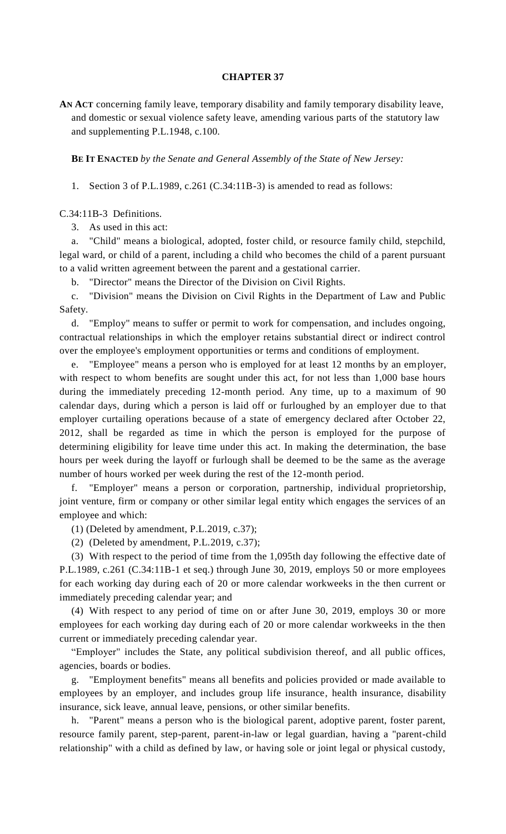## **CHAPTER 37**

**AN ACT** concerning family leave, temporary disability and family temporary disability leave, and domestic or sexual violence safety leave, amending various parts of the statutory law and supplementing P.L.1948, c.100.

**BE IT ENACTED** *by the Senate and General Assembly of the State of New Jersey:*

1. Section 3 of P.L.1989, c.261 (C.34:11B-3) is amended to read as follows:

C.34:11B-3 Definitions.

3. As used in this act:

a. "Child" means a biological, adopted, foster child, or resource family child, stepchild, legal ward, or child of a parent, including a child who becomes the child of a parent pursuant to a valid written agreement between the parent and a gestational carrier.

b. "Director" means the Director of the Division on Civil Rights.

c. "Division" means the Division on Civil Rights in the Department of Law and Public Safety.

d. "Employ" means to suffer or permit to work for compensation, and includes ongoing, contractual relationships in which the employer retains substantial direct or indirect control over the employee's employment opportunities or terms and conditions of employment.

e. "Employee" means a person who is employed for at least 12 months by an employer, with respect to whom benefits are sought under this act, for not less than 1,000 base hours during the immediately preceding 12-month period. Any time, up to a maximum of 90 calendar days, during which a person is laid off or furloughed by an employer due to that employer curtailing operations because of a state of emergency declared after October 22, 2012, shall be regarded as time in which the person is employed for the purpose of determining eligibility for leave time under this act. In making the determination, the base hours per week during the layoff or furlough shall be deemed to be the same as the average number of hours worked per week during the rest of the 12-month period.

f. "Employer" means a person or corporation, partnership, individual proprietorship, joint venture, firm or company or other similar legal entity which engages the services of an employee and which:

(1) (Deleted by amendment, P.L.2019, c.37);

(2) (Deleted by amendment, P.L.2019, c.37);

(3) With respect to the period of time from the 1,095th day following the effective date of P.L.1989, c.261 (C.34:11B-1 et seq.) through June 30, 2019, employs 50 or more employees for each working day during each of 20 or more calendar workweeks in the then current or immediately preceding calendar year; and

(4) With respect to any period of time on or after June 30, 2019, employs 30 or more employees for each working day during each of 20 or more calendar workweeks in the then current or immediately preceding calendar year.

"Employer" includes the State, any political subdivision thereof, and all public offices, agencies, boards or bodies.

g. "Employment benefits" means all benefits and policies provided or made available to employees by an employer, and includes group life insurance, health insurance, disability insurance, sick leave, annual leave, pensions, or other similar benefits.

h. "Parent" means a person who is the biological parent, adoptive parent, foster parent, resource family parent, step-parent, parent-in-law or legal guardian, having a "parent-child relationship" with a child as defined by law, or having sole or joint legal or physical custody,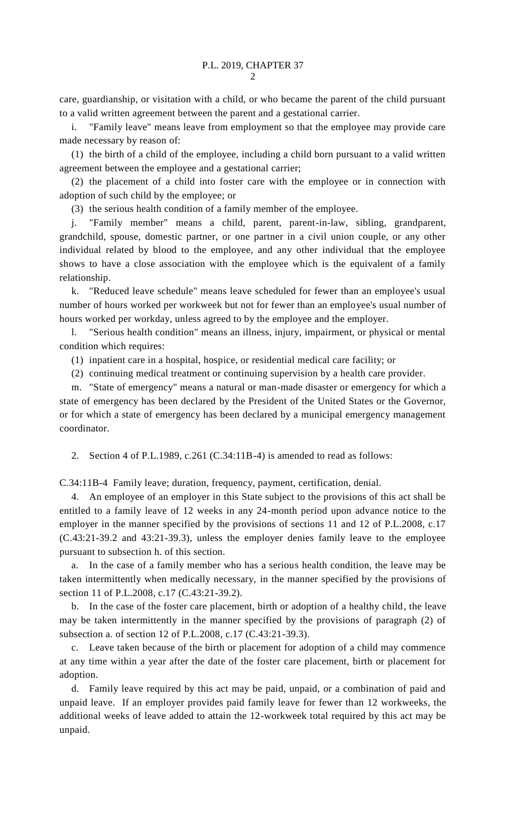care, guardianship, or visitation with a child, or who became the parent of the child pursuant to a valid written agreement between the parent and a gestational carrier.

i. "Family leave" means leave from employment so that the employee may provide care made necessary by reason of:

(1) the birth of a child of the employee, including a child born pursuant to a valid written agreement between the employee and a gestational carrier;

(2) the placement of a child into foster care with the employee or in connection with adoption of such child by the employee; or

(3) the serious health condition of a family member of the employee.

j. "Family member" means a child, parent, parent-in-law, sibling, grandparent, grandchild, spouse, domestic partner, or one partner in a civil union couple, or any other individual related by blood to the employee, and any other individual that the employee shows to have a close association with the employee which is the equivalent of a family relationship.

k. "Reduced leave schedule" means leave scheduled for fewer than an employee's usual number of hours worked per workweek but not for fewer than an employee's usual number of hours worked per workday, unless agreed to by the employee and the employer.

l. "Serious health condition" means an illness, injury, impairment, or physical or mental condition which requires:

(1) inpatient care in a hospital, hospice, or residential medical care facility; or

(2) continuing medical treatment or continuing supervision by a health care provider.

m. "State of emergency" means a natural or man-made disaster or emergency for which a state of emergency has been declared by the President of the United States or the Governor, or for which a state of emergency has been declared by a municipal emergency management coordinator.

2. Section 4 of P.L.1989, c.261 (C.34:11B-4) is amended to read as follows:

C.34:11B-4 Family leave; duration, frequency, payment, certification, denial.

4. An employee of an employer in this State subject to the provisions of this act shall be entitled to a family leave of 12 weeks in any 24-month period upon advance notice to the employer in the manner specified by the provisions of sections 11 and 12 of P.L.2008, c.17 (C.43:21-39.2 and 43:21-39.3), unless the employer denies family leave to the employee pursuant to subsection h. of this section.

a. In the case of a family member who has a serious health condition, the leave may be taken intermittently when medically necessary, in the manner specified by the provisions of section 11 of P.L.2008, c.17 (C.43:21-39.2).

b. In the case of the foster care placement, birth or adoption of a healthy child, the leave may be taken intermittently in the manner specified by the provisions of paragraph (2) of subsection a. of section 12 of P.L.2008, c.17 (C.43:21-39.3).

c. Leave taken because of the birth or placement for adoption of a child may commence at any time within a year after the date of the foster care placement, birth or placement for adoption.

d. Family leave required by this act may be paid, unpaid, or a combination of paid and unpaid leave. If an employer provides paid family leave for fewer than 12 workweeks, the additional weeks of leave added to attain the 12-workweek total required by this act may be unpaid.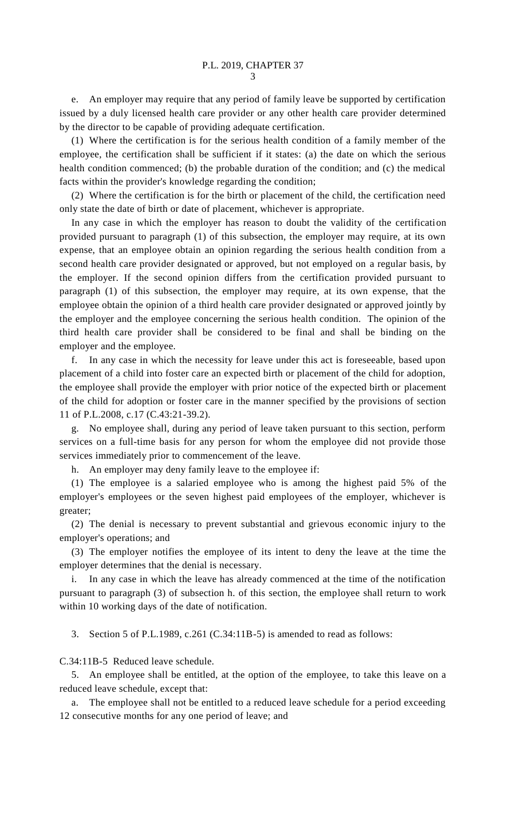e. An employer may require that any period of family leave be supported by certification issued by a duly licensed health care provider or any other health care provider determined by the director to be capable of providing adequate certification.

(1) Where the certification is for the serious health condition of a family member of the employee, the certification shall be sufficient if it states: (a) the date on which the serious health condition commenced; (b) the probable duration of the condition; and (c) the medical facts within the provider's knowledge regarding the condition;

(2) Where the certification is for the birth or placement of the child, the certification need only state the date of birth or date of placement, whichever is appropriate.

In any case in which the employer has reason to doubt the validity of the certification provided pursuant to paragraph (1) of this subsection, the employer may require, at its own expense, that an employee obtain an opinion regarding the serious health condition from a second health care provider designated or approved, but not employed on a regular basis, by the employer. If the second opinion differs from the certification provided pursuant to paragraph (1) of this subsection, the employer may require, at its own expense, that the employee obtain the opinion of a third health care provider designated or approved jointly by the employer and the employee concerning the serious health condition. The opinion of the third health care provider shall be considered to be final and shall be binding on the employer and the employee.

f. In any case in which the necessity for leave under this act is foreseeable, based upon placement of a child into foster care an expected birth or placement of the child for adoption, the employee shall provide the employer with prior notice of the expected birth or placement of the child for adoption or foster care in the manner specified by the provisions of section 11 of P.L.2008, c.17 (C.43:21-39.2).

g. No employee shall, during any period of leave taken pursuant to this section, perform services on a full-time basis for any person for whom the employee did not provide those services immediately prior to commencement of the leave.

h. An employer may deny family leave to the employee if:

(1) The employee is a salaried employee who is among the highest paid 5% of the employer's employees or the seven highest paid employees of the employer, whichever is greater;

(2) The denial is necessary to prevent substantial and grievous economic injury to the employer's operations; and

(3) The employer notifies the employee of its intent to deny the leave at the time the employer determines that the denial is necessary.

i. In any case in which the leave has already commenced at the time of the notification pursuant to paragraph (3) of subsection h. of this section, the employee shall return to work within 10 working days of the date of notification.

3. Section 5 of P.L.1989, c.261 (C.34:11B-5) is amended to read as follows:

C.34:11B-5 Reduced leave schedule.

5. An employee shall be entitled, at the option of the employee, to take this leave on a reduced leave schedule, except that:

The employee shall not be entitled to a reduced leave schedule for a period exceeding 12 consecutive months for any one period of leave; and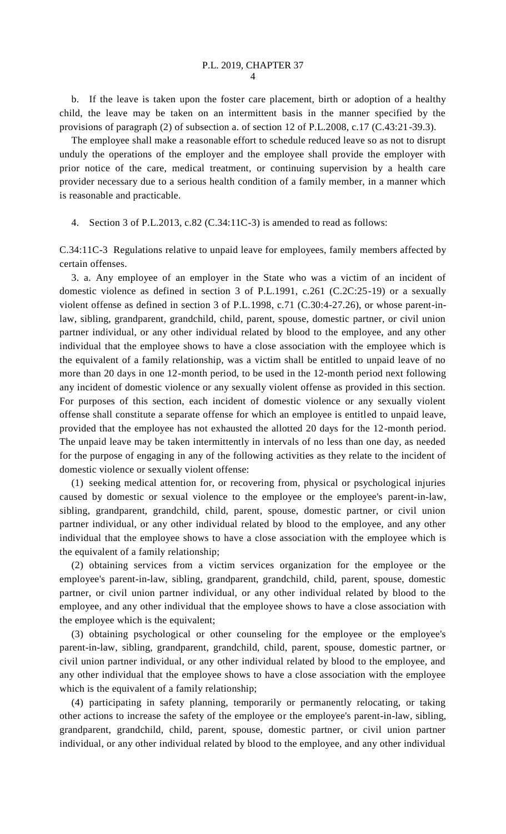b. If the leave is taken upon the foster care placement, birth or adoption of a healthy child, the leave may be taken on an intermittent basis in the manner specified by the provisions of paragraph (2) of subsection a. of section 12 of P.L.2008, c.17 (C.43:21-39.3).

The employee shall make a reasonable effort to schedule reduced leave so as not to disrupt unduly the operations of the employer and the employee shall provide the employer with prior notice of the care, medical treatment, or continuing supervision by a health care provider necessary due to a serious health condition of a family member, in a manner which is reasonable and practicable.

4. Section 3 of P.L.2013, c.82 (C.34:11C-3) is amended to read as follows:

C.34:11C-3 Regulations relative to unpaid leave for employees, family members affected by certain offenses.

3. a. Any employee of an employer in the State who was a victim of an incident of domestic violence as defined in section 3 of P.L.1991, c.261 (C.2C:25-19) or a sexually violent offense as defined in section 3 of P.L.1998, c.71 (C.30:4-27.26), or whose parent-inlaw, sibling, grandparent, grandchild, child, parent, spouse, domestic partner, or civil union partner individual, or any other individual related by blood to the employee, and any other individual that the employee shows to have a close association with the employee which is the equivalent of a family relationship, was a victim shall be entitled to unpaid leave of no more than 20 days in one 12-month period, to be used in the 12-month period next following any incident of domestic violence or any sexually violent offense as provided in this section. For purposes of this section, each incident of domestic violence or any sexually violent offense shall constitute a separate offense for which an employee is entitled to unpaid leave, provided that the employee has not exhausted the allotted 20 days for the 12-month period. The unpaid leave may be taken intermittently in intervals of no less than one day, as needed for the purpose of engaging in any of the following activities as they relate to the incident of domestic violence or sexually violent offense:

(1) seeking medical attention for, or recovering from, physical or psychological injuries caused by domestic or sexual violence to the employee or the employee's parent-in-law, sibling, grandparent, grandchild, child, parent, spouse, domestic partner, or civil union partner individual, or any other individual related by blood to the employee, and any other individual that the employee shows to have a close association with the employee which is the equivalent of a family relationship;

(2) obtaining services from a victim services organization for the employee or the employee's parent-in-law, sibling, grandparent, grandchild, child, parent, spouse, domestic partner, or civil union partner individual, or any other individual related by blood to the employee, and any other individual that the employee shows to have a close association with the employee which is the equivalent;

(3) obtaining psychological or other counseling for the employee or the employee's parent-in-law, sibling, grandparent, grandchild, child, parent, spouse, domestic partner, or civil union partner individual, or any other individual related by blood to the employee, and any other individual that the employee shows to have a close association with the employee which is the equivalent of a family relationship;

(4) participating in safety planning, temporarily or permanently relocating, or taking other actions to increase the safety of the employee or the employee's parent-in-law, sibling, grandparent, grandchild, child, parent, spouse, domestic partner, or civil union partner individual, or any other individual related by blood to the employee, and any other individual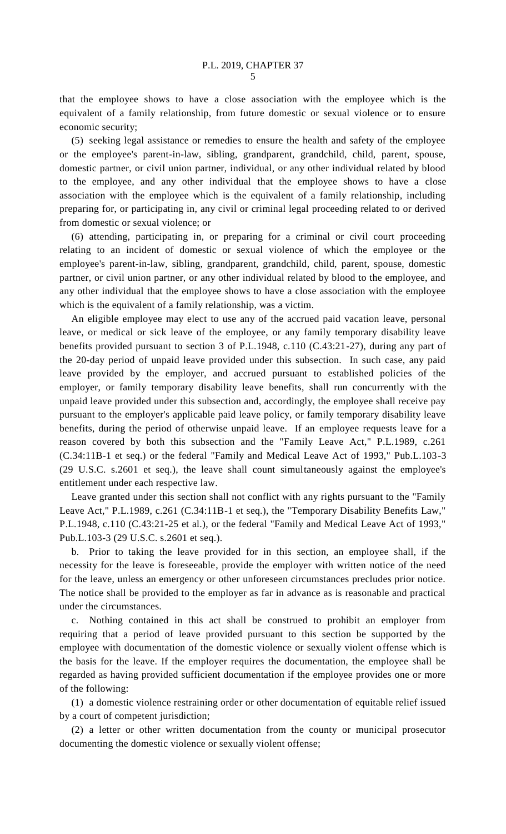that the employee shows to have a close association with the employee which is the equivalent of a family relationship, from future domestic or sexual violence or to ensure economic security;

(5) seeking legal assistance or remedies to ensure the health and safety of the employee or the employee's parent-in-law, sibling, grandparent, grandchild, child, parent, spouse, domestic partner, or civil union partner, individual, or any other individual related by blood to the employee, and any other individual that the employee shows to have a close association with the employee which is the equivalent of a family relationship, including preparing for, or participating in, any civil or criminal legal proceeding related to or derived from domestic or sexual violence; or

(6) attending, participating in, or preparing for a criminal or civil court proceeding relating to an incident of domestic or sexual violence of which the employee or the employee's parent-in-law, sibling, grandparent, grandchild, child, parent, spouse, domestic partner, or civil union partner, or any other individual related by blood to the employee, and any other individual that the employee shows to have a close association with the employee which is the equivalent of a family relationship, was a victim.

An eligible employee may elect to use any of the accrued paid vacation leave, personal leave, or medical or sick leave of the employee, or any family temporary disability leave benefits provided pursuant to section 3 of P.L.1948, c.110 (C.43:21-27), during any part of the 20-day period of unpaid leave provided under this subsection. In such case, any paid leave provided by the employer, and accrued pursuant to established policies of the employer, or family temporary disability leave benefits, shall run concurrently with the unpaid leave provided under this subsection and, accordingly, the employee shall receive pay pursuant to the employer's applicable paid leave policy, or family temporary disability leave benefits, during the period of otherwise unpaid leave. If an employee requests leave for a reason covered by both this subsection and the "Family Leave Act," P.L.1989, c.261 (C.34:11B-1 et seq.) or the federal "Family and Medical Leave Act of 1993," Pub.L.103-3 (29 U.S.C. s.2601 et seq.), the leave shall count simultaneously against the employee's entitlement under each respective law.

Leave granted under this section shall not conflict with any rights pursuant to the "Family Leave Act," P.L.1989, c.261 (C.34:11B-1 et seq.), the "Temporary Disability Benefits Law," P.L.1948, c.110 (C.43:21-25 et al.), or the federal "Family and Medical Leave Act of 1993," Pub.L.103-3 (29 U.S.C. s.2601 et seq.).

b. Prior to taking the leave provided for in this section, an employee shall, if the necessity for the leave is foreseeable, provide the employer with written notice of the need for the leave, unless an emergency or other unforeseen circumstances precludes prior notice. The notice shall be provided to the employer as far in advance as is reasonable and practical under the circumstances.

c. Nothing contained in this act shall be construed to prohibit an employer from requiring that a period of leave provided pursuant to this section be supported by the employee with documentation of the domestic violence or sexually violent offense which is the basis for the leave. If the employer requires the documentation, the employee shall be regarded as having provided sufficient documentation if the employee provides one or more of the following:

(1) a domestic violence restraining order or other documentation of equitable relief issued by a court of competent jurisdiction;

(2) a letter or other written documentation from the county or municipal prosecutor documenting the domestic violence or sexually violent offense;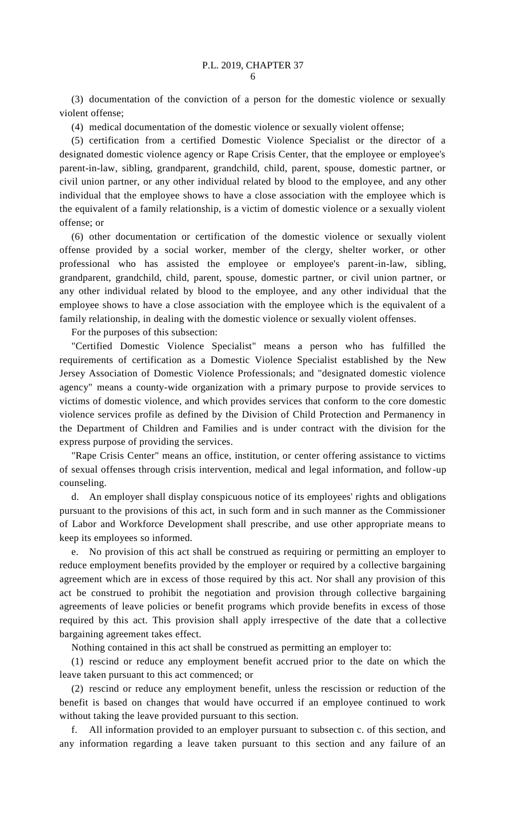(3) documentation of the conviction of a person for the domestic violence or sexually violent offense;

(4) medical documentation of the domestic violence or sexually violent offense;

(5) certification from a certified Domestic Violence Specialist or the director of a designated domestic violence agency or Rape Crisis Center, that the employee or employee's parent-in-law, sibling, grandparent, grandchild, child, parent, spouse, domestic partner, or civil union partner, or any other individual related by blood to the employee, and any other individual that the employee shows to have a close association with the employee which is the equivalent of a family relationship, is a victim of domestic violence or a sexually violent offense; or

(6) other documentation or certification of the domestic violence or sexually violent offense provided by a social worker, member of the clergy, shelter worker, or other professional who has assisted the employee or employee's parent-in-law, sibling, grandparent, grandchild, child, parent, spouse, domestic partner, or civil union partner, or any other individual related by blood to the employee, and any other individual that the employee shows to have a close association with the employee which is the equivalent of a family relationship, in dealing with the domestic violence or sexually violent offenses.

For the purposes of this subsection:

"Certified Domestic Violence Specialist" means a person who has fulfilled the requirements of certification as a Domestic Violence Specialist established by the New Jersey Association of Domestic Violence Professionals; and "designated domestic violence agency" means a county-wide organization with a primary purpose to provide services to victims of domestic violence, and which provides services that conform to the core domestic violence services profile as defined by the Division of Child Protection and Permanency in the Department of Children and Families and is under contract with the division for the express purpose of providing the services.

"Rape Crisis Center" means an office, institution, or center offering assistance to victims of sexual offenses through crisis intervention, medical and legal information, and follow-up counseling.

d. An employer shall display conspicuous notice of its employees' rights and obligations pursuant to the provisions of this act, in such form and in such manner as the Commissioner of Labor and Workforce Development shall prescribe, and use other appropriate means to keep its employees so informed.

e. No provision of this act shall be construed as requiring or permitting an employer to reduce employment benefits provided by the employer or required by a collective bargaining agreement which are in excess of those required by this act. Nor shall any provision of this act be construed to prohibit the negotiation and provision through collective bargaining agreements of leave policies or benefit programs which provide benefits in excess of those required by this act. This provision shall apply irrespective of the date that a collective bargaining agreement takes effect.

Nothing contained in this act shall be construed as permitting an employer to:

(1) rescind or reduce any employment benefit accrued prior to the date on which the leave taken pursuant to this act commenced; or

(2) rescind or reduce any employment benefit, unless the rescission or reduction of the benefit is based on changes that would have occurred if an employee continued to work without taking the leave provided pursuant to this section.

f. All information provided to an employer pursuant to subsection c. of this section, and any information regarding a leave taken pursuant to this section and any failure of an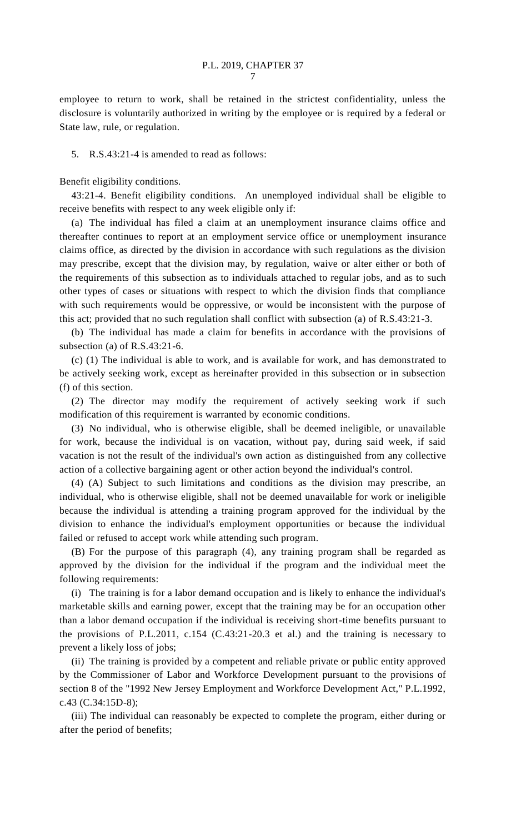employee to return to work, shall be retained in the strictest confidentiality, unless the disclosure is voluntarily authorized in writing by the employee or is required by a federal or State law, rule, or regulation.

## 5. R.S.43:21-4 is amended to read as follows:

Benefit eligibility conditions.

43:21-4. Benefit eligibility conditions. An unemployed individual shall be eligible to receive benefits with respect to any week eligible only if:

(a) The individual has filed a claim at an unemployment insurance claims office and thereafter continues to report at an employment service office or unemployment insurance claims office, as directed by the division in accordance with such regulations as the division may prescribe, except that the division may, by regulation, waive or alter either or both of the requirements of this subsection as to individuals attached to regular jobs, and as to such other types of cases or situations with respect to which the division finds that compliance with such requirements would be oppressive, or would be inconsistent with the purpose of this act; provided that no such regulation shall conflict with subsection (a) of R.S.43:21-3.

(b) The individual has made a claim for benefits in accordance with the provisions of subsection (a) of R.S.43:21-6.

(c) (1) The individual is able to work, and is available for work, and has demonstrated to be actively seeking work, except as hereinafter provided in this subsection or in subsection (f) of this section.

(2) The director may modify the requirement of actively seeking work if such modification of this requirement is warranted by economic conditions.

(3) No individual, who is otherwise eligible, shall be deemed ineligible, or unavailable for work, because the individual is on vacation, without pay, during said week, if said vacation is not the result of the individual's own action as distinguished from any collective action of a collective bargaining agent or other action beyond the individual's control.

(4) (A) Subject to such limitations and conditions as the division may prescribe, an individual, who is otherwise eligible, shall not be deemed unavailable for work or ineligible because the individual is attending a training program approved for the individual by the division to enhance the individual's employment opportunities or because the individual failed or refused to accept work while attending such program.

(B) For the purpose of this paragraph (4), any training program shall be regarded as approved by the division for the individual if the program and the individual meet the following requirements:

(i) The training is for a labor demand occupation and is likely to enhance the individual's marketable skills and earning power, except that the training may be for an occupation other than a labor demand occupation if the individual is receiving short-time benefits pursuant to the provisions of P.L.2011, c.154 (C.43:21-20.3 et al.) and the training is necessary to prevent a likely loss of jobs;

(ii) The training is provided by a competent and reliable private or public entity approved by the Commissioner of Labor and Workforce Development pursuant to the provisions of section 8 of the "1992 New Jersey Employment and Workforce Development Act," P.L.1992, c.43 (C.34:15D-8);

(iii) The individual can reasonably be expected to complete the program, either during or after the period of benefits;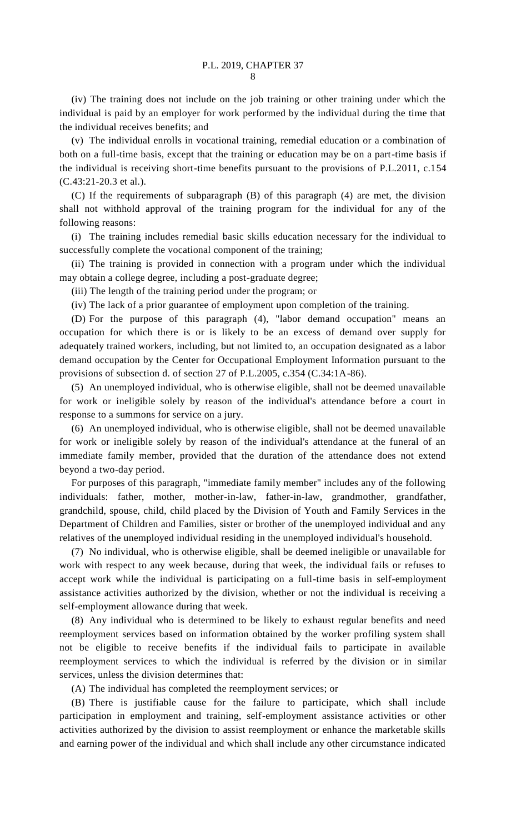(iv) The training does not include on the job training or other training under which the individual is paid by an employer for work performed by the individual during the time that the individual receives benefits; and

(v) The individual enrolls in vocational training, remedial education or a combination of both on a full-time basis, except that the training or education may be on a part-time basis if the individual is receiving short-time benefits pursuant to the provisions of P.L.2011, c.154 (C.43:21-20.3 et al.).

(C) If the requirements of subparagraph (B) of this paragraph (4) are met, the division shall not withhold approval of the training program for the individual for any of the following reasons:

(i) The training includes remedial basic skills education necessary for the individual to successfully complete the vocational component of the training;

(ii) The training is provided in connection with a program under which the individual may obtain a college degree, including a post-graduate degree;

(iii) The length of the training period under the program; or

(iv) The lack of a prior guarantee of employment upon completion of the training.

(D) For the purpose of this paragraph (4), "labor demand occupation" means an occupation for which there is or is likely to be an excess of demand over supply for adequately trained workers, including, but not limited to, an occupation designated as a labor demand occupation by the Center for Occupational Employment Information pursuant to the provisions of subsection d. of section 27 of P.L.2005, c.354 (C.34:1A-86).

(5) An unemployed individual, who is otherwise eligible, shall not be deemed unavailable for work or ineligible solely by reason of the individual's attendance before a court in response to a summons for service on a jury.

(6) An unemployed individual, who is otherwise eligible, shall not be deemed unavailable for work or ineligible solely by reason of the individual's attendance at the funeral of an immediate family member, provided that the duration of the attendance does not extend beyond a two-day period.

For purposes of this paragraph, "immediate family member" includes any of the following individuals: father, mother, mother-in-law, father-in-law, grandmother, grandfather, grandchild, spouse, child, child placed by the Division of Youth and Family Services in the Department of Children and Families, sister or brother of the unemployed individual and any relatives of the unemployed individual residing in the unemployed individual's household.

(7) No individual, who is otherwise eligible, shall be deemed ineligible or unavailable for work with respect to any week because, during that week, the individual fails or refuses to accept work while the individual is participating on a full-time basis in self-employment assistance activities authorized by the division, whether or not the individual is receiving a self-employment allowance during that week.

(8) Any individual who is determined to be likely to exhaust regular benefits and need reemployment services based on information obtained by the worker profiling system shall not be eligible to receive benefits if the individual fails to participate in available reemployment services to which the individual is referred by the division or in similar services, unless the division determines that:

(A) The individual has completed the reemployment services; or

(B) There is justifiable cause for the failure to participate, which shall include participation in employment and training, self-employment assistance activities or other activities authorized by the division to assist reemployment or enhance the marketable skills and earning power of the individual and which shall include any other circumstance indicated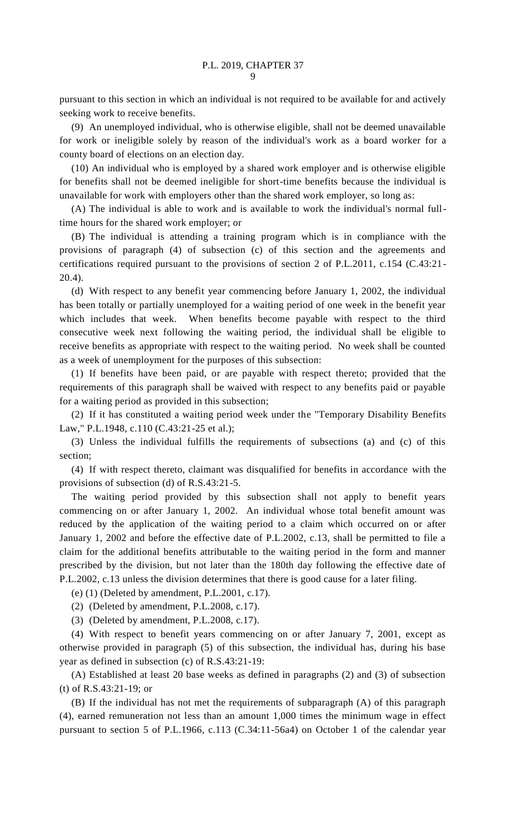pursuant to this section in which an individual is not required to be available for and actively seeking work to receive benefits.

(9) An unemployed individual, who is otherwise eligible, shall not be deemed unavailable for work or ineligible solely by reason of the individual's work as a board worker for a county board of elections on an election day.

(10) An individual who is employed by a shared work employer and is otherwise eligible for benefits shall not be deemed ineligible for short-time benefits because the individual is unavailable for work with employers other than the shared work employer, so long as:

(A) The individual is able to work and is available to work the individual's normal fulltime hours for the shared work employer; or

(B) The individual is attending a training program which is in compliance with the provisions of paragraph (4) of subsection (c) of this section and the agreements and certifications required pursuant to the provisions of section 2 of P.L.2011, c.154 (C.43:21- 20.4).

(d) With respect to any benefit year commencing before January 1, 2002, the individual has been totally or partially unemployed for a waiting period of one week in the benefit year which includes that week. When benefits become payable with respect to the third consecutive week next following the waiting period, the individual shall be eligible to receive benefits as appropriate with respect to the waiting period. No week shall be counted as a week of unemployment for the purposes of this subsection:

(1) If benefits have been paid, or are payable with respect thereto; provided that the requirements of this paragraph shall be waived with respect to any benefits paid or payable for a waiting period as provided in this subsection;

(2) If it has constituted a waiting period week under the "Temporary Disability Benefits Law," P.L.1948, c.110 (C.43:21-25 et al.);

(3) Unless the individual fulfills the requirements of subsections (a) and (c) of this section;

(4) If with respect thereto, claimant was disqualified for benefits in accordance with the provisions of subsection (d) of R.S.43:21-5.

The waiting period provided by this subsection shall not apply to benefit years commencing on or after January 1, 2002. An individual whose total benefit amount was reduced by the application of the waiting period to a claim which occurred on or after January 1, 2002 and before the effective date of P.L.2002, c.13, shall be permitted to file a claim for the additional benefits attributable to the waiting period in the form and manner prescribed by the division, but not later than the 180th day following the effective date of P.L.2002, c.13 unless the division determines that there is good cause for a later filing.

(e) (1) (Deleted by amendment, P.L.2001, c.17).

(2) (Deleted by amendment, P.L.2008, c.17).

(3) (Deleted by amendment, P.L.2008, c.17).

(4) With respect to benefit years commencing on or after January 7, 2001, except as otherwise provided in paragraph (5) of this subsection, the individual has, during his base year as defined in subsection (c) of R.S.43:21-19:

(A) Established at least 20 base weeks as defined in paragraphs (2) and (3) of subsection (t) of R.S.43:21-19; or

(B) If the individual has not met the requirements of subparagraph (A) of this paragraph (4), earned remuneration not less than an amount 1,000 times the minimum wage in effect pursuant to section 5 of P.L.1966, c.113 (C.34:11-56a4) on October 1 of the calendar year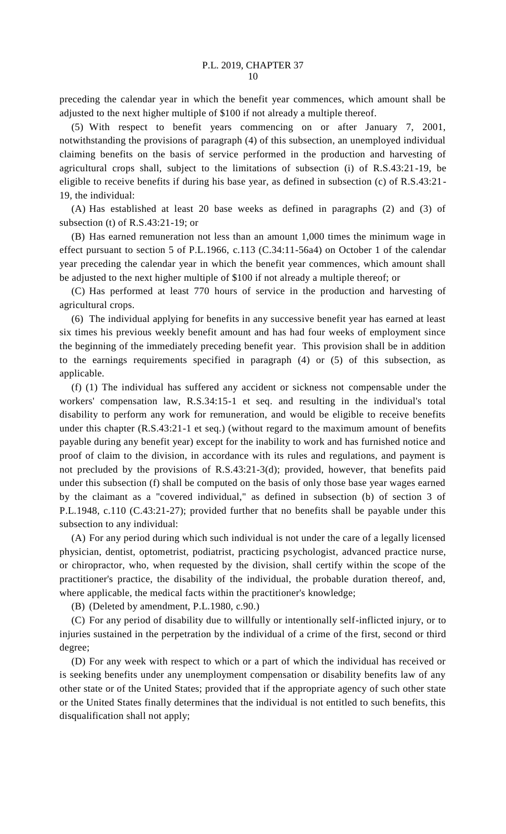preceding the calendar year in which the benefit year commences, which amount shall be adjusted to the next higher multiple of \$100 if not already a multiple thereof.

(5) With respect to benefit years commencing on or after January 7, 2001, notwithstanding the provisions of paragraph (4) of this subsection, an unemployed individual claiming benefits on the basis of service performed in the production and harvesting of agricultural crops shall, subject to the limitations of subsection (i) of R.S.43:21-19, be eligible to receive benefits if during his base year, as defined in subsection (c) of R.S.43:21- 19, the individual:

(A) Has established at least 20 base weeks as defined in paragraphs (2) and (3) of subsection (t) of R.S.43:21-19; or

(B) Has earned remuneration not less than an amount 1,000 times the minimum wage in effect pursuant to section 5 of P.L.1966, c.113 (C.34:11-56a4) on October 1 of the calendar year preceding the calendar year in which the benefit year commences, which amount shall be adjusted to the next higher multiple of \$100 if not already a multiple thereof; or

(C) Has performed at least 770 hours of service in the production and harvesting of agricultural crops.

(6) The individual applying for benefits in any successive benefit year has earned at least six times his previous weekly benefit amount and has had four weeks of employment since the beginning of the immediately preceding benefit year. This provision shall be in addition to the earnings requirements specified in paragraph (4) or (5) of this subsection, as applicable.

(f) (1) The individual has suffered any accident or sickness not compensable under the workers' compensation law, R.S.34:15-1 et seq. and resulting in the individual's total disability to perform any work for remuneration, and would be eligible to receive benefits under this chapter (R.S.43:21-1 et seq.) (without regard to the maximum amount of benefits payable during any benefit year) except for the inability to work and has furnished notice and proof of claim to the division, in accordance with its rules and regulations, and payment is not precluded by the provisions of R.S.43:21-3(d); provided, however, that benefits paid under this subsection (f) shall be computed on the basis of only those base year wages earned by the claimant as a "covered individual," as defined in subsection (b) of section 3 of P.L.1948, c.110 (C.43:21-27); provided further that no benefits shall be payable under this subsection to any individual:

(A) For any period during which such individual is not under the care of a legally licensed physician, dentist, optometrist, podiatrist, practicing psychologist, advanced practice nurse, or chiropractor, who, when requested by the division, shall certify within the scope of the practitioner's practice, the disability of the individual, the probable duration thereof, and, where applicable, the medical facts within the practitioner's knowledge;

(B) (Deleted by amendment, P.L.1980, c.90.)

(C) For any period of disability due to willfully or intentionally self-inflicted injury, or to injuries sustained in the perpetration by the individual of a crime of the first, second or third degree;

(D) For any week with respect to which or a part of which the individual has received or is seeking benefits under any unemployment compensation or disability benefits law of any other state or of the United States; provided that if the appropriate agency of such other state or the United States finally determines that the individual is not entitled to such benefits, this disqualification shall not apply;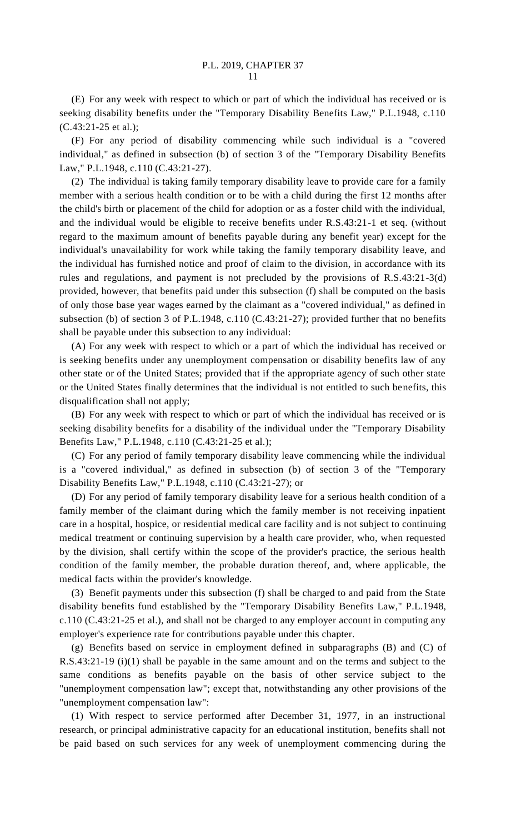(E) For any week with respect to which or part of which the individual has received or is seeking disability benefits under the "Temporary Disability Benefits Law," P.L.1948, c.110 (C.43:21-25 et al.);

(F) For any period of disability commencing while such individual is a "covered individual," as defined in subsection (b) of section 3 of the "Temporary Disability Benefits Law," P.L.1948, c.110 (C.43:21-27).

(2) The individual is taking family temporary disability leave to provide care for a family member with a serious health condition or to be with a child during the first 12 months after the child's birth or placement of the child for adoption or as a foster child with the individual, and the individual would be eligible to receive benefits under R.S.43:21-1 et seq. (without regard to the maximum amount of benefits payable during any benefit year) except for the individual's unavailability for work while taking the family temporary disability leave, and the individual has furnished notice and proof of claim to the division, in accordance with its rules and regulations, and payment is not precluded by the provisions of R.S.43:21-3(d) provided, however, that benefits paid under this subsection (f) shall be computed on the basis of only those base year wages earned by the claimant as a "covered individual," as defined in subsection (b) of section 3 of P.L.1948, c.110 (C.43:21-27); provided further that no benefits shall be payable under this subsection to any individual:

(A) For any week with respect to which or a part of which the individual has received or is seeking benefits under any unemployment compensation or disability benefits law of any other state or of the United States; provided that if the appropriate agency of such other state or the United States finally determines that the individual is not entitled to such benefits, this disqualification shall not apply;

(B) For any week with respect to which or part of which the individual has received or is seeking disability benefits for a disability of the individual under the "Temporary Disability Benefits Law," P.L.1948, c.110 (C.43:21-25 et al.);

(C) For any period of family temporary disability leave commencing while the individual is a "covered individual," as defined in subsection (b) of section 3 of the "Temporary Disability Benefits Law," P.L.1948, c.110 (C.43:21-27); or

(D) For any period of family temporary disability leave for a serious health condition of a family member of the claimant during which the family member is not receiving inpatient care in a hospital, hospice, or residential medical care facility and is not subject to continuing medical treatment or continuing supervision by a health care provider, who, when requested by the division, shall certify within the scope of the provider's practice, the serious health condition of the family member, the probable duration thereof, and, where applicable, the medical facts within the provider's knowledge.

(3) Benefit payments under this subsection (f) shall be charged to and paid from the State disability benefits fund established by the "Temporary Disability Benefits Law," P.L.1948, c.110 (C.43:21-25 et al.), and shall not be charged to any employer account in computing any employer's experience rate for contributions payable under this chapter.

(g) Benefits based on service in employment defined in subparagraphs (B) and (C) of R.S.43:21-19 (i)(1) shall be payable in the same amount and on the terms and subject to the same conditions as benefits payable on the basis of other service subject to the "unemployment compensation law"; except that, notwithstanding any other provisions of the "unemployment compensation law":

(1) With respect to service performed after December 31, 1977, in an instructional research, or principal administrative capacity for an educational institution, benefits shall not be paid based on such services for any week of unemployment commencing during the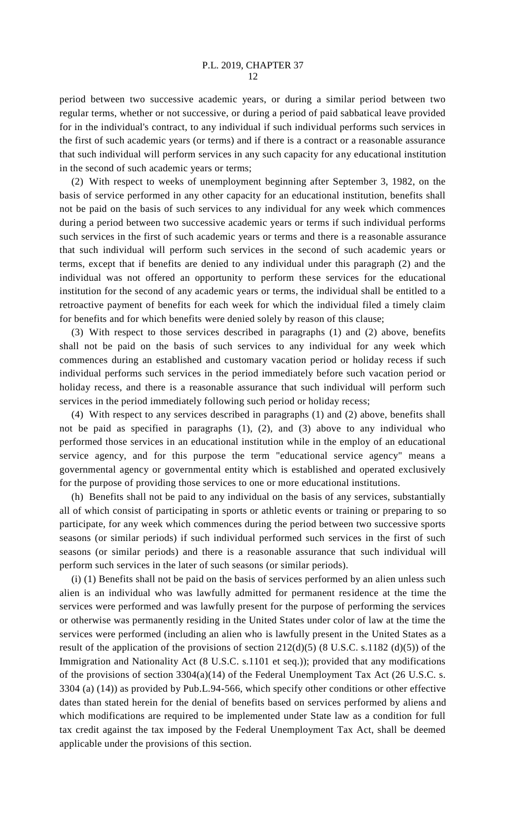period between two successive academic years, or during a similar period between two regular terms, whether or not successive, or during a period of paid sabbatical leave provided for in the individual's contract, to any individual if such individual performs such services in the first of such academic years (or terms) and if there is a contract or a reasonable assurance that such individual will perform services in any such capacity for any educational institution in the second of such academic years or terms;

(2) With respect to weeks of unemployment beginning after September 3, 1982, on the basis of service performed in any other capacity for an educational institution, benefits shall not be paid on the basis of such services to any individual for any week which commences during a period between two successive academic years or terms if such individual performs such services in the first of such academic years or terms and there is a reasonable assurance that such individual will perform such services in the second of such academic years or terms, except that if benefits are denied to any individual under this paragraph (2) and the individual was not offered an opportunity to perform these services for the educational institution for the second of any academic years or terms, the individual shall be entitled to a retroactive payment of benefits for each week for which the individual filed a timely claim for benefits and for which benefits were denied solely by reason of this clause;

(3) With respect to those services described in paragraphs (1) and (2) above, benefits shall not be paid on the basis of such services to any individual for any week which commences during an established and customary vacation period or holiday recess if such individual performs such services in the period immediately before such vacation period or holiday recess, and there is a reasonable assurance that such individual will perform such services in the period immediately following such period or holiday recess;

(4) With respect to any services described in paragraphs (1) and (2) above, benefits shall not be paid as specified in paragraphs (1), (2), and (3) above to any individual who performed those services in an educational institution while in the employ of an educational service agency, and for this purpose the term "educational service agency" means a governmental agency or governmental entity which is established and operated exclusively for the purpose of providing those services to one or more educational institutions.

(h) Benefits shall not be paid to any individual on the basis of any services, substantially all of which consist of participating in sports or athletic events or training or preparing to so participate, for any week which commences during the period between two successive sports seasons (or similar periods) if such individual performed such services in the first of such seasons (or similar periods) and there is a reasonable assurance that such individual will perform such services in the later of such seasons (or similar periods).

(i) (1) Benefits shall not be paid on the basis of services performed by an alien unless such alien is an individual who was lawfully admitted for permanent residence at the time the services were performed and was lawfully present for the purpose of performing the services or otherwise was permanently residing in the United States under color of law at the time the services were performed (including an alien who is lawfully present in the United States as a result of the application of the provisions of section  $212(d)(5)$  (8 U.S.C. s.1182 (d)(5)) of the Immigration and Nationality Act (8 U.S.C. s.1101 et seq.)); provided that any modifications of the provisions of section 3304(a)(14) of the Federal Unemployment Tax Act (26 U.S.C. s. 3304 (a) (14)) as provided by Pub.L.94-566, which specify other conditions or other effective dates than stated herein for the denial of benefits based on services performed by aliens and which modifications are required to be implemented under State law as a condition for full tax credit against the tax imposed by the Federal Unemployment Tax Act, shall be deemed applicable under the provisions of this section.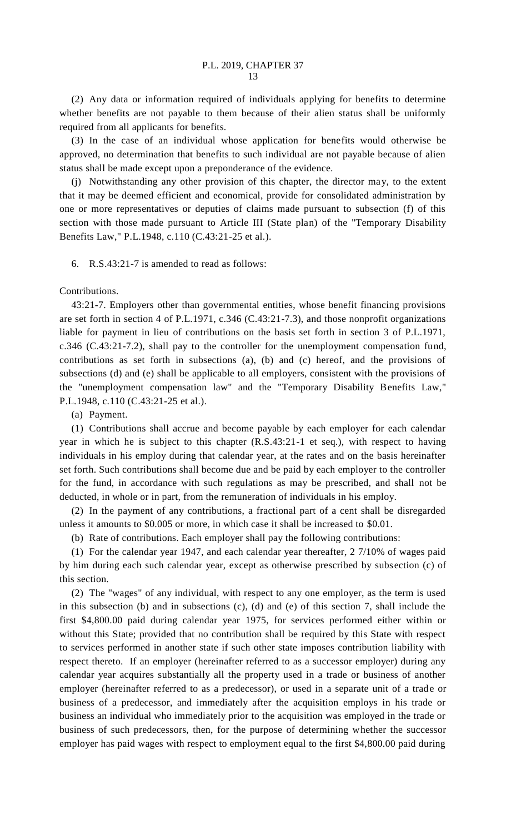(2) Any data or information required of individuals applying for benefits to determine whether benefits are not payable to them because of their alien status shall be uniformly required from all applicants for benefits.

(3) In the case of an individual whose application for benefits would otherwise be approved, no determination that benefits to such individual are not payable because of alien status shall be made except upon a preponderance of the evidence.

(j) Notwithstanding any other provision of this chapter, the director may, to the extent that it may be deemed efficient and economical, provide for consolidated administration by one or more representatives or deputies of claims made pursuant to subsection (f) of this section with those made pursuant to Article III (State plan) of the "Temporary Disability Benefits Law," P.L.1948, c.110 (C.43:21-25 et al.).

6. R.S.43:21-7 is amended to read as follows:

Contributions.

43:21-7. Employers other than governmental entities, whose benefit financing provisions are set forth in section 4 of P.L.1971, c.346 (C.43:21-7.3), and those nonprofit organizations liable for payment in lieu of contributions on the basis set forth in section 3 of P.L.1971, c.346 (C.43:21-7.2), shall pay to the controller for the unemployment compensation fund, contributions as set forth in subsections (a), (b) and (c) hereof, and the provisions of subsections (d) and (e) shall be applicable to all employers, consistent with the provisions of the "unemployment compensation law" and the "Temporary Disability Benefits Law," P.L.1948, c.110 (C.43:21-25 et al.).

(a) Payment.

(1) Contributions shall accrue and become payable by each employer for each calendar year in which he is subject to this chapter (R.S.43:21-1 et seq.), with respect to having individuals in his employ during that calendar year, at the rates and on the basis hereinafter set forth. Such contributions shall become due and be paid by each employer to the controller for the fund, in accordance with such regulations as may be prescribed, and shall not be deducted, in whole or in part, from the remuneration of individuals in his employ.

(2) In the payment of any contributions, a fractional part of a cent shall be disregarded unless it amounts to \$0.005 or more, in which case it shall be increased to \$0.01.

(b) Rate of contributions. Each employer shall pay the following contributions:

(1) For the calendar year 1947, and each calendar year thereafter, 2 7/10% of wages paid by him during each such calendar year, except as otherwise prescribed by subsection (c) of this section.

(2) The "wages" of any individual, with respect to any one employer, as the term is used in this subsection (b) and in subsections (c), (d) and (e) of this section 7, shall include the first \$4,800.00 paid during calendar year 1975, for services performed either within or without this State; provided that no contribution shall be required by this State with respect to services performed in another state if such other state imposes contribution liability with respect thereto. If an employer (hereinafter referred to as a successor employer) during any calendar year acquires substantially all the property used in a trade or business of another employer (hereinafter referred to as a predecessor), or used in a separate unit of a trade or business of a predecessor, and immediately after the acquisition employs in his trade or business an individual who immediately prior to the acquisition was employed in the trade or business of such predecessors, then, for the purpose of determining whether the successor employer has paid wages with respect to employment equal to the first \$4,800.00 paid during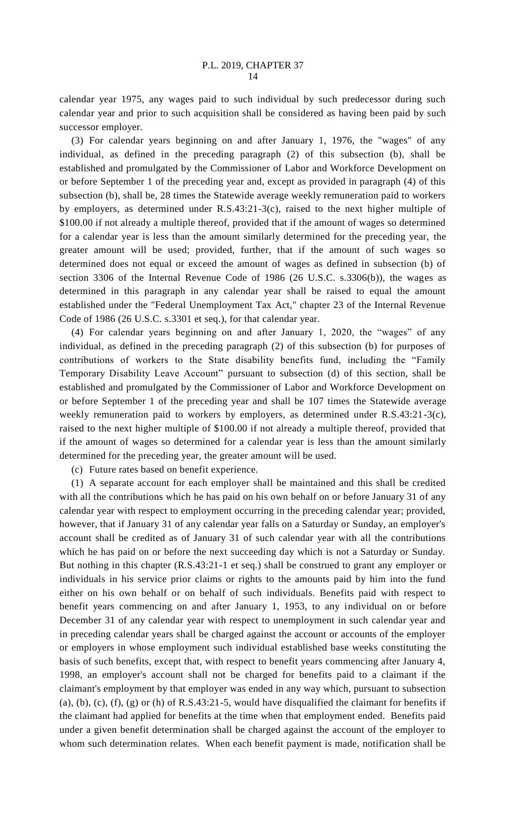calendar year 1975, any wages paid to such individual by such predecessor during such calendar year and prior to such acquisition shall be considered as having been paid by such successor employer.

(3) For calendar years beginning on and after January 1, 1976, the "wages" of any individual, as defined in the preceding paragraph (2) of this subsection (b), shall be established and promulgated by the Commissioner of Labor and Workforce Development on or before September 1 of the preceding year and, except as provided in paragraph (4) of this subsection (b), shall be, 28 times the Statewide average weekly remuneration paid to workers by employers, as determined under R.S.43:21-3(c), raised to the next higher multiple of \$100.00 if not already a multiple thereof, provided that if the amount of wages so determined for a calendar year is less than the amount similarly determined for the preceding year, the greater amount will be used; provided, further, that if the amount of such wages so determined does not equal or exceed the amount of wages as defined in subsection (b) of section 3306 of the Internal Revenue Code of 1986 (26 U.S.C. s.3306(b)), the wages as determined in this paragraph in any calendar year shall be raised to equal the amount established under the "Federal Unemployment Tax Act," chapter 23 of the Internal Revenue Code of 1986 (26 U.S.C. s.3301 et seq.), for that calendar year.

(4) For calendar years beginning on and after January 1, 2020, the "wages" of any individual, as defined in the preceding paragraph (2) of this subsection (b) for purposes of contributions of workers to the State disability benefits fund, including the "Family Temporary Disability Leave Account" pursuant to subsection (d) of this section, shall be established and promulgated by the Commissioner of Labor and Workforce Development on or before September 1 of the preceding year and shall be 107 times the Statewide average weekly remuneration paid to workers by employers, as determined under R.S.43:21-3(c), raised to the next higher multiple of \$100.00 if not already a multiple thereof, provided that if the amount of wages so determined for a calendar year is less than the amount similarly determined for the preceding year, the greater amount will be used.

(c) Future rates based on benefit experience.

(1) A separate account for each employer shall be maintained and this shall be credited with all the contributions which he has paid on his own behalf on or before January 31 of any calendar year with respect to employment occurring in the preceding calendar year; provided, however, that if January 31 of any calendar year falls on a Saturday or Sunday, an employer's account shall be credited as of January 31 of such calendar year with all the contributions which he has paid on or before the next succeeding day which is not a Saturday or Sunday. But nothing in this chapter (R.S.43:21-1 et seq.) shall be construed to grant any employer or individuals in his service prior claims or rights to the amounts paid by him into the fund either on his own behalf or on behalf of such individuals. Benefits paid with respect to benefit years commencing on and after January 1, 1953, to any individual on or before December 31 of any calendar year with respect to unemployment in such calendar year and in preceding calendar years shall be charged against the account or accounts of the employer or employers in whose employment such individual established base weeks constituting the basis of such benefits, except that, with respect to benefit years commencing after January 4, 1998, an employer's account shall not be charged for benefits paid to a claimant if the claimant's employment by that employer was ended in any way which, pursuant to subsection (a), (b), (c), (f), (g) or (h) of R.S.43:21-5, would have disqualified the claimant for benefits if the claimant had applied for benefits at the time when that employment ended. Benefits paid under a given benefit determination shall be charged against the account of the employer to whom such determination relates. When each benefit payment is made, notification shall be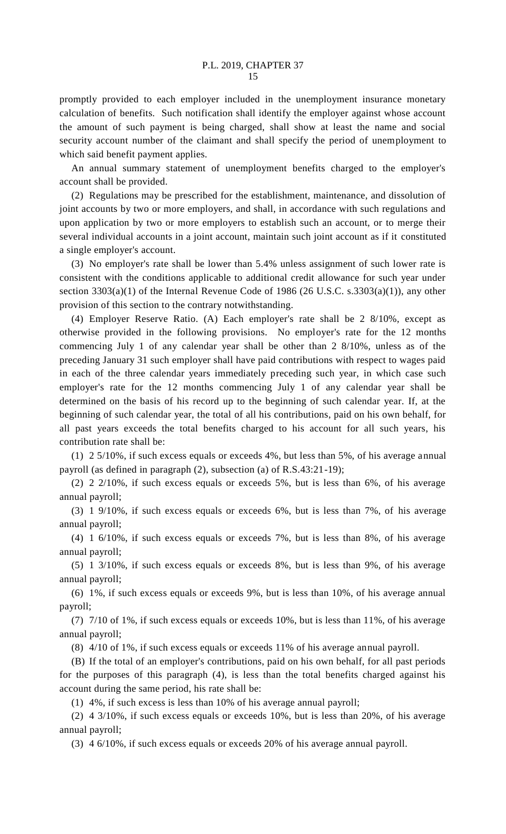promptly provided to each employer included in the unemployment insurance monetary calculation of benefits. Such notification shall identify the employer against whose account the amount of such payment is being charged, shall show at least the name and social security account number of the claimant and shall specify the period of unemployment to which said benefit payment applies.

An annual summary statement of unemployment benefits charged to the employer's account shall be provided.

(2) Regulations may be prescribed for the establishment, maintenance, and dissolution of joint accounts by two or more employers, and shall, in accordance with such regulations and upon application by two or more employers to establish such an account, or to merge their several individual accounts in a joint account, maintain such joint account as if it constituted a single employer's account.

(3) No employer's rate shall be lower than 5.4% unless assignment of such lower rate is consistent with the conditions applicable to additional credit allowance for such year under section  $3303(a)(1)$  of the Internal Revenue Code of 1986 (26 U.S.C. s.3303(a)(1)), any other provision of this section to the contrary notwithstanding.

(4) Employer Reserve Ratio. (A) Each employer's rate shall be 2 8/10%, except as otherwise provided in the following provisions. No employer's rate for the 12 months commencing July 1 of any calendar year shall be other than 2 8/10%, unless as of the preceding January 31 such employer shall have paid contributions with respect to wages paid in each of the three calendar years immediately preceding such year, in which case such employer's rate for the 12 months commencing July 1 of any calendar year shall be determined on the basis of his record up to the beginning of such calendar year. If, at the beginning of such calendar year, the total of all his contributions, paid on his own behalf, for all past years exceeds the total benefits charged to his account for all such years, his contribution rate shall be:

(1) 2 5/10%, if such excess equals or exceeds 4%, but less than 5%, of his average annual payroll (as defined in paragraph (2), subsection (a) of R.S.43:21-19);

(2) 2 2/10%, if such excess equals or exceeds 5%, but is less than 6%, of his average annual payroll;

(3) 1 9/10%, if such excess equals or exceeds 6%, but is less than 7%, of his average annual payroll;

(4) 1 6/10%, if such excess equals or exceeds 7%, but is less than 8%, of his average annual payroll;

(5) 1 3/10%, if such excess equals or exceeds 8%, but is less than 9%, of his average annual payroll;

(6) 1%, if such excess equals or exceeds 9%, but is less than 10%, of his average annual payroll;

(7) 7/10 of 1%, if such excess equals or exceeds 10%, but is less than 11%, of his average annual payroll;

(8) 4/10 of 1%, if such excess equals or exceeds 11% of his average annual payroll.

(B) If the total of an employer's contributions, paid on his own behalf, for all past periods for the purposes of this paragraph (4), is less than the total benefits charged against his account during the same period, his rate shall be:

(1) 4%, if such excess is less than 10% of his average annual payroll;

(2) 4 3/10%, if such excess equals or exceeds 10%, but is less than 20%, of his average annual payroll;

(3) 4 6/10%, if such excess equals or exceeds 20% of his average annual payroll.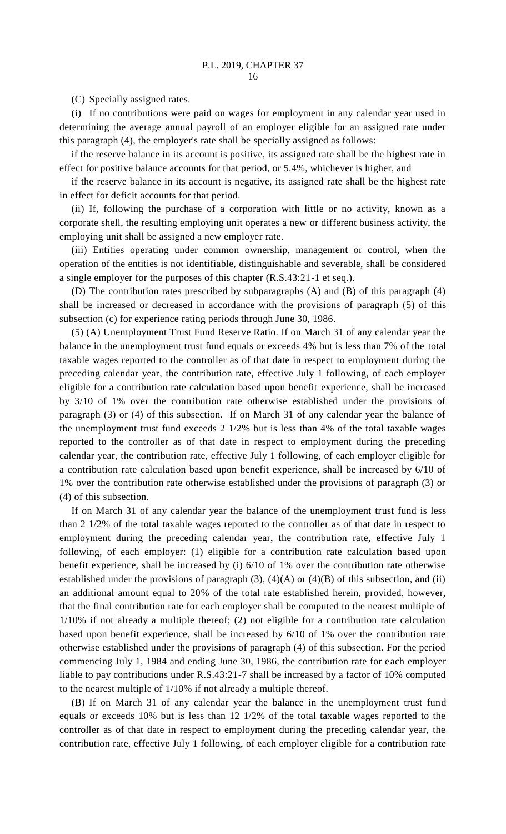(C) Specially assigned rates.

(i) If no contributions were paid on wages for employment in any calendar year used in determining the average annual payroll of an employer eligible for an assigned rate under this paragraph (4), the employer's rate shall be specially assigned as follows:

if the reserve balance in its account is positive, its assigned rate shall be the highest rate in effect for positive balance accounts for that period, or 5.4%, whichever is higher, and

if the reserve balance in its account is negative, its assigned rate shall be the highest rate in effect for deficit accounts for that period.

(ii) If, following the purchase of a corporation with little or no activity, known as a corporate shell, the resulting employing unit operates a new or different business activity, the employing unit shall be assigned a new employer rate.

(iii) Entities operating under common ownership, management or control, when the operation of the entities is not identifiable, distinguishable and severable, shall be considered a single employer for the purposes of this chapter (R.S.43:21-1 et seq.).

(D) The contribution rates prescribed by subparagraphs (A) and (B) of this paragraph (4) shall be increased or decreased in accordance with the provisions of paragraph (5) of this subsection (c) for experience rating periods through June 30, 1986.

(5) (A) Unemployment Trust Fund Reserve Ratio. If on March 31 of any calendar year the balance in the unemployment trust fund equals or exceeds 4% but is less than 7% of the total taxable wages reported to the controller as of that date in respect to employment during the preceding calendar year, the contribution rate, effective July 1 following, of each employer eligible for a contribution rate calculation based upon benefit experience, shall be increased by 3/10 of 1% over the contribution rate otherwise established under the provisions of paragraph (3) or (4) of this subsection. If on March 31 of any calendar year the balance of the unemployment trust fund exceeds 2 1/2% but is less than 4% of the total taxable wages reported to the controller as of that date in respect to employment during the preceding calendar year, the contribution rate, effective July 1 following, of each employer eligible for a contribution rate calculation based upon benefit experience, shall be increased by 6/10 of 1% over the contribution rate otherwise established under the provisions of paragraph (3) or (4) of this subsection.

If on March 31 of any calendar year the balance of the unemployment trust fund is less than 2 1/2% of the total taxable wages reported to the controller as of that date in respect to employment during the preceding calendar year, the contribution rate, effective July 1 following, of each employer: (1) eligible for a contribution rate calculation based upon benefit experience, shall be increased by (i) 6/10 of 1% over the contribution rate otherwise established under the provisions of paragraph  $(3)$ ,  $(4)(A)$  or  $(4)(B)$  of this subsection, and (ii) an additional amount equal to 20% of the total rate established herein, provided, however, that the final contribution rate for each employer shall be computed to the nearest multiple of 1/10% if not already a multiple thereof; (2) not eligible for a contribution rate calculation based upon benefit experience, shall be increased by 6/10 of 1% over the contribution rate otherwise established under the provisions of paragraph (4) of this subsection. For the period commencing July 1, 1984 and ending June 30, 1986, the contribution rate for each employer liable to pay contributions under R.S.43:21-7 shall be increased by a factor of 10% computed to the nearest multiple of 1/10% if not already a multiple thereof.

(B) If on March 31 of any calendar year the balance in the unemployment trust fund equals or exceeds 10% but is less than 12 1/2% of the total taxable wages reported to the controller as of that date in respect to employment during the preceding calendar year, the contribution rate, effective July 1 following, of each employer eligible for a contribution rate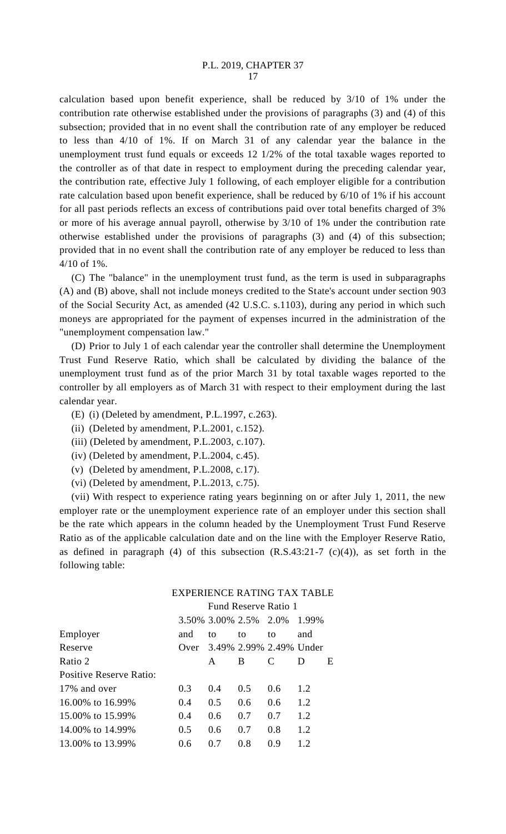calculation based upon benefit experience, shall be reduced by 3/10 of 1% under the contribution rate otherwise established under the provisions of paragraphs (3) and (4) of this subsection; provided that in no event shall the contribution rate of any employer be reduced to less than 4/10 of 1%. If on March 31 of any calendar year the balance in the unemployment trust fund equals or exceeds 12 1/2% of the total taxable wages reported to the controller as of that date in respect to employment during the preceding calendar year, the contribution rate, effective July 1 following, of each employer eligible for a contribution rate calculation based upon benefit experience, shall be reduced by 6/10 of 1% if his account for all past periods reflects an excess of contributions paid over total benefits charged of 3% or more of his average annual payroll, otherwise by 3/10 of 1% under the contribution rate otherwise established under the provisions of paragraphs (3) and (4) of this subsection; provided that in no event shall the contribution rate of any employer be reduced to less than 4/10 of 1%.

(C) The "balance" in the unemployment trust fund, as the term is used in subparagraphs (A) and (B) above, shall not include moneys credited to the State's account under section 903 of the Social Security Act, as amended (42 U.S.C. s.1103), during any period in which such moneys are appropriated for the payment of expenses incurred in the administration of the "unemployment compensation law."

(D) Prior to July 1 of each calendar year the controller shall determine the Unemployment Trust Fund Reserve Ratio, which shall be calculated by dividing the balance of the unemployment trust fund as of the prior March 31 by total taxable wages reported to the controller by all employers as of March 31 with respect to their employment during the last calendar year.

- (E) (i) (Deleted by amendment, P.L.1997, c.263).
- (ii) (Deleted by amendment, P.L.2001, c.152).
- (iii) (Deleted by amendment, P.L.2003, c.107).
- (iv) (Deleted by amendment, P.L.2004, c.45).
- (v) (Deleted by amendment, P.L.2008, c.17).
- (vi) (Deleted by amendment, P.L.2013, c.75).

(vii) With respect to experience rating years beginning on or after July 1, 2011, the new employer rate or the unemployment experience rate of an employer under this section shall be the rate which appears in the column headed by the Unemployment Trust Fund Reserve Ratio as of the applicable calculation date and on the line with the Employer Reserve Ratio, as defined in paragraph (4) of this subsection  $(R.S.43:21-7 \text{ (c)}(4))$ , as set forth in the following table:

## EXPERIENCE RATING TAX TABLE

Fund Reserve Ratio 1

|                         |      |       | 3.50% 3.00% 2.5% 2.0% |                         | 1.99% |   |
|-------------------------|------|-------|-----------------------|-------------------------|-------|---|
| Employer                | and  | to    | to                    | to                      | and   |   |
| Reserve                 | Over |       |                       | 3.49% 2.99% 2.49% Under |       |   |
| Ratio 2                 |      | A     | B                     | C                       | D     | E |
| Positive Reserve Ratio: |      |       |                       |                         |       |   |
| 17% and over            | 0.3  | 0.4   | 0.5                   | 0.6                     | 1.2   |   |
| 16.00% to 16.99%        | 0.4  | 0.5   | 0.6                   | 0.6                     | 1.2   |   |
| 15.00% to 15.99%        | 0.4  | 0.6   | 0.7                   | 0.7                     | 1.2   |   |
| 14.00% to 14.99%        | 0.5  | 0.6   | 0.7                   | 0.8                     | 1.2   |   |
| 13.00% to 13.99%        | 0.6  | (1.7) | 0.8                   | 0.9                     | 1.2.  |   |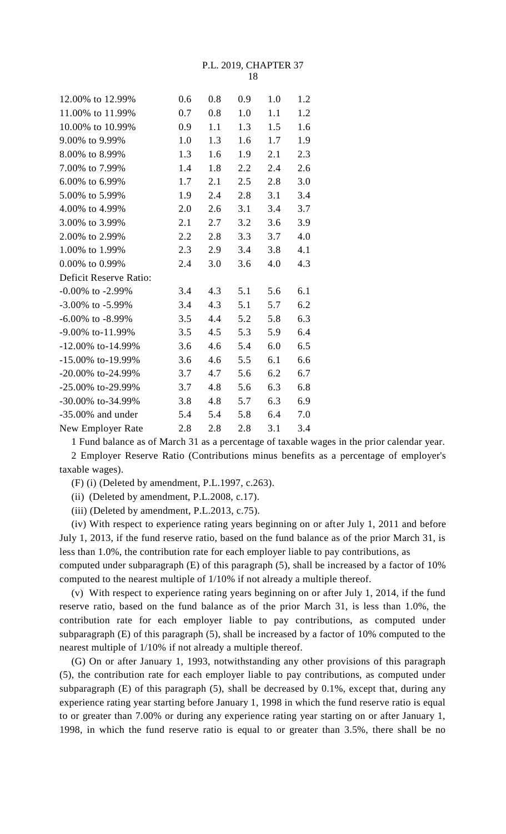P.L. 2019, CHAPTER 37 18

| 12.00% to 12.99%         | 0.6 | 0.8 | 0.9 | 1.0 | 1.2 |
|--------------------------|-----|-----|-----|-----|-----|
| 11.00% to 11.99%         | 0.7 | 0.8 | 1.0 | 1.1 | 1.2 |
| 10.00% to 10.99%         | 0.9 | 1.1 | 1.3 | 1.5 | 1.6 |
| 9.00% to 9.99%           | 1.0 | 1.3 | 1.6 | 1.7 | 1.9 |
| 8.00% to 8.99%           | 1.3 | 1.6 | 1.9 | 2.1 | 2.3 |
| 7.00% to 7.99%           | 1.4 | 1.8 | 2.2 | 2.4 | 2.6 |
| 6.00% to 6.99%           | 1.7 | 2.1 | 2.5 | 2.8 | 3.0 |
| 5.00% to 5.99%           | 1.9 | 2.4 | 2.8 | 3.1 | 3.4 |
| 4.00% to 4.99%           | 2.0 | 2.6 | 3.1 | 3.4 | 3.7 |
| 3.00% to 3.99%           | 2.1 | 2.7 | 3.2 | 3.6 | 3.9 |
| 2.00% to 2.99%           | 2.2 | 2.8 | 3.3 | 3.7 | 4.0 |
| 1.00% to 1.99%           | 2.3 | 2.9 | 3.4 | 3.8 | 4.1 |
| 0.00% to 0.99%           | 2.4 | 3.0 | 3.6 | 4.0 | 4.3 |
| Deficit Reserve Ratio:   |     |     |     |     |     |
| $-0.00\%$ to $-2.99\%$   | 3.4 | 4.3 | 5.1 | 5.6 | 6.1 |
| $-3.00\%$ to $-5.99\%$   | 3.4 | 4.3 | 5.1 | 5.7 | 6.2 |
| $-6.00\%$ to $-8.99\%$   | 3.5 | 4.4 | 5.2 | 5.8 | 6.3 |
| $-9.00\%$ to-11.99%      | 3.5 | 4.5 | 5.3 | 5.9 | 6.4 |
| $-12.00\%$ to $-14.99\%$ | 3.6 | 4.6 | 5.4 | 6.0 | 6.5 |
| $-15.00\%$ to $-19.99\%$ | 3.6 | 4.6 | 5.5 | 6.1 | 6.6 |
| $-20.00\%$ to $-24.99\%$ | 3.7 | 4.7 | 5.6 | 6.2 | 6.7 |
| -25.00% to-29.99%        | 3.7 | 4.8 | 5.6 | 6.3 | 6.8 |
| -30.00% to-34.99%        | 3.8 | 4.8 | 5.7 | 6.3 | 6.9 |
| $-35.00\%$ and under     | 5.4 | 5.4 | 5.8 | 6.4 | 7.0 |
| New Employer Rate        | 2.8 | 2.8 | 2.8 | 3.1 | 3.4 |

1 Fund balance as of March 31 as a percentage of taxable wages in the prior calendar year.

2 Employer Reserve Ratio (Contributions minus benefits as a percentage of employer's taxable wages).

(F) (i) (Deleted by amendment, P.L.1997, c.263).

(ii) (Deleted by amendment, P.L.2008, c.17).

(iii) (Deleted by amendment, P.L.2013, c.75).

(iv) With respect to experience rating years beginning on or after July 1, 2011 and before July 1, 2013, if the fund reserve ratio, based on the fund balance as of the prior March 31, is less than 1.0%, the contribution rate for each employer liable to pay contributions, as

computed under subparagraph (E) of this paragraph (5), shall be increased by a factor of 10% computed to the nearest multiple of 1/10% if not already a multiple thereof.

(v) With respect to experience rating years beginning on or after July 1, 2014, if the fund reserve ratio, based on the fund balance as of the prior March 31, is less than 1.0%, the contribution rate for each employer liable to pay contributions, as computed under subparagraph (E) of this paragraph (5), shall be increased by a factor of 10% computed to the nearest multiple of 1/10% if not already a multiple thereof.

(G) On or after January 1, 1993, notwithstanding any other provisions of this paragraph (5), the contribution rate for each employer liable to pay contributions, as computed under subparagraph (E) of this paragraph (5), shall be decreased by 0.1%, except that, during any experience rating year starting before January 1, 1998 in which the fund reserve ratio is equal to or greater than 7.00% or during any experience rating year starting on or after January 1, 1998, in which the fund reserve ratio is equal to or greater than 3.5%, there shall be no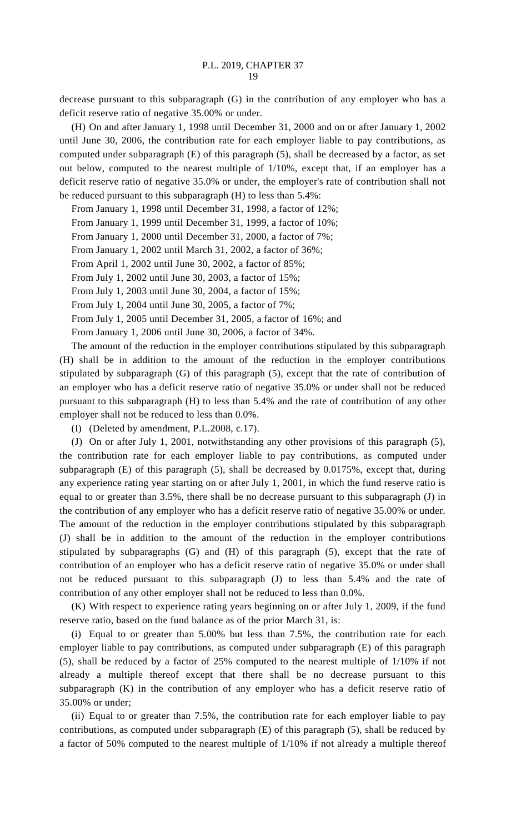decrease pursuant to this subparagraph (G) in the contribution of any employer who has a deficit reserve ratio of negative 35.00% or under.

(H) On and after January 1, 1998 until December 31, 2000 and on or after January 1, 2002 until June 30, 2006, the contribution rate for each employer liable to pay contributions, as computed under subparagraph (E) of this paragraph (5), shall be decreased by a factor, as set out below, computed to the nearest multiple of 1/10%, except that, if an employer has a deficit reserve ratio of negative 35.0% or under, the employer's rate of contribution shall not be reduced pursuant to this subparagraph (H) to less than 5.4%:

From January 1, 1998 until December 31, 1998, a factor of 12%;

From January 1, 1999 until December 31, 1999, a factor of 10%;

From January 1, 2000 until December 31, 2000, a factor of 7%;

From January 1, 2002 until March 31, 2002, a factor of 36%;

From April 1, 2002 until June 30, 2002, a factor of 85%;

From July 1, 2002 until June 30, 2003, a factor of 15%;

From July 1, 2003 until June 30, 2004, a factor of 15%;

From July 1, 2004 until June 30, 2005, a factor of 7%;

From July 1, 2005 until December 31, 2005, a factor of 16%; and

From January 1, 2006 until June 30, 2006, a factor of 34%.

The amount of the reduction in the employer contributions stipulated by this subparagraph (H) shall be in addition to the amount of the reduction in the employer contributions stipulated by subparagraph (G) of this paragraph (5), except that the rate of contribution of an employer who has a deficit reserve ratio of negative 35.0% or under shall not be reduced pursuant to this subparagraph (H) to less than 5.4% and the rate of contribution of any other employer shall not be reduced to less than 0.0%.

(I) (Deleted by amendment, P.L.2008, c.17).

(J) On or after July 1, 2001, notwithstanding any other provisions of this paragraph (5), the contribution rate for each employer liable to pay contributions, as computed under subparagraph (E) of this paragraph (5), shall be decreased by 0.0175%, except that, during any experience rating year starting on or after July 1, 2001, in which the fund reserve ratio is equal to or greater than 3.5%, there shall be no decrease pursuant to this subparagraph (J) in the contribution of any employer who has a deficit reserve ratio of negative 35.00% or under. The amount of the reduction in the employer contributions stipulated by this subparagraph (J) shall be in addition to the amount of the reduction in the employer contributions stipulated by subparagraphs (G) and (H) of this paragraph (5), except that the rate of contribution of an employer who has a deficit reserve ratio of negative 35.0% or under shall not be reduced pursuant to this subparagraph (J) to less than 5.4% and the rate of contribution of any other employer shall not be reduced to less than 0.0%.

(K) With respect to experience rating years beginning on or after July 1, 2009, if the fund reserve ratio, based on the fund balance as of the prior March 31, is:

(i) Equal to or greater than 5.00% but less than 7.5%, the contribution rate for each employer liable to pay contributions, as computed under subparagraph (E) of this paragraph (5), shall be reduced by a factor of 25% computed to the nearest multiple of 1/10% if not already a multiple thereof except that there shall be no decrease pursuant to this subparagraph (K) in the contribution of any employer who has a deficit reserve ratio of 35.00% or under;

(ii) Equal to or greater than 7.5%, the contribution rate for each employer liable to pay contributions, as computed under subparagraph (E) of this paragraph (5), shall be reduced by a factor of 50% computed to the nearest multiple of 1/10% if not already a multiple thereof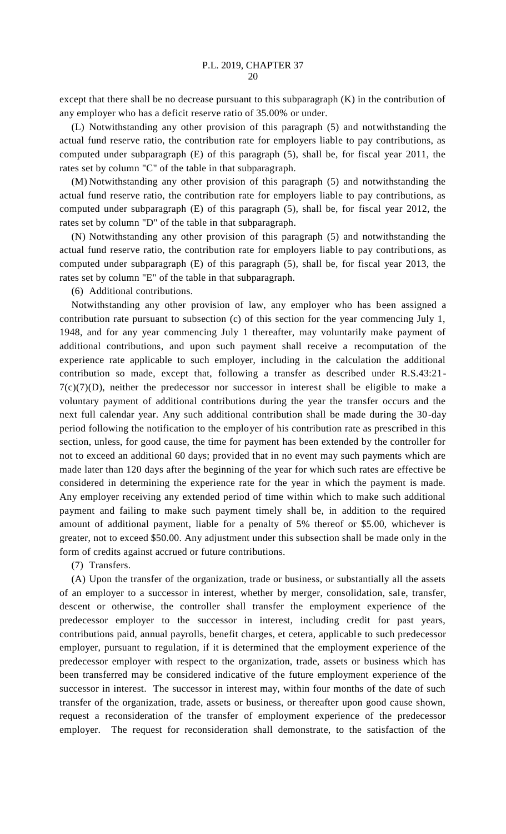except that there shall be no decrease pursuant to this subparagraph (K) in the contribution of any employer who has a deficit reserve ratio of 35.00% or under.

(L) Notwithstanding any other provision of this paragraph (5) and notwithstanding the actual fund reserve ratio, the contribution rate for employers liable to pay contributions, as computed under subparagraph (E) of this paragraph (5), shall be, for fiscal year 2011, the rates set by column "C" of the table in that subparagraph.

(M) Notwithstanding any other provision of this paragraph (5) and notwithstanding the actual fund reserve ratio, the contribution rate for employers liable to pay contributions, as computed under subparagraph (E) of this paragraph (5), shall be, for fiscal year 2012, the rates set by column "D" of the table in that subparagraph.

(N) Notwithstanding any other provision of this paragraph (5) and notwithstanding the actual fund reserve ratio, the contribution rate for employers liable to pay contributions, as computed under subparagraph (E) of this paragraph (5), shall be, for fiscal year 2013, the rates set by column "E" of the table in that subparagraph.

(6) Additional contributions.

Notwithstanding any other provision of law, any employer who has been assigned a contribution rate pursuant to subsection (c) of this section for the year commencing July 1, 1948, and for any year commencing July 1 thereafter, may voluntarily make payment of additional contributions, and upon such payment shall receive a recomputation of the experience rate applicable to such employer, including in the calculation the additional contribution so made, except that, following a transfer as described under R.S.43:21-  $7(c)(7)(D)$ , neither the predecessor nor successor in interest shall be eligible to make a voluntary payment of additional contributions during the year the transfer occurs and the next full calendar year. Any such additional contribution shall be made during the 30-day period following the notification to the employer of his contribution rate as prescribed in this section, unless, for good cause, the time for payment has been extended by the controller for not to exceed an additional 60 days; provided that in no event may such payments which are made later than 120 days after the beginning of the year for which such rates are effective be considered in determining the experience rate for the year in which the payment is made. Any employer receiving any extended period of time within which to make such additional payment and failing to make such payment timely shall be, in addition to the required amount of additional payment, liable for a penalty of 5% thereof or \$5.00, whichever is greater, not to exceed \$50.00. Any adjustment under this subsection shall be made only in the form of credits against accrued or future contributions.

(7) Transfers.

(A) Upon the transfer of the organization, trade or business, or substantially all the assets of an employer to a successor in interest, whether by merger, consolidation, sale, transfer, descent or otherwise, the controller shall transfer the employment experience of the predecessor employer to the successor in interest, including credit for past years, contributions paid, annual payrolls, benefit charges, et cetera, applicable to such predecessor employer, pursuant to regulation, if it is determined that the employment experience of the predecessor employer with respect to the organization, trade, assets or business which has been transferred may be considered indicative of the future employment experience of the successor in interest. The successor in interest may, within four months of the date of such transfer of the organization, trade, assets or business, or thereafter upon good cause shown, request a reconsideration of the transfer of employment experience of the predecessor employer. The request for reconsideration shall demonstrate, to the satisfaction of the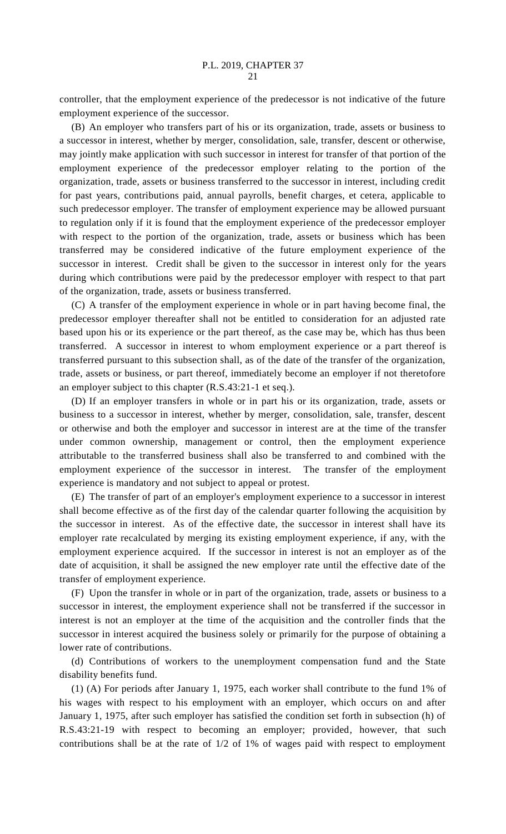controller, that the employment experience of the predecessor is not indicative of the future employment experience of the successor.

(B) An employer who transfers part of his or its organization, trade, assets or business to a successor in interest, whether by merger, consolidation, sale, transfer, descent or otherwise, may jointly make application with such successor in interest for transfer of that portion of the employment experience of the predecessor employer relating to the portion of the organization, trade, assets or business transferred to the successor in interest, including credit for past years, contributions paid, annual payrolls, benefit charges, et cetera, applicable to such predecessor employer. The transfer of employment experience may be allowed pursuant to regulation only if it is found that the employment experience of the predecessor employer with respect to the portion of the organization, trade, assets or business which has been transferred may be considered indicative of the future employment experience of the successor in interest. Credit shall be given to the successor in interest only for the years during which contributions were paid by the predecessor employer with respect to that part of the organization, trade, assets or business transferred.

(C) A transfer of the employment experience in whole or in part having become final, the predecessor employer thereafter shall not be entitled to consideration for an adjusted rate based upon his or its experience or the part thereof, as the case may be, which has thus been transferred. A successor in interest to whom employment experience or a part thereof is transferred pursuant to this subsection shall, as of the date of the transfer of the organization, trade, assets or business, or part thereof, immediately become an employer if not theretofore an employer subject to this chapter (R.S.43:21-1 et seq.).

(D) If an employer transfers in whole or in part his or its organization, trade, assets or business to a successor in interest, whether by merger, consolidation, sale, transfer, descent or otherwise and both the employer and successor in interest are at the time of the transfer under common ownership, management or control, then the employment experience attributable to the transferred business shall also be transferred to and combined with the employment experience of the successor in interest. The transfer of the employment experience is mandatory and not subject to appeal or protest.

(E) The transfer of part of an employer's employment experience to a successor in interest shall become effective as of the first day of the calendar quarter following the acquisition by the successor in interest. As of the effective date, the successor in interest shall have its employer rate recalculated by merging its existing employment experience, if any, with the employment experience acquired. If the successor in interest is not an employer as of the date of acquisition, it shall be assigned the new employer rate until the effective date of the transfer of employment experience.

(F) Upon the transfer in whole or in part of the organization, trade, assets or business to a successor in interest, the employment experience shall not be transferred if the successor in interest is not an employer at the time of the acquisition and the controller finds that the successor in interest acquired the business solely or primarily for the purpose of obtaining a lower rate of contributions.

(d) Contributions of workers to the unemployment compensation fund and the State disability benefits fund.

(1) (A) For periods after January 1, 1975, each worker shall contribute to the fund 1% of his wages with respect to his employment with an employer, which occurs on and after January 1, 1975, after such employer has satisfied the condition set forth in subsection (h) of R.S.43:21-19 with respect to becoming an employer; provided, however, that such contributions shall be at the rate of 1/2 of 1% of wages paid with respect to employment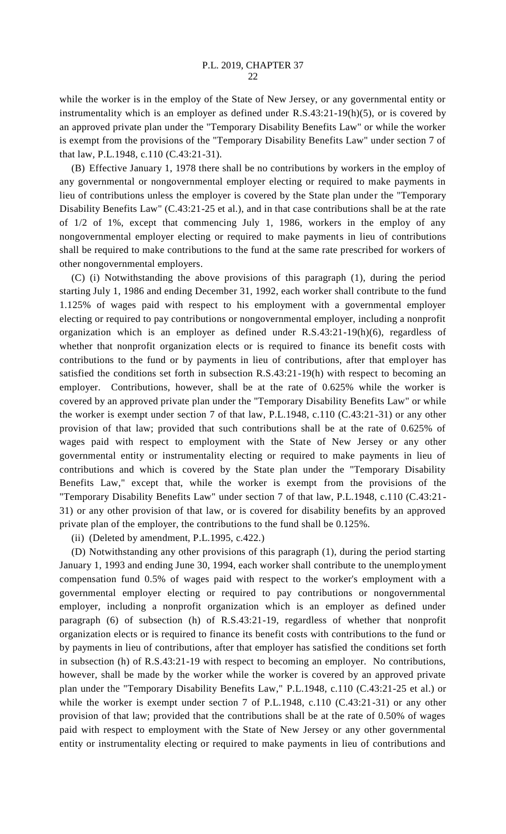while the worker is in the employ of the State of New Jersey, or any governmental entity or instrumentality which is an employer as defined under R.S.43:21-19(h)(5), or is covered by an approved private plan under the "Temporary Disability Benefits Law" or while the worker is exempt from the provisions of the "Temporary Disability Benefits Law" under section 7 of that law, P.L.1948, c.110 (C.43:21-31).

(B) Effective January 1, 1978 there shall be no contributions by workers in the employ of any governmental or nongovernmental employer electing or required to make payments in lieu of contributions unless the employer is covered by the State plan under the "Temporary Disability Benefits Law" (C.43:21-25 et al.), and in that case contributions shall be at the rate of 1/2 of 1%, except that commencing July 1, 1986, workers in the employ of any nongovernmental employer electing or required to make payments in lieu of contributions shall be required to make contributions to the fund at the same rate prescribed for workers of other nongovernmental employers.

(C) (i) Notwithstanding the above provisions of this paragraph (1), during the period starting July 1, 1986 and ending December 31, 1992, each worker shall contribute to the fund 1.125% of wages paid with respect to his employment with a governmental employer electing or required to pay contributions or nongovernmental employer, including a nonprofit organization which is an employer as defined under R.S.43:21-19(h)(6), regardless of whether that nonprofit organization elects or is required to finance its benefit costs with contributions to the fund or by payments in lieu of contributions, after that employer has satisfied the conditions set forth in subsection R.S.43:21-19(h) with respect to becoming an employer. Contributions, however, shall be at the rate of 0.625% while the worker is covered by an approved private plan under the "Temporary Disability Benefits Law" or while the worker is exempt under section 7 of that law, P.L.1948, c.110 (C.43:21-31) or any other provision of that law; provided that such contributions shall be at the rate of 0.625% of wages paid with respect to employment with the State of New Jersey or any other governmental entity or instrumentality electing or required to make payments in lieu of contributions and which is covered by the State plan under the "Temporary Disability Benefits Law," except that, while the worker is exempt from the provisions of the "Temporary Disability Benefits Law" under section 7 of that law, P.L.1948, c.110 (C.43:21- 31) or any other provision of that law, or is covered for disability benefits by an approved private plan of the employer, the contributions to the fund shall be 0.125%.

(ii) (Deleted by amendment, P.L.1995, c.422.)

(D) Notwithstanding any other provisions of this paragraph (1), during the period starting January 1, 1993 and ending June 30, 1994, each worker shall contribute to the unemployment compensation fund 0.5% of wages paid with respect to the worker's employment with a governmental employer electing or required to pay contributions or nongovernmental employer, including a nonprofit organization which is an employer as defined under paragraph (6) of subsection (h) of R.S.43:21-19, regardless of whether that nonprofit organization elects or is required to finance its benefit costs with contributions to the fund or by payments in lieu of contributions, after that employer has satisfied the conditions set forth in subsection (h) of R.S.43:21-19 with respect to becoming an employer. No contributions, however, shall be made by the worker while the worker is covered by an approved private plan under the "Temporary Disability Benefits Law," P.L.1948, c.110 (C.43:21-25 et al.) or while the worker is exempt under section 7 of P.L.1948, c.110 (C.43:21-31) or any other provision of that law; provided that the contributions shall be at the rate of 0.50% of wages paid with respect to employment with the State of New Jersey or any other governmental entity or instrumentality electing or required to make payments in lieu of contributions and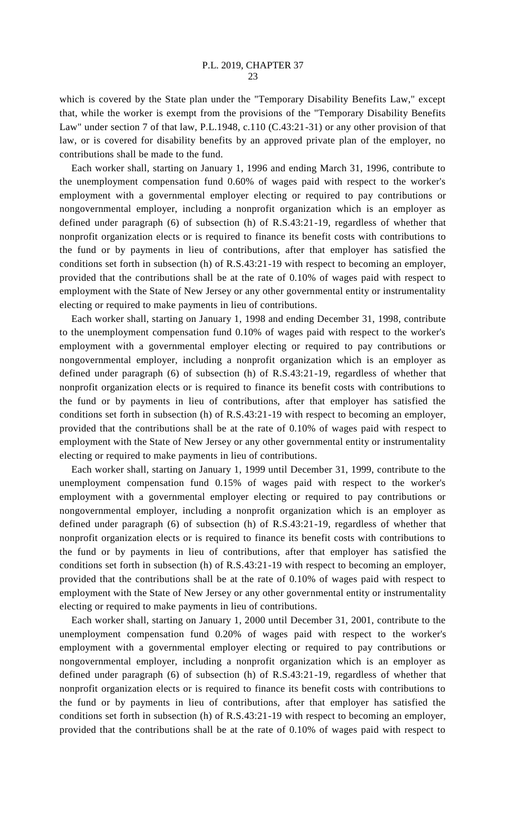which is covered by the State plan under the "Temporary Disability Benefits Law," except that, while the worker is exempt from the provisions of the "Temporary Disability Benefits Law" under section 7 of that law, P.L.1948, c.110 (C.43:21-31) or any other provision of that law, or is covered for disability benefits by an approved private plan of the employer, no contributions shall be made to the fund.

Each worker shall, starting on January 1, 1996 and ending March 31, 1996, contribute to the unemployment compensation fund 0.60% of wages paid with respect to the worker's employment with a governmental employer electing or required to pay contributions or nongovernmental employer, including a nonprofit organization which is an employer as defined under paragraph (6) of subsection (h) of R.S.43:21-19, regardless of whether that nonprofit organization elects or is required to finance its benefit costs with contributions to the fund or by payments in lieu of contributions, after that employer has satisfied the conditions set forth in subsection (h) of R.S.43:21-19 with respect to becoming an employer, provided that the contributions shall be at the rate of 0.10% of wages paid with respect to employment with the State of New Jersey or any other governmental entity or instrumentality electing or required to make payments in lieu of contributions.

Each worker shall, starting on January 1, 1998 and ending December 31, 1998, contribute to the unemployment compensation fund 0.10% of wages paid with respect to the worker's employment with a governmental employer electing or required to pay contributions or nongovernmental employer, including a nonprofit organization which is an employer as defined under paragraph (6) of subsection (h) of R.S.43:21-19, regardless of whether that nonprofit organization elects or is required to finance its benefit costs with contributions to the fund or by payments in lieu of contributions, after that employer has satisfied the conditions set forth in subsection (h) of R.S.43:21-19 with respect to becoming an employer, provided that the contributions shall be at the rate of 0.10% of wages paid with respect to employment with the State of New Jersey or any other governmental entity or instrumentality electing or required to make payments in lieu of contributions.

Each worker shall, starting on January 1, 1999 until December 31, 1999, contribute to the unemployment compensation fund 0.15% of wages paid with respect to the worker's employment with a governmental employer electing or required to pay contributions or nongovernmental employer, including a nonprofit organization which is an employer as defined under paragraph (6) of subsection (h) of R.S.43:21-19, regardless of whether that nonprofit organization elects or is required to finance its benefit costs with contributions to the fund or by payments in lieu of contributions, after that employer has satisfied the conditions set forth in subsection (h) of R.S.43:21-19 with respect to becoming an employer, provided that the contributions shall be at the rate of 0.10% of wages paid with respect to employment with the State of New Jersey or any other governmental entity or instrumentality electing or required to make payments in lieu of contributions.

Each worker shall, starting on January 1, 2000 until December 31, 2001, contribute to the unemployment compensation fund 0.20% of wages paid with respect to the worker's employment with a governmental employer electing or required to pay contributions or nongovernmental employer, including a nonprofit organization which is an employer as defined under paragraph (6) of subsection (h) of R.S.43:21-19, regardless of whether that nonprofit organization elects or is required to finance its benefit costs with contributions to the fund or by payments in lieu of contributions, after that employer has satisfied the conditions set forth in subsection (h) of R.S.43:21-19 with respect to becoming an employer, provided that the contributions shall be at the rate of 0.10% of wages paid with respect to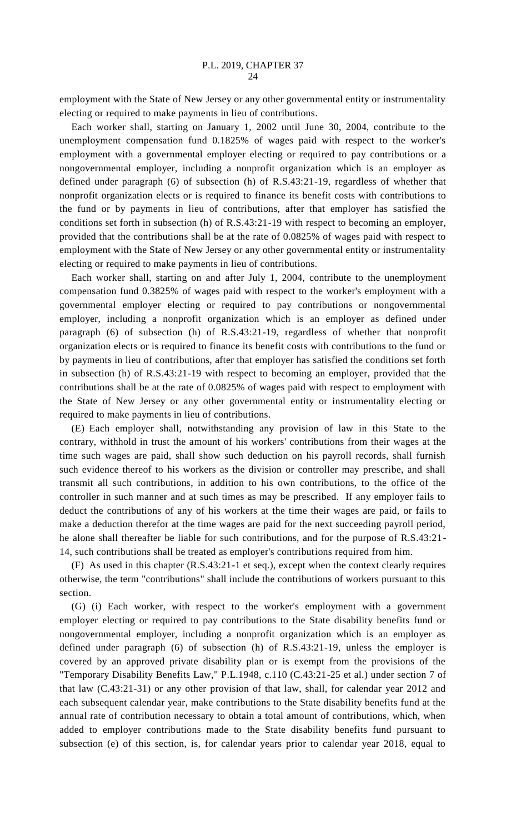employment with the State of New Jersey or any other governmental entity or instrumentality electing or required to make payments in lieu of contributions.

Each worker shall, starting on January 1, 2002 until June 30, 2004, contribute to the unemployment compensation fund 0.1825% of wages paid with respect to the worker's employment with a governmental employer electing or required to pay contributions or a nongovernmental employer, including a nonprofit organization which is an employer as defined under paragraph (6) of subsection (h) of R.S.43:21-19, regardless of whether that nonprofit organization elects or is required to finance its benefit costs with contributions to the fund or by payments in lieu of contributions, after that employer has satisfied the conditions set forth in subsection (h) of R.S.43:21-19 with respect to becoming an employer, provided that the contributions shall be at the rate of 0.0825% of wages paid with respect to employment with the State of New Jersey or any other governmental entity or instrumentality electing or required to make payments in lieu of contributions.

Each worker shall, starting on and after July 1, 2004, contribute to the unemployment compensation fund 0.3825% of wages paid with respect to the worker's employment with a governmental employer electing or required to pay contributions or nongovernmental employer, including a nonprofit organization which is an employer as defined under paragraph (6) of subsection (h) of R.S.43:21-19, regardless of whether that nonprofit organization elects or is required to finance its benefit costs with contributions to the fund or by payments in lieu of contributions, after that employer has satisfied the conditions set forth in subsection (h) of R.S.43:21-19 with respect to becoming an employer, provided that the contributions shall be at the rate of 0.0825% of wages paid with respect to employment with the State of New Jersey or any other governmental entity or instrumentality electing or required to make payments in lieu of contributions.

(E) Each employer shall, notwithstanding any provision of law in this State to the contrary, withhold in trust the amount of his workers' contributions from their wages at the time such wages are paid, shall show such deduction on his payroll records, shall furnish such evidence thereof to his workers as the division or controller may prescribe, and shall transmit all such contributions, in addition to his own contributions, to the office of the controller in such manner and at such times as may be prescribed. If any employer fails to deduct the contributions of any of his workers at the time their wages are paid, or fails to make a deduction therefor at the time wages are paid for the next succeeding payroll period, he alone shall thereafter be liable for such contributions, and for the purpose of R.S.43:21- 14, such contributions shall be treated as employer's contributions required from him.

(F) As used in this chapter (R.S.43:21-1 et seq.), except when the context clearly requires otherwise, the term "contributions" shall include the contributions of workers pursuant to this section.

(G) (i) Each worker, with respect to the worker's employment with a government employer electing or required to pay contributions to the State disability benefits fund or nongovernmental employer, including a nonprofit organization which is an employer as defined under paragraph (6) of subsection (h) of R.S.43:21-19, unless the employer is covered by an approved private disability plan or is exempt from the provisions of the "Temporary Disability Benefits Law," P.L.1948, c.110 (C.43:21-25 et al.) under section 7 of that law (C.43:21-31) or any other provision of that law, shall, for calendar year 2012 and each subsequent calendar year, make contributions to the State disability benefits fund at the annual rate of contribution necessary to obtain a total amount of contributions, which, when added to employer contributions made to the State disability benefits fund pursuant to subsection (e) of this section, is, for calendar years prior to calendar year 2018, equal to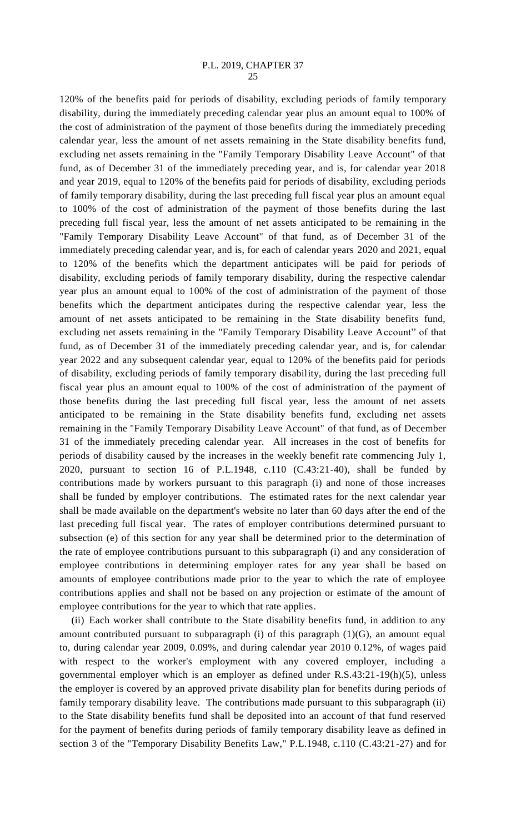120% of the benefits paid for periods of disability, excluding periods of family temporary disability, during the immediately preceding calendar year plus an amount equal to 100% of the cost of administration of the payment of those benefits during the immediately preceding calendar year, less the amount of net assets remaining in the State disability benefits fund, excluding net assets remaining in the "Family Temporary Disability Leave Account" of that fund, as of December 31 of the immediately preceding year, and is, for calendar year 2018 and year 2019, equal to 120% of the benefits paid for periods of disability, excluding periods of family temporary disability, during the last preceding full fiscal year plus an amount equal to 100% of the cost of administration of the payment of those benefits during the last preceding full fiscal year, less the amount of net assets anticipated to be remaining in the "Family Temporary Disability Leave Account" of that fund, as of December 31 of the immediately preceding calendar year, and is, for each of calendar years 2020 and 2021, equal to 120% of the benefits which the department anticipates will be paid for periods of disability, excluding periods of family temporary disability, during the respective calendar year plus an amount equal to 100% of the cost of administration of the payment of those benefits which the department anticipates during the respective calendar year, less the amount of net assets anticipated to be remaining in the State disability benefits fund, excluding net assets remaining in the "Family Temporary Disability Leave Account" of that fund, as of December 31 of the immediately preceding calendar year, and is, for calendar year 2022 and any subsequent calendar year, equal to 120% of the benefits paid for periods of disability, excluding periods of family temporary disability, during the last preceding full fiscal year plus an amount equal to 100% of the cost of administration of the payment of those benefits during the last preceding full fiscal year, less the amount of net assets anticipated to be remaining in the State disability benefits fund, excluding net assets remaining in the "Family Temporary Disability Leave Account" of that fund, as of December 31 of the immediately preceding calendar year. All increases in the cost of benefits for periods of disability caused by the increases in the weekly benefit rate commencing July 1, 2020, pursuant to section 16 of P.L.1948, c.110 (C.43:21-40), shall be funded by contributions made by workers pursuant to this paragraph (i) and none of those increases shall be funded by employer contributions. The estimated rates for the next calendar year shall be made available on the department's website no later than 60 days after the end of the last preceding full fiscal year. The rates of employer contributions determined pursuant to subsection (e) of this section for any year shall be determined prior to the determination of the rate of employee contributions pursuant to this subparagraph (i) and any consideration of employee contributions in determining employer rates for any year shall be based on amounts of employee contributions made prior to the year to which the rate of employee contributions applies and shall not be based on any projection or estimate of the amount of employee contributions for the year to which that rate applies.

(ii) Each worker shall contribute to the State disability benefits fund, in addition to any amount contributed pursuant to subparagraph (i) of this paragraph (1)(G), an amount equal to, during calendar year 2009, 0.09%, and during calendar year 2010 0.12%, of wages paid with respect to the worker's employment with any covered employer, including a governmental employer which is an employer as defined under R.S.43:21-19(h)(5), unless the employer is covered by an approved private disability plan for benefits during periods of family temporary disability leave. The contributions made pursuant to this subparagraph (ii) to the State disability benefits fund shall be deposited into an account of that fund reserved for the payment of benefits during periods of family temporary disability leave as defined in section 3 of the "Temporary Disability Benefits Law," P.L.1948, c.110 (C.43:21-27) and for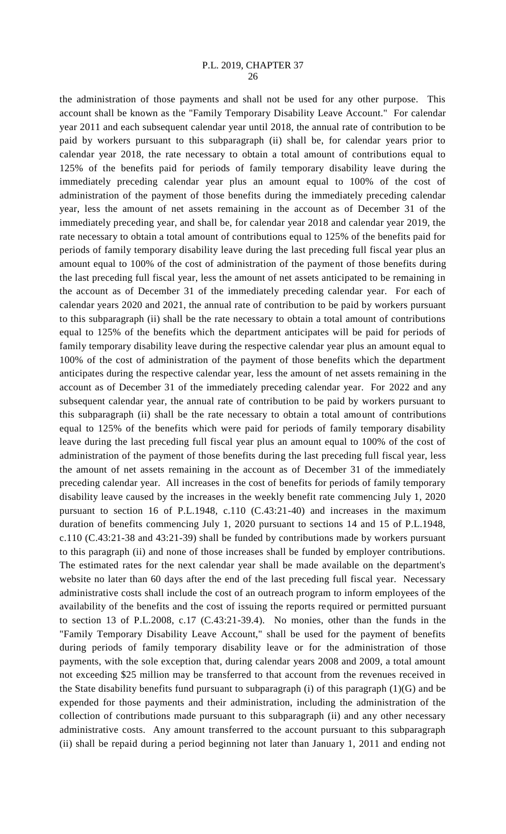the administration of those payments and shall not be used for any other purpose. This account shall be known as the "Family Temporary Disability Leave Account." For calendar year 2011 and each subsequent calendar year until 2018, the annual rate of contribution to be paid by workers pursuant to this subparagraph (ii) shall be, for calendar years prior to calendar year 2018, the rate necessary to obtain a total amount of contributions equal to 125% of the benefits paid for periods of family temporary disability leave during the immediately preceding calendar year plus an amount equal to 100% of the cost of administration of the payment of those benefits during the immediately preceding calendar year, less the amount of net assets remaining in the account as of December 31 of the immediately preceding year, and shall be, for calendar year 2018 and calendar year 2019, the rate necessary to obtain a total amount of contributions equal to 125% of the benefits paid for periods of family temporary disability leave during the last preceding full fiscal year plus an amount equal to 100% of the cost of administration of the payment of those benefits during the last preceding full fiscal year, less the amount of net assets anticipated to be remaining in the account as of December 31 of the immediately preceding calendar year. For each of calendar years 2020 and 2021, the annual rate of contribution to be paid by workers pursuant to this subparagraph (ii) shall be the rate necessary to obtain a total amount of contributions equal to 125% of the benefits which the department anticipates will be paid for periods of family temporary disability leave during the respective calendar year plus an amount equal to 100% of the cost of administration of the payment of those benefits which the department anticipates during the respective calendar year, less the amount of net assets remaining in the account as of December 31 of the immediately preceding calendar year. For 2022 and any subsequent calendar year, the annual rate of contribution to be paid by workers pursuant to this subparagraph (ii) shall be the rate necessary to obtain a total amount of contributions equal to 125% of the benefits which were paid for periods of family temporary disability leave during the last preceding full fiscal year plus an amount equal to 100% of the cost of administration of the payment of those benefits during the last preceding full fiscal year, less the amount of net assets remaining in the account as of December 31 of the immediately preceding calendar year. All increases in the cost of benefits for periods of family temporary disability leave caused by the increases in the weekly benefit rate commencing July 1, 2020 pursuant to section 16 of P.L.1948, c.110 (C.43:21-40) and increases in the maximum duration of benefits commencing July 1, 2020 pursuant to sections 14 and 15 of P.L.1948, c.110 (C.43:21-38 and 43:21-39) shall be funded by contributions made by workers pursuant to this paragraph (ii) and none of those increases shall be funded by employer contributions. The estimated rates for the next calendar year shall be made available on the department's website no later than 60 days after the end of the last preceding full fiscal year. Necessary administrative costs shall include the cost of an outreach program to inform employees of the availability of the benefits and the cost of issuing the reports required or permitted pursuant to section 13 of P.L.2008, c.17 (C.43:21-39.4). No monies, other than the funds in the "Family Temporary Disability Leave Account," shall be used for the payment of benefits during periods of family temporary disability leave or for the administration of those payments, with the sole exception that, during calendar years 2008 and 2009, a total amount not exceeding \$25 million may be transferred to that account from the revenues received in the State disability benefits fund pursuant to subparagraph (i) of this paragraph (1)(G) and be expended for those payments and their administration, including the administration of the collection of contributions made pursuant to this subparagraph (ii) and any other necessary administrative costs. Any amount transferred to the account pursuant to this subparagraph (ii) shall be repaid during a period beginning not later than January 1, 2011 and ending not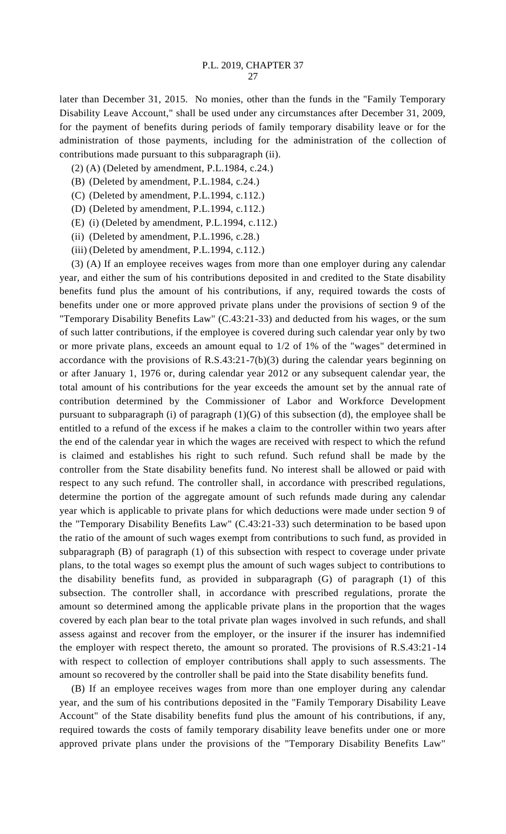later than December 31, 2015. No monies, other than the funds in the "Family Temporary Disability Leave Account," shall be used under any circumstances after December 31, 2009, for the payment of benefits during periods of family temporary disability leave or for the administration of those payments, including for the administration of the collection of contributions made pursuant to this subparagraph (ii).

- (2) (A) (Deleted by amendment, P.L.1984, c.24.)
- (B) (Deleted by amendment, P.L.1984, c.24.)
- (C) (Deleted by amendment, P.L.1994, c.112.)
- (D) (Deleted by amendment, P.L.1994, c.112.)
- (E) (i) (Deleted by amendment, P.L.1994, c.112.)
- (ii) (Deleted by amendment, P.L.1996, c.28.)
- (iii) (Deleted by amendment, P.L.1994, c.112.)

(3) (A) If an employee receives wages from more than one employer during any calendar year, and either the sum of his contributions deposited in and credited to the State disability benefits fund plus the amount of his contributions, if any, required towards the costs of benefits under one or more approved private plans under the provisions of section 9 of the "Temporary Disability Benefits Law" (C.43:21-33) and deducted from his wages, or the sum of such latter contributions, if the employee is covered during such calendar year only by two or more private plans, exceeds an amount equal to 1/2 of 1% of the "wages" determined in accordance with the provisions of R.S.43:21-7(b)(3) during the calendar years beginning on or after January 1, 1976 or, during calendar year 2012 or any subsequent calendar year, the total amount of his contributions for the year exceeds the amount set by the annual rate of contribution determined by the Commissioner of Labor and Workforce Development pursuant to subparagraph (i) of paragraph (1)(G) of this subsection (d), the employee shall be entitled to a refund of the excess if he makes a claim to the controller within two years after the end of the calendar year in which the wages are received with respect to which the refund is claimed and establishes his right to such refund. Such refund shall be made by the controller from the State disability benefits fund. No interest shall be allowed or paid with respect to any such refund. The controller shall, in accordance with prescribed regulations, determine the portion of the aggregate amount of such refunds made during any calendar year which is applicable to private plans for which deductions were made under section 9 of the "Temporary Disability Benefits Law" (C.43:21-33) such determination to be based upon the ratio of the amount of such wages exempt from contributions to such fund, as provided in subparagraph (B) of paragraph (1) of this subsection with respect to coverage under private plans, to the total wages so exempt plus the amount of such wages subject to contributions to the disability benefits fund, as provided in subparagraph (G) of paragraph (1) of this subsection. The controller shall, in accordance with prescribed regulations, prorate the amount so determined among the applicable private plans in the proportion that the wages covered by each plan bear to the total private plan wages involved in such refunds, and shall assess against and recover from the employer, or the insurer if the insurer has indemnified the employer with respect thereto, the amount so prorated. The provisions of R.S.43:21-14 with respect to collection of employer contributions shall apply to such assessments. The amount so recovered by the controller shall be paid into the State disability benefits fund.

(B) If an employee receives wages from more than one employer during any calendar year, and the sum of his contributions deposited in the "Family Temporary Disability Leave Account" of the State disability benefits fund plus the amount of his contributions, if any, required towards the costs of family temporary disability leave benefits under one or more approved private plans under the provisions of the "Temporary Disability Benefits Law"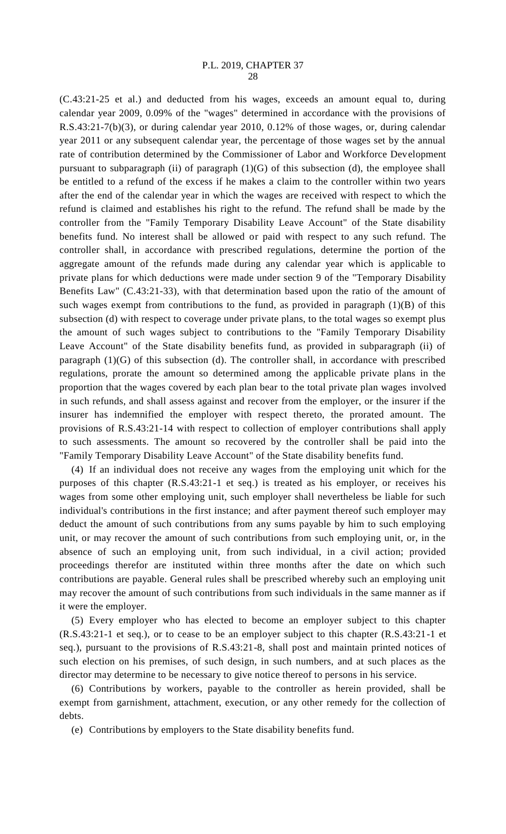(C.43:21-25 et al.) and deducted from his wages, exceeds an amount equal to, during calendar year 2009, 0.09% of the "wages" determined in accordance with the provisions of R.S.43:21-7(b)(3), or during calendar year 2010, 0.12% of those wages, or, during calendar year 2011 or any subsequent calendar year, the percentage of those wages set by the annual rate of contribution determined by the Commissioner of Labor and Workforce Development pursuant to subparagraph (ii) of paragraph  $(1)(G)$  of this subsection (d), the employee shall be entitled to a refund of the excess if he makes a claim to the controller within two years after the end of the calendar year in which the wages are received with respect to which the refund is claimed and establishes his right to the refund. The refund shall be made by the controller from the "Family Temporary Disability Leave Account" of the State disability benefits fund. No interest shall be allowed or paid with respect to any such refund. The controller shall, in accordance with prescribed regulations, determine the portion of the aggregate amount of the refunds made during any calendar year which is applicable to private plans for which deductions were made under section 9 of the "Temporary Disability Benefits Law" (C.43:21-33), with that determination based upon the ratio of the amount of such wages exempt from contributions to the fund, as provided in paragraph  $(1)(B)$  of this subsection (d) with respect to coverage under private plans, to the total wages so exempt plus the amount of such wages subject to contributions to the "Family Temporary Disability Leave Account" of the State disability benefits fund, as provided in subparagraph (ii) of paragraph (1)(G) of this subsection (d). The controller shall, in accordance with prescribed regulations, prorate the amount so determined among the applicable private plans in the proportion that the wages covered by each plan bear to the total private plan wages involved in such refunds, and shall assess against and recover from the employer, or the insurer if the insurer has indemnified the employer with respect thereto, the prorated amount. The provisions of R.S.43:21-14 with respect to collection of employer contributions shall apply to such assessments. The amount so recovered by the controller shall be paid into the "Family Temporary Disability Leave Account" of the State disability benefits fund.

(4) If an individual does not receive any wages from the employing unit which for the purposes of this chapter (R.S.43:21-1 et seq.) is treated as his employer, or receives his wages from some other employing unit, such employer shall nevertheless be liable for such individual's contributions in the first instance; and after payment thereof such employer may deduct the amount of such contributions from any sums payable by him to such employing unit, or may recover the amount of such contributions from such employing unit, or, in the absence of such an employing unit, from such individual, in a civil action; provided proceedings therefor are instituted within three months after the date on which such contributions are payable. General rules shall be prescribed whereby such an employing unit may recover the amount of such contributions from such individuals in the same manner as if it were the employer.

(5) Every employer who has elected to become an employer subject to this chapter (R.S.43:21-1 et seq.), or to cease to be an employer subject to this chapter (R.S.43:21-1 et seq.), pursuant to the provisions of R.S.43:21-8, shall post and maintain printed notices of such election on his premises, of such design, in such numbers, and at such places as the director may determine to be necessary to give notice thereof to persons in his service.

(6) Contributions by workers, payable to the controller as herein provided, shall be exempt from garnishment, attachment, execution, or any other remedy for the collection of debts.

(e) Contributions by employers to the State disability benefits fund.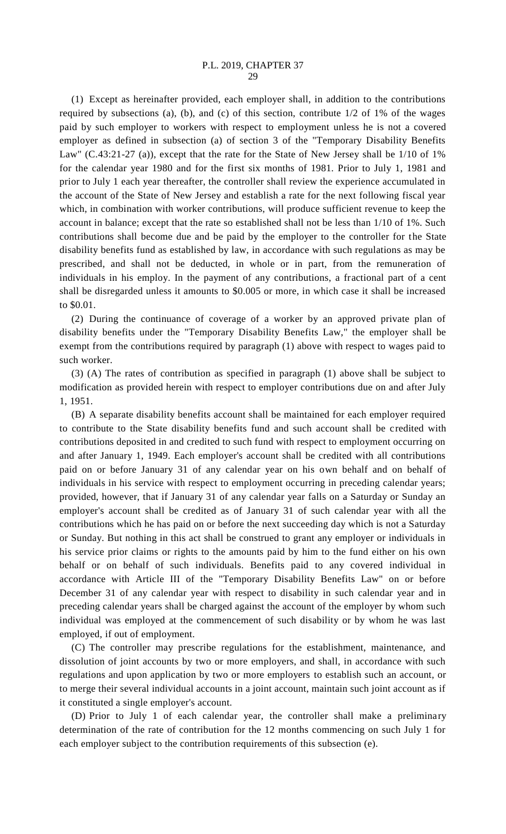(1) Except as hereinafter provided, each employer shall, in addition to the contributions required by subsections (a), (b), and (c) of this section, contribute 1/2 of 1% of the wages paid by such employer to workers with respect to employment unless he is not a covered employer as defined in subsection (a) of section 3 of the "Temporary Disability Benefits Law" (C.43:21-27 (a)), except that the rate for the State of New Jersey shall be 1/10 of 1% for the calendar year 1980 and for the first six months of 1981. Prior to July 1, 1981 and prior to July 1 each year thereafter, the controller shall review the experience accumulated in the account of the State of New Jersey and establish a rate for the next following fiscal year which, in combination with worker contributions, will produce sufficient revenue to keep the account in balance; except that the rate so established shall not be less than 1/10 of 1%. Such contributions shall become due and be paid by the employer to the controller for the State disability benefits fund as established by law, in accordance with such regulations as may be prescribed, and shall not be deducted, in whole or in part, from the remuneration of individuals in his employ. In the payment of any contributions, a fractional part of a cent shall be disregarded unless it amounts to \$0.005 or more, in which case it shall be increased to \$0.01.

(2) During the continuance of coverage of a worker by an approved private plan of disability benefits under the "Temporary Disability Benefits Law," the employer shall be exempt from the contributions required by paragraph (1) above with respect to wages paid to such worker.

(3) (A) The rates of contribution as specified in paragraph (1) above shall be subject to modification as provided herein with respect to employer contributions due on and after July 1, 1951.

(B) A separate disability benefits account shall be maintained for each employer required to contribute to the State disability benefits fund and such account shall be credited with contributions deposited in and credited to such fund with respect to employment occurring on and after January 1, 1949. Each employer's account shall be credited with all contributions paid on or before January 31 of any calendar year on his own behalf and on behalf of individuals in his service with respect to employment occurring in preceding calendar years; provided, however, that if January 31 of any calendar year falls on a Saturday or Sunday an employer's account shall be credited as of January 31 of such calendar year with all the contributions which he has paid on or before the next succeeding day which is not a Saturday or Sunday. But nothing in this act shall be construed to grant any employer or individuals in his service prior claims or rights to the amounts paid by him to the fund either on his own behalf or on behalf of such individuals. Benefits paid to any covered individual in accordance with Article III of the "Temporary Disability Benefits Law" on or before December 31 of any calendar year with respect to disability in such calendar year and in preceding calendar years shall be charged against the account of the employer by whom such individual was employed at the commencement of such disability or by whom he was last employed, if out of employment.

(C) The controller may prescribe regulations for the establishment, maintenance, and dissolution of joint accounts by two or more employers, and shall, in accordance with such regulations and upon application by two or more employers to establish such an account, or to merge their several individual accounts in a joint account, maintain such joint account as if it constituted a single employer's account.

(D) Prior to July 1 of each calendar year, the controller shall make a preliminary determination of the rate of contribution for the 12 months commencing on such July 1 for each employer subject to the contribution requirements of this subsection (e).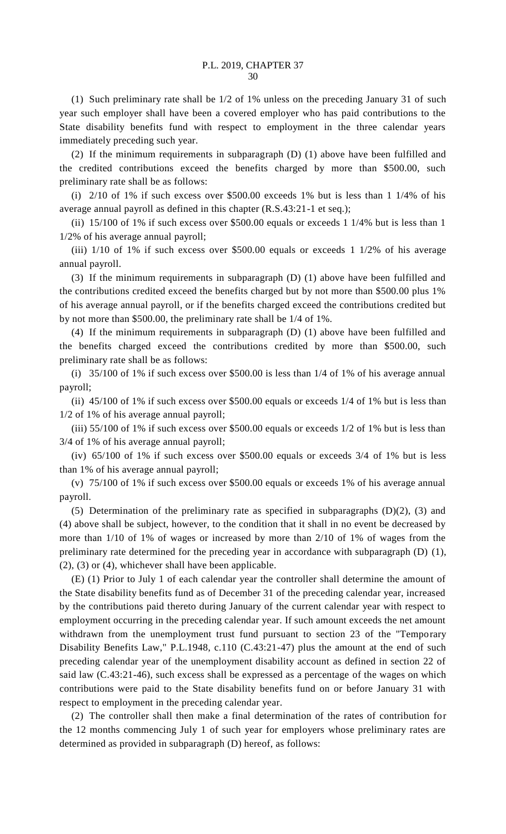(1) Such preliminary rate shall be 1/2 of 1% unless on the preceding January 31 of such year such employer shall have been a covered employer who has paid contributions to the State disability benefits fund with respect to employment in the three calendar years immediately preceding such year.

(2) If the minimum requirements in subparagraph (D) (1) above have been fulfilled and the credited contributions exceed the benefits charged by more than \$500.00, such preliminary rate shall be as follows:

(i) 2/10 of 1% if such excess over \$500.00 exceeds 1% but is less than 1 1/4% of his average annual payroll as defined in this chapter (R.S.43:21-1 et seq.);

(ii) 15/100 of 1% if such excess over \$500.00 equals or exceeds 1 1/4% but is less than 1 1/2% of his average annual payroll;

(iii) 1/10 of 1% if such excess over \$500.00 equals or exceeds 1 1/2% of his average annual payroll.

(3) If the minimum requirements in subparagraph (D) (1) above have been fulfilled and the contributions credited exceed the benefits charged but by not more than \$500.00 plus 1% of his average annual payroll, or if the benefits charged exceed the contributions credited but by not more than \$500.00, the preliminary rate shall be 1/4 of 1%.

(4) If the minimum requirements in subparagraph (D) (1) above have been fulfilled and the benefits charged exceed the contributions credited by more than \$500.00, such preliminary rate shall be as follows:

(i) 35/100 of 1% if such excess over \$500.00 is less than 1/4 of 1% of his average annual payroll;

(ii) 45/100 of 1% if such excess over \$500.00 equals or exceeds 1/4 of 1% but is less than 1/2 of 1% of his average annual payroll;

(iii) 55/100 of 1% if such excess over \$500.00 equals or exceeds 1/2 of 1% but is less than 3/4 of 1% of his average annual payroll;

(iv) 65/100 of 1% if such excess over \$500.00 equals or exceeds 3/4 of 1% but is less than 1% of his average annual payroll;

(v) 75/100 of 1% if such excess over \$500.00 equals or exceeds 1% of his average annual payroll.

(5) Determination of the preliminary rate as specified in subparagraphs (D)(2), (3) and (4) above shall be subject, however, to the condition that it shall in no event be decreased by more than 1/10 of 1% of wages or increased by more than 2/10 of 1% of wages from the preliminary rate determined for the preceding year in accordance with subparagraph (D) (1), (2), (3) or (4), whichever shall have been applicable.

(E) (1) Prior to July 1 of each calendar year the controller shall determine the amount of the State disability benefits fund as of December 31 of the preceding calendar year, increased by the contributions paid thereto during January of the current calendar year with respect to employment occurring in the preceding calendar year. If such amount exceeds the net amount withdrawn from the unemployment trust fund pursuant to section 23 of the "Temporary Disability Benefits Law," P.L.1948, c.110 (C.43:21-47) plus the amount at the end of such preceding calendar year of the unemployment disability account as defined in section 22 of said law (C.43:21-46), such excess shall be expressed as a percentage of the wages on which contributions were paid to the State disability benefits fund on or before January 31 with respect to employment in the preceding calendar year.

(2) The controller shall then make a final determination of the rates of contribution for the 12 months commencing July 1 of such year for employers whose preliminary rates are determined as provided in subparagraph (D) hereof, as follows: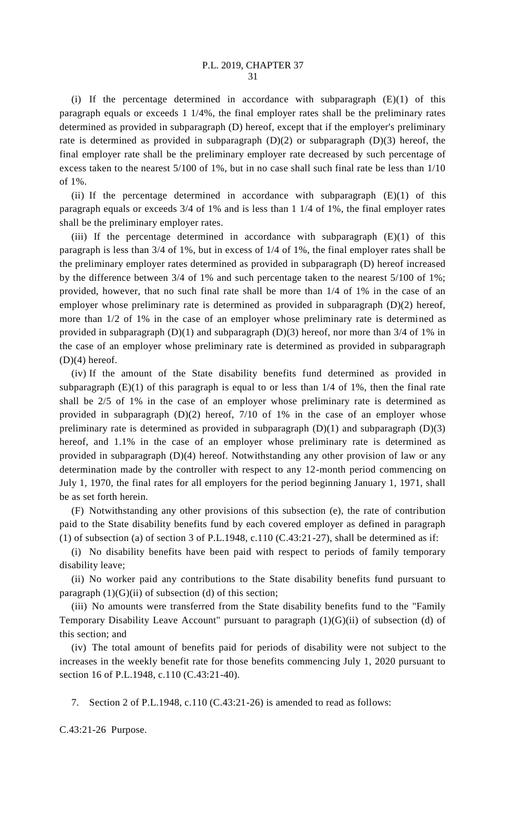(i) If the percentage determined in accordance with subparagraph  $(E)(1)$  of this paragraph equals or exceeds 1 1/4%, the final employer rates shall be the preliminary rates determined as provided in subparagraph (D) hereof, except that if the employer's preliminary rate is determined as provided in subparagraph  $(D)(2)$  or subparagraph  $(D)(3)$  hereof, the final employer rate shall be the preliminary employer rate decreased by such percentage of excess taken to the nearest 5/100 of 1%, but in no case shall such final rate be less than 1/10 of 1%.

(ii) If the percentage determined in accordance with subparagraph  $(E)(1)$  of this paragraph equals or exceeds 3/4 of 1% and is less than 1 1/4 of 1%, the final employer rates shall be the preliminary employer rates.

(iii) If the percentage determined in accordance with subparagraph  $(E)(1)$  of this paragraph is less than 3/4 of 1%, but in excess of 1/4 of 1%, the final employer rates shall be the preliminary employer rates determined as provided in subparagraph (D) hereof increased by the difference between 3/4 of 1% and such percentage taken to the nearest 5/100 of 1%; provided, however, that no such final rate shall be more than 1/4 of 1% in the case of an employer whose preliminary rate is determined as provided in subparagraph (D)(2) hereof, more than 1/2 of 1% in the case of an employer whose preliminary rate is determined as provided in subparagraph (D)(1) and subparagraph (D)(3) hereof, nor more than 3/4 of 1% in the case of an employer whose preliminary rate is determined as provided in subparagraph  $(D)(4)$  hereof.

(iv) If the amount of the State disability benefits fund determined as provided in subparagraph  $(E)(1)$  of this paragraph is equal to or less than  $1/4$  of 1%, then the final rate shall be 2/5 of 1% in the case of an employer whose preliminary rate is determined as provided in subparagraph (D)(2) hereof, 7/10 of 1% in the case of an employer whose preliminary rate is determined as provided in subparagraph  $(D)(1)$  and subparagraph  $(D)(3)$ hereof, and 1.1% in the case of an employer whose preliminary rate is determined as provided in subparagraph (D)(4) hereof. Notwithstanding any other provision of law or any determination made by the controller with respect to any 12-month period commencing on July 1, 1970, the final rates for all employers for the period beginning January 1, 1971, shall be as set forth herein.

(F) Notwithstanding any other provisions of this subsection (e), the rate of contribution paid to the State disability benefits fund by each covered employer as defined in paragraph (1) of subsection (a) of section 3 of P.L.1948, c.110 (C.43:21-27), shall be determined as if:

(i) No disability benefits have been paid with respect to periods of family temporary disability leave;

(ii) No worker paid any contributions to the State disability benefits fund pursuant to paragraph  $(1)(G)(ii)$  of subsection  $(d)$  of this section;

(iii) No amounts were transferred from the State disability benefits fund to the "Family Temporary Disability Leave Account" pursuant to paragraph (1)(G)(ii) of subsection (d) of this section; and

(iv) The total amount of benefits paid for periods of disability were not subject to the increases in the weekly benefit rate for those benefits commencing July 1, 2020 pursuant to section 16 of P.L.1948, c.110 (C.43:21-40).

7. Section 2 of P.L.1948, c.110 (C.43:21-26) is amended to read as follows:

C.43:21-26 Purpose.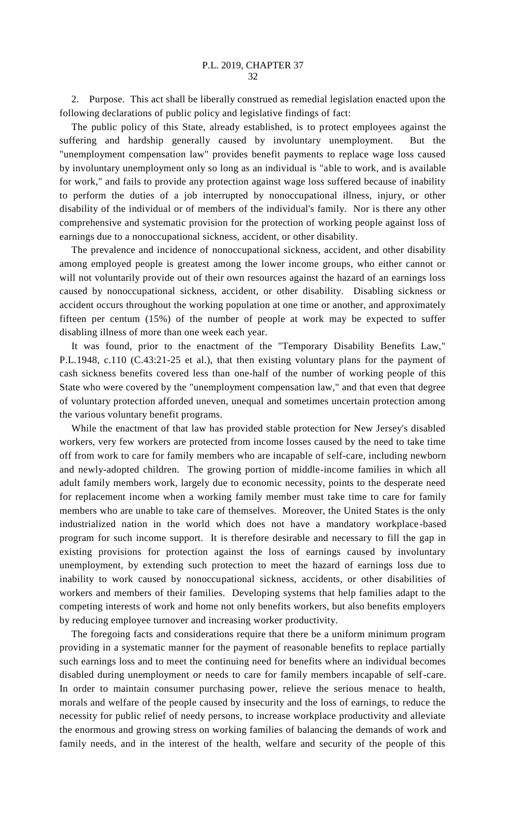2. Purpose. This act shall be liberally construed as remedial legislation enacted upon the following declarations of public policy and legislative findings of fact:

The public policy of this State, already established, is to protect employees against the suffering and hardship generally caused by involuntary unemployment. But the "unemployment compensation law" provides benefit payments to replace wage loss caused by involuntary unemployment only so long as an individual is "able to work, and is available for work," and fails to provide any protection against wage loss suffered because of inability to perform the duties of a job interrupted by nonoccupational illness, injury, or other disability of the individual or of members of the individual's family. Nor is there any other comprehensive and systematic provision for the protection of working people against loss of earnings due to a nonoccupational sickness, accident, or other disability.

The prevalence and incidence of nonoccupational sickness, accident, and other disability among employed people is greatest among the lower income groups, who either cannot or will not voluntarily provide out of their own resources against the hazard of an earnings loss caused by nonoccupational sickness, accident, or other disability. Disabling sickness or accident occurs throughout the working population at one time or another, and approximately fifteen per centum (15%) of the number of people at work may be expected to suffer disabling illness of more than one week each year.

It was found, prior to the enactment of the "Temporary Disability Benefits Law," P.L.1948, c.110 (C.43:21-25 et al.), that then existing voluntary plans for the payment of cash sickness benefits covered less than one-half of the number of working people of this State who were covered by the "unemployment compensation law," and that even that degree of voluntary protection afforded uneven, unequal and sometimes uncertain protection among the various voluntary benefit programs.

While the enactment of that law has provided stable protection for New Jersey's disabled workers, very few workers are protected from income losses caused by the need to take time off from work to care for family members who are incapable of self-care, including newborn and newly-adopted children. The growing portion of middle-income families in which all adult family members work, largely due to economic necessity, points to the desperate need for replacement income when a working family member must take time to care for family members who are unable to take care of themselves. Moreover, the United States is the only industrialized nation in the world which does not have a mandatory workplace-based program for such income support. It is therefore desirable and necessary to fill the gap in existing provisions for protection against the loss of earnings caused by involuntary unemployment, by extending such protection to meet the hazard of earnings loss due to inability to work caused by nonoccupational sickness, accidents, or other disabilities of workers and members of their families. Developing systems that help families adapt to the competing interests of work and home not only benefits workers, but also benefits employers by reducing employee turnover and increasing worker productivity.

The foregoing facts and considerations require that there be a uniform minimum program providing in a systematic manner for the payment of reasonable benefits to replace partially such earnings loss and to meet the continuing need for benefits where an individual becomes disabled during unemployment or needs to care for family members incapable of self-care. In order to maintain consumer purchasing power, relieve the serious menace to health, morals and welfare of the people caused by insecurity and the loss of earnings, to reduce the necessity for public relief of needy persons, to increase workplace productivity and alleviate the enormous and growing stress on working families of balancing the demands of work and family needs, and in the interest of the health, welfare and security of the people of this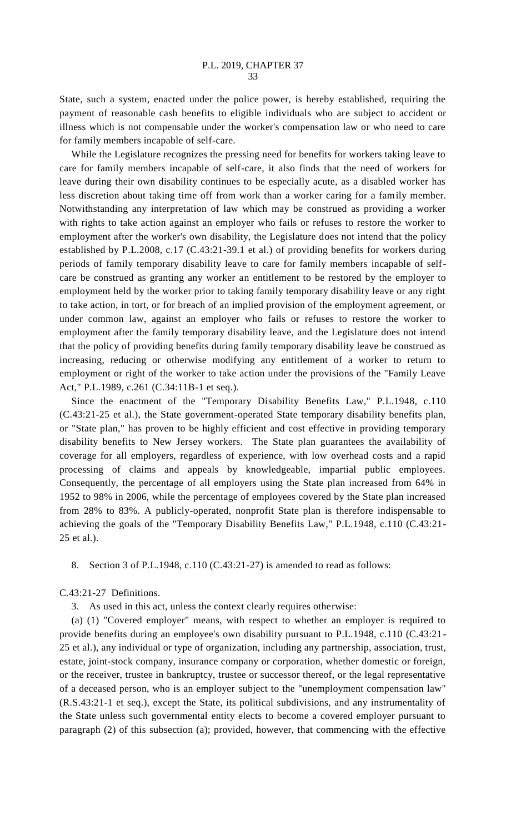State, such a system, enacted under the police power, is hereby established, requiring the payment of reasonable cash benefits to eligible individuals who are subject to accident or illness which is not compensable under the worker's compensation law or who need to care for family members incapable of self-care.

While the Legislature recognizes the pressing need for benefits for workers taking leave to care for family members incapable of self-care, it also finds that the need of workers for leave during their own disability continues to be especially acute, as a disabled worker has less discretion about taking time off from work than a worker caring for a family member. Notwithstanding any interpretation of law which may be construed as providing a worker with rights to take action against an employer who fails or refuses to restore the worker to employment after the worker's own disability, the Legislature does not intend that the policy established by P.L.2008, c.17 (C.43:21-39.1 et al.) of providing benefits for workers during periods of family temporary disability leave to care for family members incapable of selfcare be construed as granting any worker an entitlement to be restored by the employer to employment held by the worker prior to taking family temporary disability leave or any right to take action, in tort, or for breach of an implied provision of the employment agreement, or under common law, against an employer who fails or refuses to restore the worker to employment after the family temporary disability leave, and the Legislature does not intend that the policy of providing benefits during family temporary disability leave be construed as increasing, reducing or otherwise modifying any entitlement of a worker to return to employment or right of the worker to take action under the provisions of the "Family Leave Act," P.L.1989, c.261 (C.34:11B-1 et seq.).

Since the enactment of the "Temporary Disability Benefits Law," P.L.1948, c.110 (C.43:21-25 et al.), the State government-operated State temporary disability benefits plan, or "State plan," has proven to be highly efficient and cost effective in providing temporary disability benefits to New Jersey workers. The State plan guarantees the availability of coverage for all employers, regardless of experience, with low overhead costs and a rapid processing of claims and appeals by knowledgeable, impartial public employees. Consequently, the percentage of all employers using the State plan increased from 64% in 1952 to 98% in 2006, while the percentage of employees covered by the State plan increased from 28% to 83%. A publicly-operated, nonprofit State plan is therefore indispensable to achieving the goals of the "Temporary Disability Benefits Law," P.L.1948, c.110 (C.43:21- 25 et al.).

8. Section 3 of P.L.1948, c.110 (C.43:21-27) is amended to read as follows:

C.43:21-27 Definitions.

3. As used in this act, unless the context clearly requires otherwise:

(a) (1) "Covered employer" means, with respect to whether an employer is required to provide benefits during an employee's own disability pursuant to P.L.1948, c.110 (C.43:21- 25 et al.), any individual or type of organization, including any partnership, association, trust, estate, joint-stock company, insurance company or corporation, whether domestic or foreign, or the receiver, trustee in bankruptcy, trustee or successor thereof, or the legal representative of a deceased person, who is an employer subject to the "unemployment compensation law" (R.S.43:21-1 et seq.), except the State, its political subdivisions, and any instrumentality of the State unless such governmental entity elects to become a covered employer pursuant to paragraph (2) of this subsection (a); provided, however, that commencing with the effective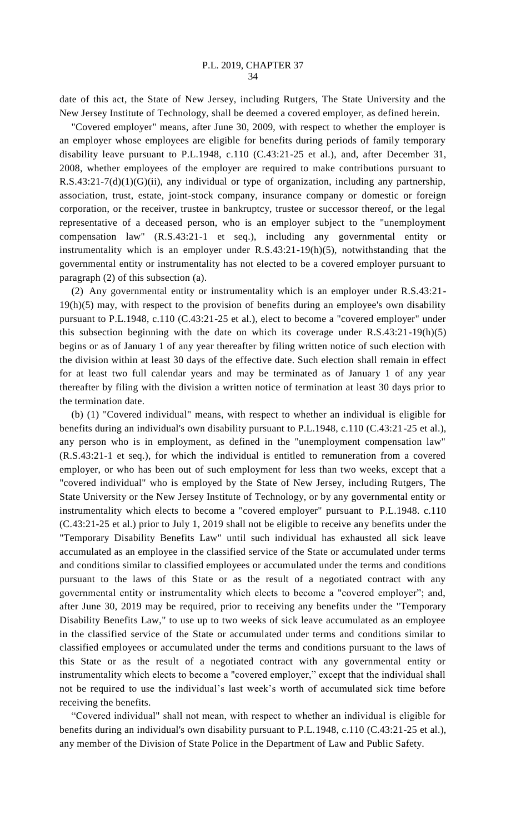date of this act, the State of New Jersey, including Rutgers, The State University and the New Jersey Institute of Technology, shall be deemed a covered employer, as defined herein.

"Covered employer" means, after June 30, 2009, with respect to whether the employer is an employer whose employees are eligible for benefits during periods of family temporary disability leave pursuant to P.L.1948, c.110 (C.43:21-25 et al.), and, after December 31, 2008, whether employees of the employer are required to make contributions pursuant to R.S.43:21-7(d)(1)(G)(ii), any individual or type of organization, including any partnership, association, trust, estate, joint-stock company, insurance company or domestic or foreign corporation, or the receiver, trustee in bankruptcy, trustee or successor thereof, or the legal representative of a deceased person, who is an employer subject to the "unemployment compensation law" (R.S.43:21-1 et seq.), including any governmental entity or instrumentality which is an employer under R.S.43:21-19(h)(5), notwithstanding that the governmental entity or instrumentality has not elected to be a covered employer pursuant to paragraph (2) of this subsection (a).

(2) Any governmental entity or instrumentality which is an employer under R.S.43:21- 19(h)(5) may, with respect to the provision of benefits during an employee's own disability pursuant to P.L.1948, c.110 (C.43:21-25 et al.), elect to become a "covered employer" under this subsection beginning with the date on which its coverage under R.S.43:21-19(h)(5) begins or as of January 1 of any year thereafter by filing written notice of such election with the division within at least 30 days of the effective date. Such election shall remain in effect for at least two full calendar years and may be terminated as of January 1 of any year thereafter by filing with the division a written notice of termination at least 30 days prior to the termination date.

(b) (1) "Covered individual" means, with respect to whether an individual is eligible for benefits during an individual's own disability pursuant to P.L.1948, c.110 (C.43:21-25 et al.), any person who is in employment, as defined in the "unemployment compensation law" (R.S.43:21-1 et seq.), for which the individual is entitled to remuneration from a covered employer, or who has been out of such employment for less than two weeks, except that a "covered individual" who is employed by the State of New Jersey, including Rutgers, The State University or the New Jersey Institute of Technology, or by any governmental entity or instrumentality which elects to become a "covered employer" pursuant to P.L.1948. c.110 (C.43:21-25 et al.) prior to July 1, 2019 shall not be eligible to receive any benefits under the "Temporary Disability Benefits Law" until such individual has exhausted all sick leave accumulated as an employee in the classified service of the State or accumulated under terms and conditions similar to classified employees or accumulated under the terms and conditions pursuant to the laws of this State or as the result of a negotiated contract with any governmental entity or instrumentality which elects to become a "covered employer"; and, after June 30, 2019 may be required, prior to receiving any benefits under the "Temporary Disability Benefits Law," to use up to two weeks of sick leave accumulated as an employee in the classified service of the State or accumulated under terms and conditions similar to classified employees or accumulated under the terms and conditions pursuant to the laws of this State or as the result of a negotiated contract with any governmental entity or instrumentality which elects to become a "covered employer," except that the individual shall not be required to use the individual's last week's worth of accumulated sick time before receiving the benefits.

"Covered individual" shall not mean, with respect to whether an individual is eligible for benefits during an individual's own disability pursuant to P.L.1948, c.110 (C.43:21-25 et al.), any member of the Division of State Police in the Department of Law and Public Safety.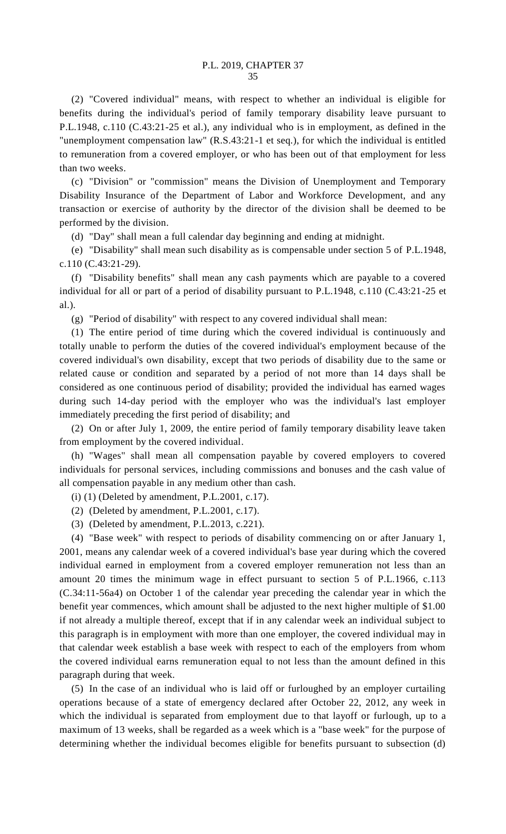(2) "Covered individual" means, with respect to whether an individual is eligible for benefits during the individual's period of family temporary disability leave pursuant to P.L.1948, c.110 (C.43:21-25 et al.), any individual who is in employment, as defined in the "unemployment compensation law" (R.S.43:21-1 et seq.), for which the individual is entitled to remuneration from a covered employer, or who has been out of that employment for less than two weeks.

(c) "Division" or "commission" means the Division of Unemployment and Temporary Disability Insurance of the Department of Labor and Workforce Development, and any transaction or exercise of authority by the director of the division shall be deemed to be performed by the division.

(d) "Day" shall mean a full calendar day beginning and ending at midnight.

(e) "Disability" shall mean such disability as is compensable under section 5 of P.L.1948, c.110 (C.43:21-29).

(f) "Disability benefits" shall mean any cash payments which are payable to a covered individual for all or part of a period of disability pursuant to P.L.1948, c.110 (C.43:21-25 et al.).

(g) "Period of disability" with respect to any covered individual shall mean:

(1) The entire period of time during which the covered individual is continuously and totally unable to perform the duties of the covered individual's employment because of the covered individual's own disability, except that two periods of disability due to the same or related cause or condition and separated by a period of not more than 14 days shall be considered as one continuous period of disability; provided the individual has earned wages during such 14-day period with the employer who was the individual's last employer immediately preceding the first period of disability; and

(2) On or after July 1, 2009, the entire period of family temporary disability leave taken from employment by the covered individual.

(h) "Wages" shall mean all compensation payable by covered employers to covered individuals for personal services, including commissions and bonuses and the cash value of all compensation payable in any medium other than cash.

(i) (1) (Deleted by amendment, P.L.2001, c.17).

- (2) (Deleted by amendment, P.L.2001, c.17).
- (3) (Deleted by amendment, P.L.2013, c.221).

(4) "Base week" with respect to periods of disability commencing on or after January 1, 2001, means any calendar week of a covered individual's base year during which the covered individual earned in employment from a covered employer remuneration not less than an amount 20 times the minimum wage in effect pursuant to section 5 of P.L.1966, c.113 (C.34:11-56a4) on October 1 of the calendar year preceding the calendar year in which the benefit year commences, which amount shall be adjusted to the next higher multiple of \$1.00 if not already a multiple thereof, except that if in any calendar week an individual subject to this paragraph is in employment with more than one employer, the covered individual may in that calendar week establish a base week with respect to each of the employers from whom the covered individual earns remuneration equal to not less than the amount defined in this paragraph during that week.

(5) In the case of an individual who is laid off or furloughed by an employer curtailing operations because of a state of emergency declared after October 22, 2012, any week in which the individual is separated from employment due to that layoff or furlough, up to a maximum of 13 weeks, shall be regarded as a week which is a "base week" for the purpose of determining whether the individual becomes eligible for benefits pursuant to subsection (d)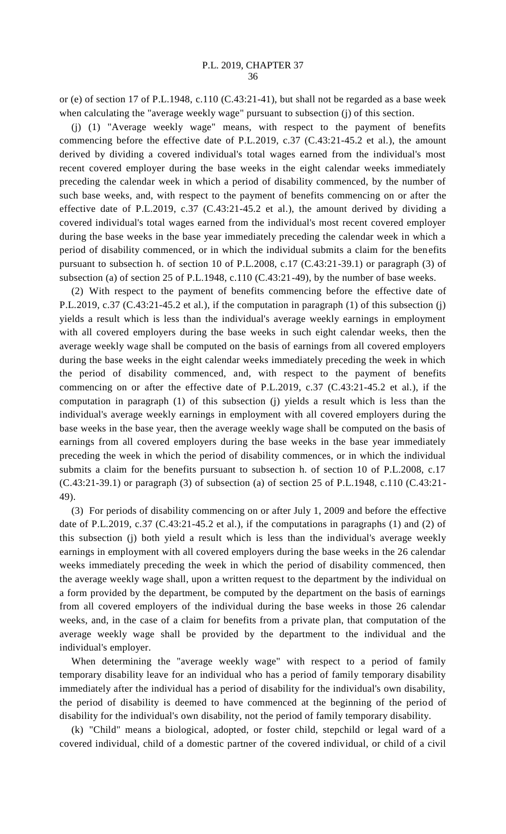or (e) of section 17 of P.L.1948, c.110 (C.43:21-41), but shall not be regarded as a base week when calculating the "average weekly wage" pursuant to subsection (j) of this section.

(j) (1) "Average weekly wage" means, with respect to the payment of benefits commencing before the effective date of P.L.2019, c.37 (C.43:21-45.2 et al.), the amount derived by dividing a covered individual's total wages earned from the individual's most recent covered employer during the base weeks in the eight calendar weeks immediately preceding the calendar week in which a period of disability commenced, by the number of such base weeks, and, with respect to the payment of benefits commencing on or after the effective date of P.L.2019, c.37 (C.43:21-45.2 et al.), the amount derived by dividing a covered individual's total wages earned from the individual's most recent covered employer during the base weeks in the base year immediately preceding the calendar week in which a period of disability commenced, or in which the individual submits a claim for the benefits pursuant to subsection h. of section 10 of P.L.2008, c.17 (C.43:21-39.1) or paragraph (3) of subsection (a) of section 25 of P.L.1948, c.110 (C.43:21-49), by the number of base weeks.

(2) With respect to the payment of benefits commencing before the effective date of P.L.2019, c.37 (C.43:21-45.2 et al.), if the computation in paragraph (1) of this subsection (j) yields a result which is less than the individual's average weekly earnings in employment with all covered employers during the base weeks in such eight calendar weeks, then the average weekly wage shall be computed on the basis of earnings from all covered employers during the base weeks in the eight calendar weeks immediately preceding the week in which the period of disability commenced, and, with respect to the payment of benefits commencing on or after the effective date of P.L.2019, c.37 (C.43:21-45.2 et al.), if the computation in paragraph (1) of this subsection (j) yields a result which is less than the individual's average weekly earnings in employment with all covered employers during the base weeks in the base year, then the average weekly wage shall be computed on the basis of earnings from all covered employers during the base weeks in the base year immediately preceding the week in which the period of disability commences, or in which the individual submits a claim for the benefits pursuant to subsection h. of section 10 of P.L.2008, c.17 (C.43:21-39.1) or paragraph (3) of subsection (a) of section 25 of P.L.1948, c.110 (C.43:21- 49).

(3) For periods of disability commencing on or after July 1, 2009 and before the effective date of P.L.2019, c.37 (C.43:21-45.2 et al.), if the computations in paragraphs (1) and (2) of this subsection (j) both yield a result which is less than the individual's average weekly earnings in employment with all covered employers during the base weeks in the 26 calendar weeks immediately preceding the week in which the period of disability commenced, then the average weekly wage shall, upon a written request to the department by the individual on a form provided by the department, be computed by the department on the basis of earnings from all covered employers of the individual during the base weeks in those 26 calendar weeks, and, in the case of a claim for benefits from a private plan, that computation of the average weekly wage shall be provided by the department to the individual and the individual's employer.

When determining the "average weekly wage" with respect to a period of family temporary disability leave for an individual who has a period of family temporary disability immediately after the individual has a period of disability for the individual's own disability, the period of disability is deemed to have commenced at the beginning of the period of disability for the individual's own disability, not the period of family temporary disability.

(k) "Child" means a biological, adopted, or foster child, stepchild or legal ward of a covered individual, child of a domestic partner of the covered individual, or child of a civil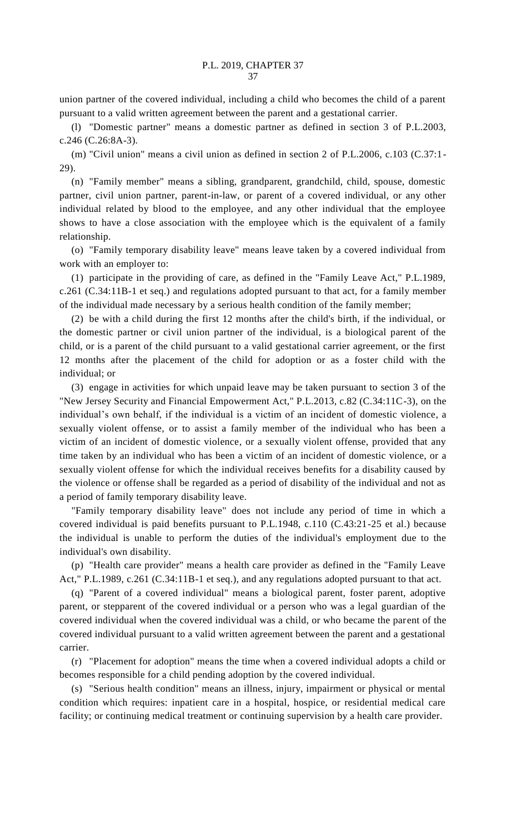union partner of the covered individual, including a child who becomes the child of a parent pursuant to a valid written agreement between the parent and a gestational carrier.

(l) "Domestic partner" means a domestic partner as defined in section 3 of P.L.2003, c.246 (C.26:8A-3).

(m) "Civil union" means a civil union as defined in section 2 of P.L.2006, c.103 (C.37:1- 29).

(n) "Family member" means a sibling, grandparent, grandchild, child, spouse, domestic partner, civil union partner, parent-in-law, or parent of a covered individual, or any other individual related by blood to the employee, and any other individual that the employee shows to have a close association with the employee which is the equivalent of a family relationship.

(o) "Family temporary disability leave" means leave taken by a covered individual from work with an employer to:

(1) participate in the providing of care, as defined in the "Family Leave Act," P.L.1989, c.261 (C.34:11B-1 et seq.) and regulations adopted pursuant to that act, for a family member of the individual made necessary by a serious health condition of the family member;

(2) be with a child during the first 12 months after the child's birth, if the individual, or the domestic partner or civil union partner of the individual, is a biological parent of the child, or is a parent of the child pursuant to a valid gestational carrier agreement, or the first 12 months after the placement of the child for adoption or as a foster child with the individual; or

(3) engage in activities for which unpaid leave may be taken pursuant to section 3 of the "New Jersey Security and Financial Empowerment Act," P.L.2013, c.82 (C.34:11C-3), on the individual's own behalf, if the individual is a victim of an incident of domestic violence, a sexually violent offense, or to assist a family member of the individual who has been a victim of an incident of domestic violence, or a sexually violent offense, provided that any time taken by an individual who has been a victim of an incident of domestic violence, or a sexually violent offense for which the individual receives benefits for a disability caused by the violence or offense shall be regarded as a period of disability of the individual and not as a period of family temporary disability leave.

"Family temporary disability leave" does not include any period of time in which a covered individual is paid benefits pursuant to P.L.1948, c.110 (C.43:21-25 et al.) because the individual is unable to perform the duties of the individual's employment due to the individual's own disability.

(p) "Health care provider" means a health care provider as defined in the "Family Leave Act," P.L.1989, c.261 (C.34:11B-1 et seq.), and any regulations adopted pursuant to that act.

(q) "Parent of a covered individual" means a biological parent, foster parent, adoptive parent, or stepparent of the covered individual or a person who was a legal guardian of the covered individual when the covered individual was a child, or who became the parent of the covered individual pursuant to a valid written agreement between the parent and a gestational carrier.

(r) "Placement for adoption" means the time when a covered individual adopts a child or becomes responsible for a child pending adoption by the covered individual.

(s) "Serious health condition" means an illness, injury, impairment or physical or mental condition which requires: inpatient care in a hospital, hospice, or residential medical care facility; or continuing medical treatment or continuing supervision by a health care provider.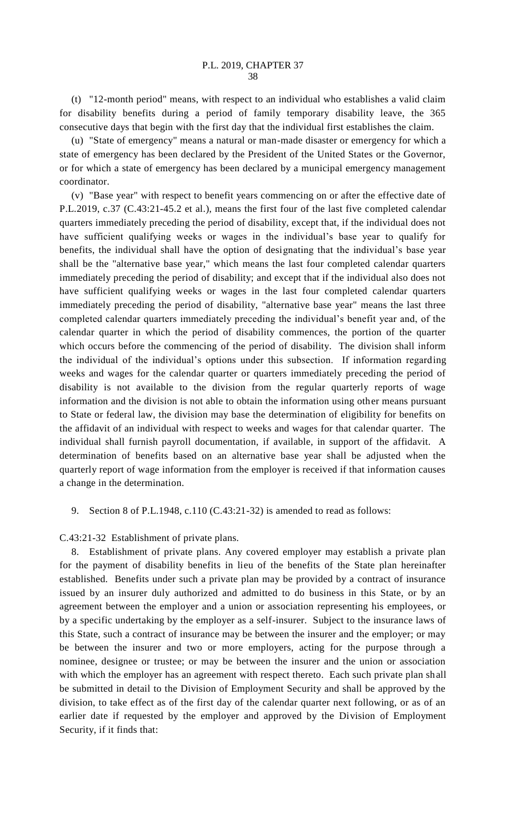(t) "12-month period" means, with respect to an individual who establishes a valid claim for disability benefits during a period of family temporary disability leave, the 365 consecutive days that begin with the first day that the individual first establishes the claim.

(u) "State of emergency" means a natural or man-made disaster or emergency for which a state of emergency has been declared by the President of the United States or the Governor, or for which a state of emergency has been declared by a municipal emergency management coordinator.

(v) "Base year" with respect to benefit years commencing on or after the effective date of P.L.2019, c.37 (C.43:21-45.2 et al.), means the first four of the last five completed calendar quarters immediately preceding the period of disability, except that, if the individual does not have sufficient qualifying weeks or wages in the individual's base year to qualify for benefits, the individual shall have the option of designating that the individual's base year shall be the "alternative base year," which means the last four completed calendar quarters immediately preceding the period of disability; and except that if the individual also does not have sufficient qualifying weeks or wages in the last four completed calendar quarters immediately preceding the period of disability, "alternative base year" means the last three completed calendar quarters immediately preceding the individual's benefit year and, of the calendar quarter in which the period of disability commences, the portion of the quarter which occurs before the commencing of the period of disability. The division shall inform the individual of the individual's options under this subsection. If information regarding weeks and wages for the calendar quarter or quarters immediately preceding the period of disability is not available to the division from the regular quarterly reports of wage information and the division is not able to obtain the information using other means pursuant to State or federal law, the division may base the determination of eligibility for benefits on the affidavit of an individual with respect to weeks and wages for that calendar quarter. The individual shall furnish payroll documentation, if available, in support of the affidavit. A determination of benefits based on an alternative base year shall be adjusted when the quarterly report of wage information from the employer is received if that information causes a change in the determination.

9. Section 8 of P.L.1948, c.110 (C.43:21-32) is amended to read as follows:

C.43:21-32 Establishment of private plans.

8. Establishment of private plans. Any covered employer may establish a private plan for the payment of disability benefits in lieu of the benefits of the State plan hereinafter established. Benefits under such a private plan may be provided by a contract of insurance issued by an insurer duly authorized and admitted to do business in this State, or by an agreement between the employer and a union or association representing his employees, or by a specific undertaking by the employer as a self-insurer. Subject to the insurance laws of this State, such a contract of insurance may be between the insurer and the employer; or may be between the insurer and two or more employers, acting for the purpose through a nominee, designee or trustee; or may be between the insurer and the union or association with which the employer has an agreement with respect thereto. Each such private plan shall be submitted in detail to the Division of Employment Security and shall be approved by the division, to take effect as of the first day of the calendar quarter next following, or as of an earlier date if requested by the employer and approved by the Division of Employment Security, if it finds that: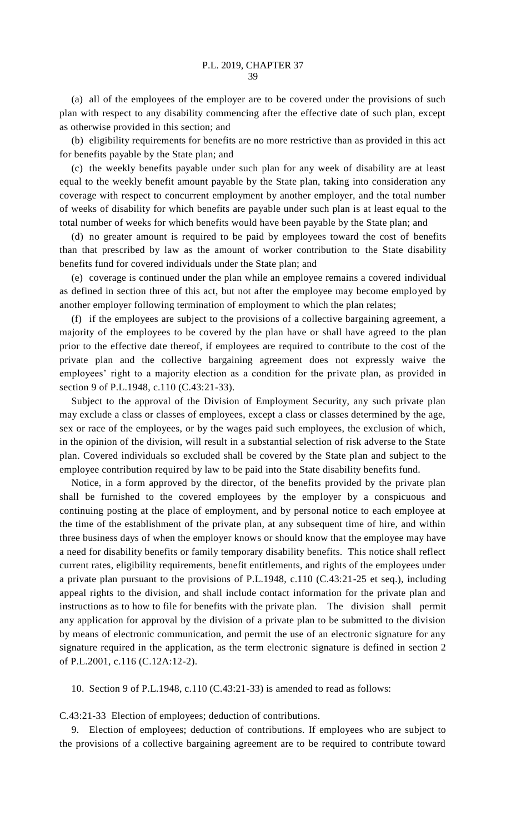(a) all of the employees of the employer are to be covered under the provisions of such plan with respect to any disability commencing after the effective date of such plan, except as otherwise provided in this section; and

(b) eligibility requirements for benefits are no more restrictive than as provided in this act for benefits payable by the State plan; and

(c) the weekly benefits payable under such plan for any week of disability are at least equal to the weekly benefit amount payable by the State plan, taking into consideration any coverage with respect to concurrent employment by another employer, and the total number of weeks of disability for which benefits are payable under such plan is at least equal to the total number of weeks for which benefits would have been payable by the State plan; and

(d) no greater amount is required to be paid by employees toward the cost of benefits than that prescribed by law as the amount of worker contribution to the State disability benefits fund for covered individuals under the State plan; and

(e) coverage is continued under the plan while an employee remains a covered individual as defined in section three of this act, but not after the employee may become employed by another employer following termination of employment to which the plan relates;

(f) if the employees are subject to the provisions of a collective bargaining agreement, a majority of the employees to be covered by the plan have or shall have agreed to the plan prior to the effective date thereof, if employees are required to contribute to the cost of the private plan and the collective bargaining agreement does not expressly waive the employees' right to a majority election as a condition for the private plan, as provided in section 9 of P.L.1948, c.110 (C.43:21-33).

Subject to the approval of the Division of Employment Security, any such private plan may exclude a class or classes of employees, except a class or classes determined by the age, sex or race of the employees, or by the wages paid such employees, the exclusion of which, in the opinion of the division, will result in a substantial selection of risk adverse to the State plan. Covered individuals so excluded shall be covered by the State plan and subject to the employee contribution required by law to be paid into the State disability benefits fund.

Notice, in a form approved by the director, of the benefits provided by the private plan shall be furnished to the covered employees by the employer by a conspicuous and continuing posting at the place of employment, and by personal notice to each employee at the time of the establishment of the private plan, at any subsequent time of hire, and within three business days of when the employer knows or should know that the employee may have a need for disability benefits or family temporary disability benefits. This notice shall reflect current rates, eligibility requirements, benefit entitlements, and rights of the employees under a private plan pursuant to the provisions of P.L.1948, c.110 (C.43:21-25 et seq.), including appeal rights to the division, and shall include contact information for the private plan and instructions as to how to file for benefits with the private plan. The division shall permit any application for approval by the division of a private plan to be submitted to the division by means of electronic communication, and permit the use of an electronic signature for any signature required in the application, as the term electronic signature is defined in section 2 of P.L.2001, c.116 (C.12A:12-2).

10. Section 9 of P.L.1948, c.110 (C.43:21-33) is amended to read as follows:

C.43:21-33 Election of employees; deduction of contributions.

9. Election of employees; deduction of contributions. If employees who are subject to the provisions of a collective bargaining agreement are to be required to contribute toward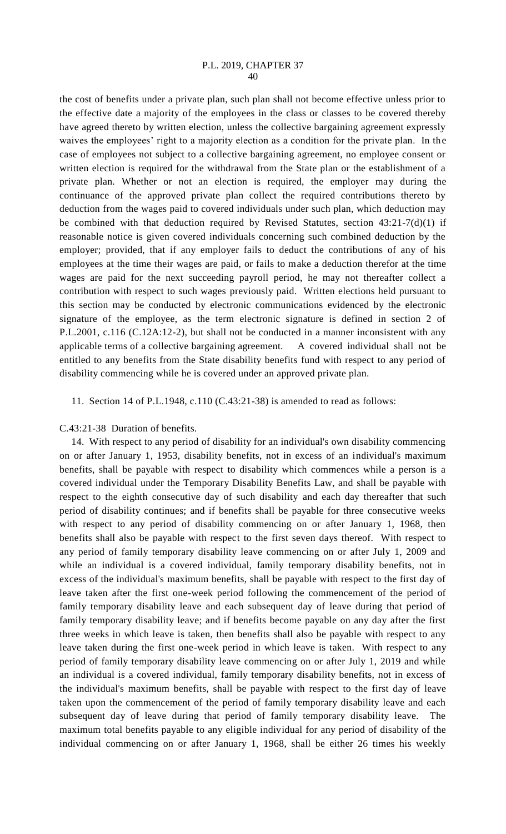## P.L. 2019, CHAPTER 37 40

the cost of benefits under a private plan, such plan shall not become effective unless prior to the effective date a majority of the employees in the class or classes to be covered thereby have agreed thereto by written election, unless the collective bargaining agreement expressly waives the employees' right to a majority election as a condition for the private plan. In the case of employees not subject to a collective bargaining agreement, no employee consent or written election is required for the withdrawal from the State plan or the establishment of a private plan. Whether or not an election is required, the employer may during the continuance of the approved private plan collect the required contributions thereto by deduction from the wages paid to covered individuals under such plan, which deduction may be combined with that deduction required by Revised Statutes, section 43:21-7(d)(1) if reasonable notice is given covered individuals concerning such combined deduction by the employer; provided, that if any employer fails to deduct the contributions of any of his employees at the time their wages are paid, or fails to make a deduction therefor at the time wages are paid for the next succeeding payroll period, he may not thereafter collect a contribution with respect to such wages previously paid. Written elections held pursuant to this section may be conducted by electronic communications evidenced by the electronic signature of the employee, as the term electronic signature is defined in section 2 of P.L.2001, c.116 (C.12A:12-2), but shall not be conducted in a manner inconsistent with any applicable terms of a collective bargaining agreement. A covered individual shall not be entitled to any benefits from the State disability benefits fund with respect to any period of disability commencing while he is covered under an approved private plan.

11. Section 14 of P.L.1948, c.110 (C.43:21-38) is amended to read as follows:

C.43:21-38 Duration of benefits.

14. With respect to any period of disability for an individual's own disability commencing on or after January 1, 1953, disability benefits, not in excess of an individual's maximum benefits, shall be payable with respect to disability which commences while a person is a covered individual under the Temporary Disability Benefits Law, and shall be payable with respect to the eighth consecutive day of such disability and each day thereafter that such period of disability continues; and if benefits shall be payable for three consecutive weeks with respect to any period of disability commencing on or after January 1, 1968, then benefits shall also be payable with respect to the first seven days thereof. With respect to any period of family temporary disability leave commencing on or after July 1, 2009 and while an individual is a covered individual, family temporary disability benefits, not in excess of the individual's maximum benefits, shall be payable with respect to the first day of leave taken after the first one-week period following the commencement of the period of family temporary disability leave and each subsequent day of leave during that period of family temporary disability leave; and if benefits become payable on any day after the first three weeks in which leave is taken, then benefits shall also be payable with respect to any leave taken during the first one-week period in which leave is taken. With respect to any period of family temporary disability leave commencing on or after July 1, 2019 and while an individual is a covered individual, family temporary disability benefits, not in excess of the individual's maximum benefits, shall be payable with respect to the first day of leave taken upon the commencement of the period of family temporary disability leave and each subsequent day of leave during that period of family temporary disability leave. The maximum total benefits payable to any eligible individual for any period of disability of the individual commencing on or after January 1, 1968, shall be either 26 times his weekly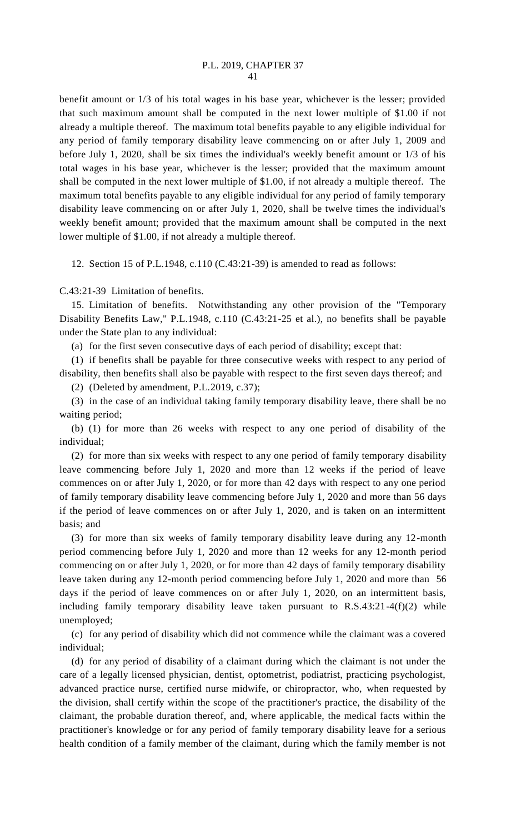benefit amount or 1/3 of his total wages in his base year, whichever is the lesser; provided that such maximum amount shall be computed in the next lower multiple of \$1.00 if not already a multiple thereof. The maximum total benefits payable to any eligible individual for any period of family temporary disability leave commencing on or after July 1, 2009 and before July 1, 2020, shall be six times the individual's weekly benefit amount or 1/3 of his total wages in his base year, whichever is the lesser; provided that the maximum amount shall be computed in the next lower multiple of \$1.00, if not already a multiple thereof. The maximum total benefits payable to any eligible individual for any period of family temporary disability leave commencing on or after July 1, 2020, shall be twelve times the individual's weekly benefit amount; provided that the maximum amount shall be computed in the next lower multiple of \$1.00, if not already a multiple thereof.

12. Section 15 of P.L.1948, c.110 (C.43:21-39) is amended to read as follows:

C.43:21-39 Limitation of benefits.

15. Limitation of benefits. Notwithstanding any other provision of the "Temporary Disability Benefits Law," P.L.1948, c.110 (C.43:21-25 et al.), no benefits shall be payable under the State plan to any individual:

(a) for the first seven consecutive days of each period of disability; except that:

(1) if benefits shall be payable for three consecutive weeks with respect to any period of disability, then benefits shall also be payable with respect to the first seven days thereof; and

(2) (Deleted by amendment, P.L.2019, c.37);

(3) in the case of an individual taking family temporary disability leave, there shall be no waiting period;

(b) (1) for more than 26 weeks with respect to any one period of disability of the individual;

(2) for more than six weeks with respect to any one period of family temporary disability leave commencing before July 1, 2020 and more than 12 weeks if the period of leave commences on or after July 1, 2020, or for more than 42 days with respect to any one period of family temporary disability leave commencing before July 1, 2020 and more than 56 days if the period of leave commences on or after July 1, 2020, and is taken on an intermittent basis; and

(3) for more than six weeks of family temporary disability leave during any 12-month period commencing before July 1, 2020 and more than 12 weeks for any 12-month period commencing on or after July 1, 2020, or for more than 42 days of family temporary disability leave taken during any 12-month period commencing before July 1, 2020 and more than 56 days if the period of leave commences on or after July 1, 2020, on an intermittent basis, including family temporary disability leave taken pursuant to R.S.43:21-4(f)(2) while unemployed;

(c) for any period of disability which did not commence while the claimant was a covered individual;

(d) for any period of disability of a claimant during which the claimant is not under the care of a legally licensed physician, dentist, optometrist, podiatrist, practicing psychologist, advanced practice nurse, certified nurse midwife, or chiropractor, who, when requested by the division, shall certify within the scope of the practitioner's practice, the disability of the claimant, the probable duration thereof, and, where applicable, the medical facts within the practitioner's knowledge or for any period of family temporary disability leave for a serious health condition of a family member of the claimant, during which the family member is not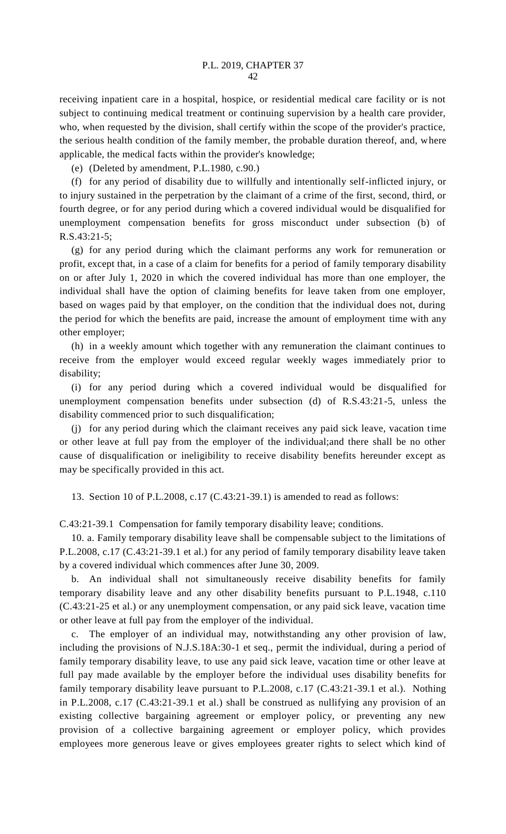receiving inpatient care in a hospital, hospice, or residential medical care facility or is not subject to continuing medical treatment or continuing supervision by a health care provider, who, when requested by the division, shall certify within the scope of the provider's practice, the serious health condition of the family member, the probable duration thereof, and, where applicable, the medical facts within the provider's knowledge;

(e) (Deleted by amendment, P.L.1980, c.90.)

(f) for any period of disability due to willfully and intentionally self-inflicted injury, or to injury sustained in the perpetration by the claimant of a crime of the first, second, third, or fourth degree, or for any period during which a covered individual would be disqualified for unemployment compensation benefits for gross misconduct under subsection (b) of R.S.43:21-5;

(g) for any period during which the claimant performs any work for remuneration or profit, except that, in a case of a claim for benefits for a period of family temporary disability on or after July 1, 2020 in which the covered individual has more than one employer, the individual shall have the option of claiming benefits for leave taken from one employer, based on wages paid by that employer, on the condition that the individual does not, during the period for which the benefits are paid, increase the amount of employment time with any other employer;

(h) in a weekly amount which together with any remuneration the claimant continues to receive from the employer would exceed regular weekly wages immediately prior to disability;

(i) for any period during which a covered individual would be disqualified for unemployment compensation benefits under subsection (d) of R.S.43:21-5, unless the disability commenced prior to such disqualification;

(j) for any period during which the claimant receives any paid sick leave, vacation time or other leave at full pay from the employer of the individual;and there shall be no other cause of disqualification or ineligibility to receive disability benefits hereunder except as may be specifically provided in this act.

13. Section 10 of P.L.2008, c.17 (C.43:21-39.1) is amended to read as follows:

C.43:21-39.1 Compensation for family temporary disability leave; conditions.

10. a. Family temporary disability leave shall be compensable subject to the limitations of P.L.2008, c.17 (C.43:21-39.1 et al.) for any period of family temporary disability leave taken by a covered individual which commences after June 30, 2009.

b. An individual shall not simultaneously receive disability benefits for family temporary disability leave and any other disability benefits pursuant to P.L.1948, c.110 (C.43:21-25 et al.) or any unemployment compensation, or any paid sick leave, vacation time or other leave at full pay from the employer of the individual.

c. The employer of an individual may, notwithstanding any other provision of law, including the provisions of N.J.S.18A:30-1 et seq., permit the individual, during a period of family temporary disability leave, to use any paid sick leave, vacation time or other leave at full pay made available by the employer before the individual uses disability benefits for family temporary disability leave pursuant to P.L.2008, c.17 (C.43:21-39.1 et al.). Nothing in P.L.2008, c.17 (C.43:21-39.1 et al.) shall be construed as nullifying any provision of an existing collective bargaining agreement or employer policy, or preventing any new provision of a collective bargaining agreement or employer policy, which provides employees more generous leave or gives employees greater rights to select which kind of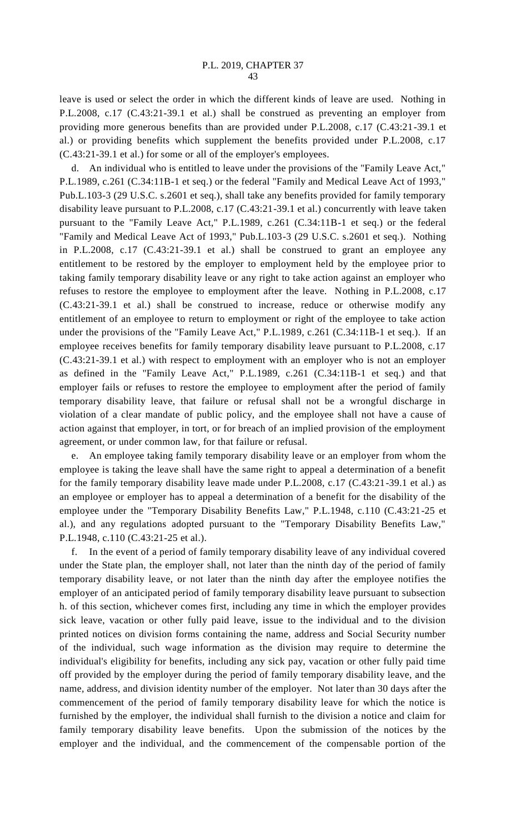leave is used or select the order in which the different kinds of leave are used. Nothing in P.L.2008, c.17 (C.43:21-39.1 et al.) shall be construed as preventing an employer from providing more generous benefits than are provided under P.L.2008, c.17 (C.43:21-39.1 et al.) or providing benefits which supplement the benefits provided under P.L.2008, c.17 (C.43:21-39.1 et al.) for some or all of the employer's employees.

d. An individual who is entitled to leave under the provisions of the "Family Leave Act," P.L.1989, c.261 (C.34:11B-1 et seq.) or the federal "Family and Medical Leave Act of 1993," Pub.L.103-3 (29 U.S.C. s.2601 et seq.), shall take any benefits provided for family temporary disability leave pursuant to P.L.2008, c.17 (C.43:21-39.1 et al.) concurrently with leave taken pursuant to the "Family Leave Act," P.L.1989, c.261 (C.34:11B-1 et seq.) or the federal "Family and Medical Leave Act of 1993," Pub.L.103-3 (29 U.S.C. s.2601 et seq.). Nothing in P.L.2008, c.17 (C.43:21-39.1 et al.) shall be construed to grant an employee any entitlement to be restored by the employer to employment held by the employee prior to taking family temporary disability leave or any right to take action against an employer who refuses to restore the employee to employment after the leave. Nothing in P.L.2008, c.17 (C.43:21-39.1 et al.) shall be construed to increase, reduce or otherwise modify any entitlement of an employee to return to employment or right of the employee to take action under the provisions of the "Family Leave Act," P.L.1989, c.261 (C.34:11B-1 et seq.). If an employee receives benefits for family temporary disability leave pursuant to P.L.2008, c.17 (C.43:21-39.1 et al.) with respect to employment with an employer who is not an employer as defined in the "Family Leave Act," P.L.1989, c.261 (C.34:11B-1 et seq.) and that employer fails or refuses to restore the employee to employment after the period of family temporary disability leave, that failure or refusal shall not be a wrongful discharge in violation of a clear mandate of public policy, and the employee shall not have a cause of action against that employer, in tort, or for breach of an implied provision of the employment agreement, or under common law, for that failure or refusal.

e. An employee taking family temporary disability leave or an employer from whom the employee is taking the leave shall have the same right to appeal a determination of a benefit for the family temporary disability leave made under P.L.2008, c.17 (C.43:21-39.1 et al.) as an employee or employer has to appeal a determination of a benefit for the disability of the employee under the "Temporary Disability Benefits Law," P.L.1948, c.110 (C.43:21-25 et al.), and any regulations adopted pursuant to the "Temporary Disability Benefits Law," P.L.1948, c.110 (C.43:21-25 et al.).

f. In the event of a period of family temporary disability leave of any individual covered under the State plan, the employer shall, not later than the ninth day of the period of family temporary disability leave, or not later than the ninth day after the employee notifies the employer of an anticipated period of family temporary disability leave pursuant to subsection h. of this section, whichever comes first, including any time in which the employer provides sick leave, vacation or other fully paid leave, issue to the individual and to the division printed notices on division forms containing the name, address and Social Security number of the individual, such wage information as the division may require to determine the individual's eligibility for benefits, including any sick pay, vacation or other fully paid time off provided by the employer during the period of family temporary disability leave, and the name, address, and division identity number of the employer. Not later than 30 days after the commencement of the period of family temporary disability leave for which the notice is furnished by the employer, the individual shall furnish to the division a notice and claim for family temporary disability leave benefits. Upon the submission of the notices by the employer and the individual, and the commencement of the compensable portion of the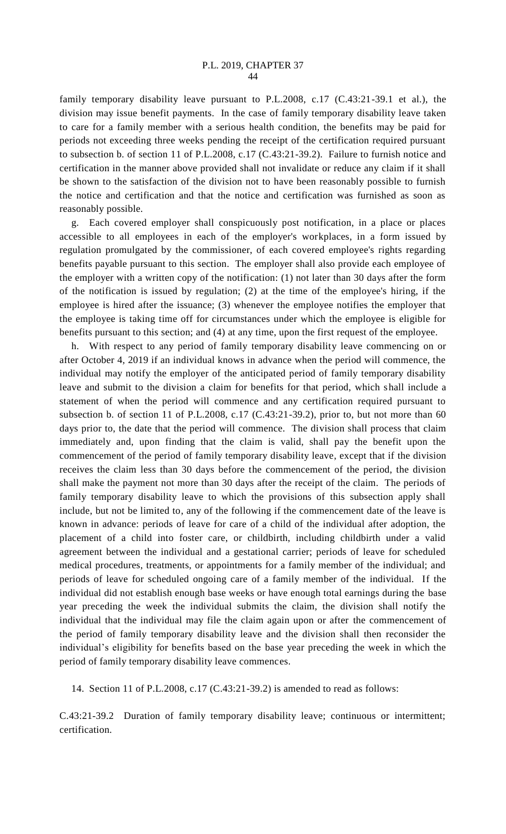family temporary disability leave pursuant to P.L.2008, c.17 (C.43:21-39.1 et al.), the division may issue benefit payments. In the case of family temporary disability leave taken to care for a family member with a serious health condition, the benefits may be paid for periods not exceeding three weeks pending the receipt of the certification required pursuant to subsection b. of section 11 of P.L.2008, c.17 (C.43:21-39.2). Failure to furnish notice and certification in the manner above provided shall not invalidate or reduce any claim if it shall be shown to the satisfaction of the division not to have been reasonably possible to furnish the notice and certification and that the notice and certification was furnished as soon as reasonably possible.

g. Each covered employer shall conspicuously post notification, in a place or places accessible to all employees in each of the employer's workplaces, in a form issued by regulation promulgated by the commissioner, of each covered employee's rights regarding benefits payable pursuant to this section. The employer shall also provide each employee of the employer with a written copy of the notification: (1) not later than 30 days after the form of the notification is issued by regulation; (2) at the time of the employee's hiring, if the employee is hired after the issuance; (3) whenever the employee notifies the employer that the employee is taking time off for circumstances under which the employee is eligible for benefits pursuant to this section; and (4) at any time, upon the first request of the employee.

h. With respect to any period of family temporary disability leave commencing on or after October 4, 2019 if an individual knows in advance when the period will commence, the individual may notify the employer of the anticipated period of family temporary disability leave and submit to the division a claim for benefits for that period, which shall include a statement of when the period will commence and any certification required pursuant to subsection b. of section 11 of P.L.2008, c.17 (C.43:21-39.2), prior to, but not more than 60 days prior to, the date that the period will commence. The division shall process that claim immediately and, upon finding that the claim is valid, shall pay the benefit upon the commencement of the period of family temporary disability leave, except that if the division receives the claim less than 30 days before the commencement of the period, the division shall make the payment not more than 30 days after the receipt of the claim. The periods of family temporary disability leave to which the provisions of this subsection apply shall include, but not be limited to, any of the following if the commencement date of the leave is known in advance: periods of leave for care of a child of the individual after adoption, the placement of a child into foster care, or childbirth, including childbirth under a valid agreement between the individual and a gestational carrier; periods of leave for scheduled medical procedures, treatments, or appointments for a family member of the individual; and periods of leave for scheduled ongoing care of a family member of the individual. If the individual did not establish enough base weeks or have enough total earnings during the base year preceding the week the individual submits the claim, the division shall notify the individual that the individual may file the claim again upon or after the commencement of the period of family temporary disability leave and the division shall then reconsider the individual's eligibility for benefits based on the base year preceding the week in which the period of family temporary disability leave commences.

14. Section 11 of P.L.2008, c.17 (C.43:21-39.2) is amended to read as follows:

C.43:21-39.2 Duration of family temporary disability leave; continuous or intermittent; certification.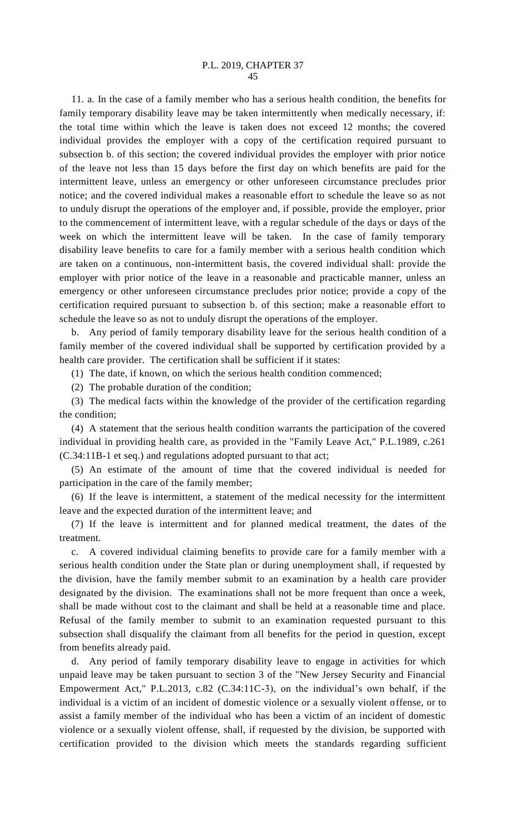11. a. In the case of a family member who has a serious health condition, the benefits for family temporary disability leave may be taken intermittently when medically necessary, if: the total time within which the leave is taken does not exceed 12 months; the covered individual provides the employer with a copy of the certification required pursuant to subsection b. of this section; the covered individual provides the employer with prior notice of the leave not less than 15 days before the first day on which benefits are paid for the intermittent leave, unless an emergency or other unforeseen circumstance precludes prior notice; and the covered individual makes a reasonable effort to schedule the leave so as not to unduly disrupt the operations of the employer and, if possible, provide the employer, prior to the commencement of intermittent leave, with a regular schedule of the days or days of the week on which the intermittent leave will be taken. In the case of family temporary disability leave benefits to care for a family member with a serious health condition which are taken on a continuous, non-intermittent basis, the covered individual shall: provide the employer with prior notice of the leave in a reasonable and practicable manner, unless an emergency or other unforeseen circumstance precludes prior notice; provide a copy of the certification required pursuant to subsection b. of this section; make a reasonable effort to schedule the leave so as not to unduly disrupt the operations of the employer.

b. Any period of family temporary disability leave for the serious health condition of a family member of the covered individual shall be supported by certification provided by a health care provider. The certification shall be sufficient if it states:

(1) The date, if known, on which the serious health condition commenced;

(2) The probable duration of the condition;

(3) The medical facts within the knowledge of the provider of the certification regarding the condition;

(4) A statement that the serious health condition warrants the participation of the covered individual in providing health care, as provided in the "Family Leave Act," P.L.1989, c.261 (C.34:11B-1 et seq.) and regulations adopted pursuant to that act;

(5) An estimate of the amount of time that the covered individual is needed for participation in the care of the family member;

(6) If the leave is intermittent, a statement of the medical necessity for the intermittent leave and the expected duration of the intermittent leave; and

(7) If the leave is intermittent and for planned medical treatment, the dates of the treatment.

c. A covered individual claiming benefits to provide care for a family member with a serious health condition under the State plan or during unemployment shall, if requested by the division, have the family member submit to an examination by a health care provider designated by the division. The examinations shall not be more frequent than once a week, shall be made without cost to the claimant and shall be held at a reasonable time and place. Refusal of the family member to submit to an examination requested pursuant to this subsection shall disqualify the claimant from all benefits for the period in question, except from benefits already paid.

d. Any period of family temporary disability leave to engage in activities for which unpaid leave may be taken pursuant to section 3 of the "New Jersey Security and Financial Empowerment Act," P.L.2013, c.82 (C.34:11C-3), on the individual's own behalf, if the individual is a victim of an incident of domestic violence or a sexually violent offense, or to assist a family member of the individual who has been a victim of an incident of domestic violence or a sexually violent offense, shall, if requested by the division, be supported with certification provided to the division which meets the standards regarding sufficient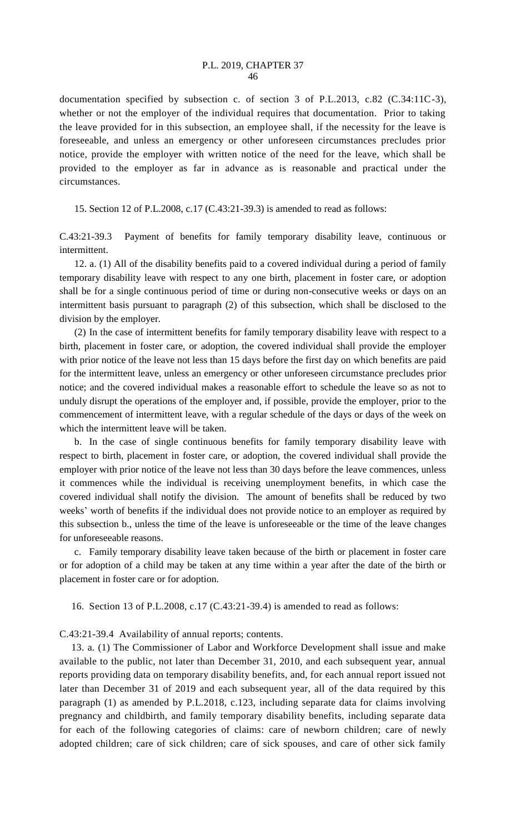documentation specified by subsection c. of section 3 of P.L.2013, c.82 (C.34:11C-3), whether or not the employer of the individual requires that documentation. Prior to taking the leave provided for in this subsection, an employee shall, if the necessity for the leave is foreseeable, and unless an emergency or other unforeseen circumstances precludes prior notice, provide the employer with written notice of the need for the leave, which shall be provided to the employer as far in advance as is reasonable and practical under the circumstances.

15. Section 12 of P.L.2008, c.17 (C.43:21-39.3) is amended to read as follows:

C.43:21-39.3 Payment of benefits for family temporary disability leave, continuous or intermittent.

12. a. (1) All of the disability benefits paid to a covered individual during a period of family temporary disability leave with respect to any one birth, placement in foster care, or adoption shall be for a single continuous period of time or during non-consecutive weeks or days on an intermittent basis pursuant to paragraph (2) of this subsection, which shall be disclosed to the division by the employer.

(2) In the case of intermittent benefits for family temporary disability leave with respect to a birth, placement in foster care, or adoption, the covered individual shall provide the employer with prior notice of the leave not less than 15 days before the first day on which benefits are paid for the intermittent leave, unless an emergency or other unforeseen circumstance precludes prior notice; and the covered individual makes a reasonable effort to schedule the leave so as not to unduly disrupt the operations of the employer and, if possible, provide the employer, prior to the commencement of intermittent leave, with a regular schedule of the days or days of the week on which the intermittent leave will be taken.

b. In the case of single continuous benefits for family temporary disability leave with respect to birth, placement in foster care, or adoption, the covered individual shall provide the employer with prior notice of the leave not less than 30 days before the leave commences, unless it commences while the individual is receiving unemployment benefits, in which case the covered individual shall notify the division. The amount of benefits shall be reduced by two weeks' worth of benefits if the individual does not provide notice to an employer as required by this subsection b., unless the time of the leave is unforeseeable or the time of the leave changes for unforeseeable reasons.

c. Family temporary disability leave taken because of the birth or placement in foster care or for adoption of a child may be taken at any time within a year after the date of the birth or placement in foster care or for adoption.

16. Section 13 of P.L.2008, c.17 (C.43:21-39.4) is amended to read as follows:

C.43:21-39.4 Availability of annual reports; contents.

13. a. (1) The Commissioner of Labor and Workforce Development shall issue and make available to the public, not later than December 31, 2010, and each subsequent year, annual reports providing data on temporary disability benefits, and, for each annual report issued not later than December 31 of 2019 and each subsequent year, all of the data required by this paragraph (1) as amended by P.L.2018, c.123, including separate data for claims involving pregnancy and childbirth, and family temporary disability benefits, including separate data for each of the following categories of claims: care of newborn children; care of newly adopted children; care of sick children; care of sick spouses, and care of other sick family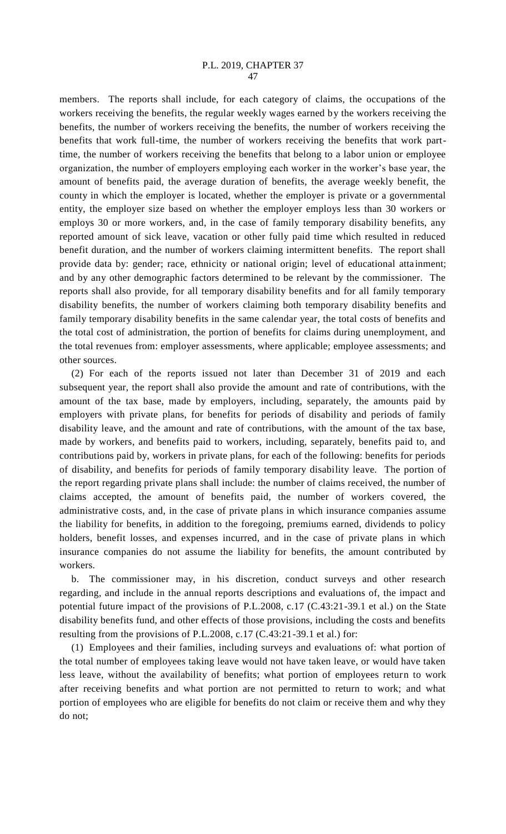members. The reports shall include, for each category of claims, the occupations of the workers receiving the benefits, the regular weekly wages earned by the workers receiving the benefits, the number of workers receiving the benefits, the number of workers receiving the benefits that work full-time, the number of workers receiving the benefits that work parttime, the number of workers receiving the benefits that belong to a labor union or employee organization, the number of employers employing each worker in the worker's base year, the amount of benefits paid, the average duration of benefits, the average weekly benefit, the county in which the employer is located, whether the employer is private or a governmental entity, the employer size based on whether the employer employs less than 30 workers or employs 30 or more workers, and, in the case of family temporary disability benefits, any reported amount of sick leave, vacation or other fully paid time which resulted in reduced benefit duration, and the number of workers claiming intermittent benefits. The report shall provide data by: gender; race, ethnicity or national origin; level of educational attainment; and by any other demographic factors determined to be relevant by the commissioner. The reports shall also provide, for all temporary disability benefits and for all family temporary disability benefits, the number of workers claiming both temporary disability benefits and family temporary disability benefits in the same calendar year, the total costs of benefits and the total cost of administration, the portion of benefits for claims during unemployment, and the total revenues from: employer assessments, where applicable; employee assessments; and other sources.

(2) For each of the reports issued not later than December 31 of 2019 and each subsequent year, the report shall also provide the amount and rate of contributions, with the amount of the tax base, made by employers, including, separately, the amounts paid by employers with private plans, for benefits for periods of disability and periods of family disability leave, and the amount and rate of contributions, with the amount of the tax base, made by workers, and benefits paid to workers, including, separately, benefits paid to, and contributions paid by, workers in private plans, for each of the following: benefits for periods of disability, and benefits for periods of family temporary disability leave. The portion of the report regarding private plans shall include: the number of claims received, the number of claims accepted, the amount of benefits paid, the number of workers covered, the administrative costs, and, in the case of private plans in which insurance companies assume the liability for benefits, in addition to the foregoing, premiums earned, dividends to policy holders, benefit losses, and expenses incurred, and in the case of private plans in which insurance companies do not assume the liability for benefits, the amount contributed by workers.

b. The commissioner may, in his discretion, conduct surveys and other research regarding, and include in the annual reports descriptions and evaluations of, the impact and potential future impact of the provisions of P.L.2008, c.17 (C.43:21-39.1 et al.) on the State disability benefits fund, and other effects of those provisions, including the costs and benefits resulting from the provisions of P.L.2008, c.17 (C.43:21-39.1 et al.) for:

(1) Employees and their families, including surveys and evaluations of: what portion of the total number of employees taking leave would not have taken leave, or would have taken less leave, without the availability of benefits; what portion of employees return to work after receiving benefits and what portion are not permitted to return to work; and what portion of employees who are eligible for benefits do not claim or receive them and why they do not;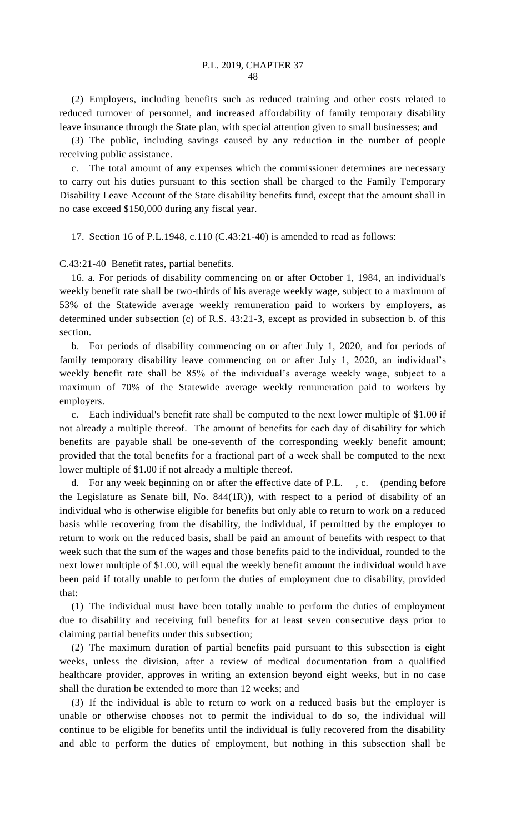(2) Employers, including benefits such as reduced training and other costs related to reduced turnover of personnel, and increased affordability of family temporary disability leave insurance through the State plan, with special attention given to small businesses; and

(3) The public, including savings caused by any reduction in the number of people receiving public assistance.

c. The total amount of any expenses which the commissioner determines are necessary to carry out his duties pursuant to this section shall be charged to the Family Temporary Disability Leave Account of the State disability benefits fund, except that the amount shall in no case exceed \$150,000 during any fiscal year.

17. Section 16 of P.L.1948, c.110 (C.43:21-40) is amended to read as follows:

C.43:21-40 Benefit rates, partial benefits.

16. a. For periods of disability commencing on or after October 1, 1984, an individual's weekly benefit rate shall be two-thirds of his average weekly wage, subject to a maximum of 53% of the Statewide average weekly remuneration paid to workers by employers, as determined under subsection (c) of R.S. 43:21-3, except as provided in subsection b. of this section.

b. For periods of disability commencing on or after July 1, 2020, and for periods of family temporary disability leave commencing on or after July 1, 2020, an individual's weekly benefit rate shall be 85% of the individual's average weekly wage, subject to a maximum of 70% of the Statewide average weekly remuneration paid to workers by employers.

c. Each individual's benefit rate shall be computed to the next lower multiple of \$1.00 if not already a multiple thereof. The amount of benefits for each day of disability for which benefits are payable shall be one-seventh of the corresponding weekly benefit amount; provided that the total benefits for a fractional part of a week shall be computed to the next lower multiple of \$1.00 if not already a multiple thereof.

For any week beginning on or after the effective date of P.L., c. (pending before the Legislature as Senate bill, No. 844(1R)), with respect to a period of disability of an individual who is otherwise eligible for benefits but only able to return to work on a reduced basis while recovering from the disability, the individual, if permitted by the employer to return to work on the reduced basis, shall be paid an amount of benefits with respect to that week such that the sum of the wages and those benefits paid to the individual, rounded to the next lower multiple of \$1.00, will equal the weekly benefit amount the individual would have been paid if totally unable to perform the duties of employment due to disability, provided that:

(1) The individual must have been totally unable to perform the duties of employment due to disability and receiving full benefits for at least seven consecutive days prior to claiming partial benefits under this subsection;

(2) The maximum duration of partial benefits paid pursuant to this subsection is eight weeks, unless the division, after a review of medical documentation from a qualified healthcare provider, approves in writing an extension beyond eight weeks, but in no case shall the duration be extended to more than 12 weeks; and

(3) If the individual is able to return to work on a reduced basis but the employer is unable or otherwise chooses not to permit the individual to do so, the individual will continue to be eligible for benefits until the individual is fully recovered from the disability and able to perform the duties of employment, but nothing in this subsection shall be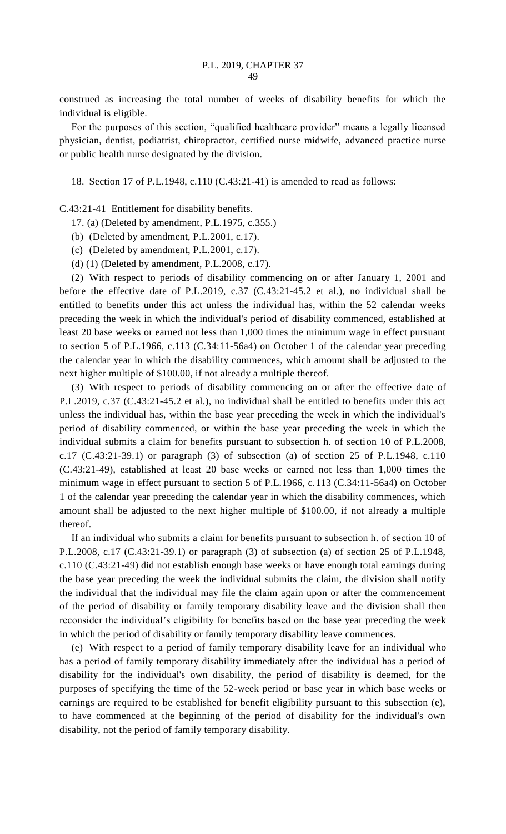construed as increasing the total number of weeks of disability benefits for which the individual is eligible.

For the purposes of this section, "qualified healthcare provider" means a legally licensed physician, dentist, podiatrist, chiropractor, certified nurse midwife, advanced practice nurse or public health nurse designated by the division.

18. Section 17 of P.L.1948, c.110 (C.43:21-41) is amended to read as follows:

C.43:21-41 Entitlement for disability benefits.

- 17. (a) (Deleted by amendment, P.L.1975, c.355.)
- (b) (Deleted by amendment, P.L.2001, c.17).
- (c) (Deleted by amendment, P.L.2001, c.17).
- (d) (1) (Deleted by amendment, P.L.2008, c.17).

(2) With respect to periods of disability commencing on or after January 1, 2001 and before the effective date of P.L.2019, c.37 (C.43:21-45.2 et al.), no individual shall be entitled to benefits under this act unless the individual has, within the 52 calendar weeks preceding the week in which the individual's period of disability commenced, established at least 20 base weeks or earned not less than 1,000 times the minimum wage in effect pursuant to section 5 of P.L.1966, c.113 (C.34:11-56a4) on October 1 of the calendar year preceding the calendar year in which the disability commences, which amount shall be adjusted to the next higher multiple of \$100.00, if not already a multiple thereof.

(3) With respect to periods of disability commencing on or after the effective date of P.L.2019, c.37 (C.43:21-45.2 et al.), no individual shall be entitled to benefits under this act unless the individual has, within the base year preceding the week in which the individual's period of disability commenced, or within the base year preceding the week in which the individual submits a claim for benefits pursuant to subsection h. of section 10 of P.L.2008, c.17 (C.43:21-39.1) or paragraph (3) of subsection (a) of section 25 of P.L.1948, c.110 (C.43:21-49), established at least 20 base weeks or earned not less than 1,000 times the minimum wage in effect pursuant to section 5 of P.L.1966, c.113 (C.34:11-56a4) on October 1 of the calendar year preceding the calendar year in which the disability commences, which amount shall be adjusted to the next higher multiple of \$100.00, if not already a multiple thereof.

If an individual who submits a claim for benefits pursuant to subsection h. of section 10 of P.L.2008, c.17 (C.43:21-39.1) or paragraph (3) of subsection (a) of section 25 of P.L.1948, c.110 (C.43:21-49) did not establish enough base weeks or have enough total earnings during the base year preceding the week the individual submits the claim, the division shall notify the individual that the individual may file the claim again upon or after the commencement of the period of disability or family temporary disability leave and the division shall then reconsider the individual's eligibility for benefits based on the base year preceding the week in which the period of disability or family temporary disability leave commences.

(e) With respect to a period of family temporary disability leave for an individual who has a period of family temporary disability immediately after the individual has a period of disability for the individual's own disability, the period of disability is deemed, for the purposes of specifying the time of the 52-week period or base year in which base weeks or earnings are required to be established for benefit eligibility pursuant to this subsection (e), to have commenced at the beginning of the period of disability for the individual's own disability, not the period of family temporary disability.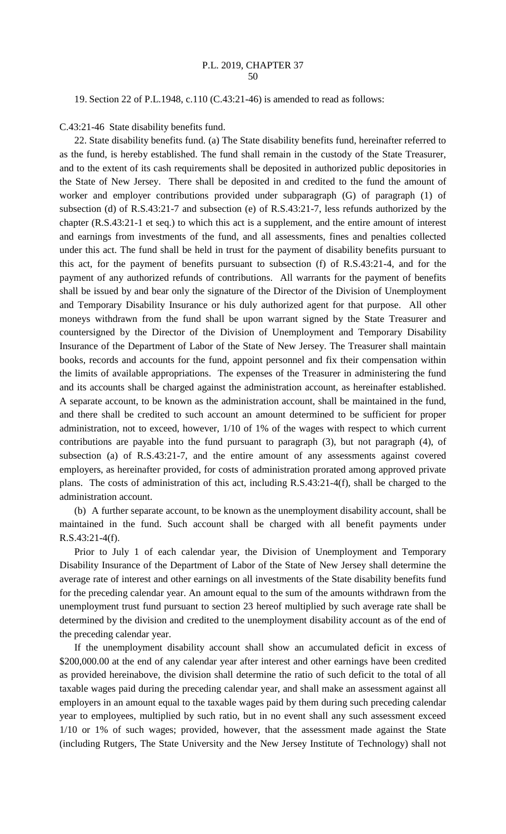19. Section 22 of P.L.1948, c.110 (C.43:21-46) is amended to read as follows:

C.43:21-46 State disability benefits fund.

22. State disability benefits fund. (a) The State disability benefits fund, hereinafter referred to as the fund, is hereby established. The fund shall remain in the custody of the State Treasurer, and to the extent of its cash requirements shall be deposited in authorized public depositories in the State of New Jersey. There shall be deposited in and credited to the fund the amount of worker and employer contributions provided under subparagraph (G) of paragraph (1) of subsection (d) of R.S.43:21-7 and subsection (e) of R.S.43:21-7, less refunds authorized by the chapter (R.S.43:21-1 et seq.) to which this act is a supplement, and the entire amount of interest and earnings from investments of the fund, and all assessments, fines and penalties collected under this act. The fund shall be held in trust for the payment of disability benefits pursuant to this act, for the payment of benefits pursuant to subsection (f) of R.S.43:21-4, and for the payment of any authorized refunds of contributions. All warrants for the payment of benefits shall be issued by and bear only the signature of the Director of the Division of Unemployment and Temporary Disability Insurance or his duly authorized agent for that purpose. All other moneys withdrawn from the fund shall be upon warrant signed by the State Treasurer and countersigned by the Director of the Division of Unemployment and Temporary Disability Insurance of the Department of Labor of the State of New Jersey. The Treasurer shall maintain books, records and accounts for the fund, appoint personnel and fix their compensation within the limits of available appropriations. The expenses of the Treasurer in administering the fund and its accounts shall be charged against the administration account, as hereinafter established. A separate account, to be known as the administration account, shall be maintained in the fund, and there shall be credited to such account an amount determined to be sufficient for proper administration, not to exceed, however, 1/10 of 1% of the wages with respect to which current contributions are payable into the fund pursuant to paragraph (3), but not paragraph (4), of subsection (a) of R.S.43:21-7, and the entire amount of any assessments against covered employers, as hereinafter provided, for costs of administration prorated among approved private plans. The costs of administration of this act, including R.S.43:21-4(f), shall be charged to the administration account.

(b) A further separate account, to be known as the unemployment disability account, shall be maintained in the fund. Such account shall be charged with all benefit payments under R.S.43:21-4(f).

Prior to July 1 of each calendar year, the Division of Unemployment and Temporary Disability Insurance of the Department of Labor of the State of New Jersey shall determine the average rate of interest and other earnings on all investments of the State disability benefits fund for the preceding calendar year. An amount equal to the sum of the amounts withdrawn from the unemployment trust fund pursuant to section 23 hereof multiplied by such average rate shall be determined by the division and credited to the unemployment disability account as of the end of the preceding calendar year.

If the unemployment disability account shall show an accumulated deficit in excess of \$200,000.00 at the end of any calendar year after interest and other earnings have been credited as provided hereinabove, the division shall determine the ratio of such deficit to the total of all taxable wages paid during the preceding calendar year, and shall make an assessment against all employers in an amount equal to the taxable wages paid by them during such preceding calendar year to employees, multiplied by such ratio, but in no event shall any such assessment exceed 1/10 or 1% of such wages; provided, however, that the assessment made against the State (including Rutgers, The State University and the New Jersey Institute of Technology) shall not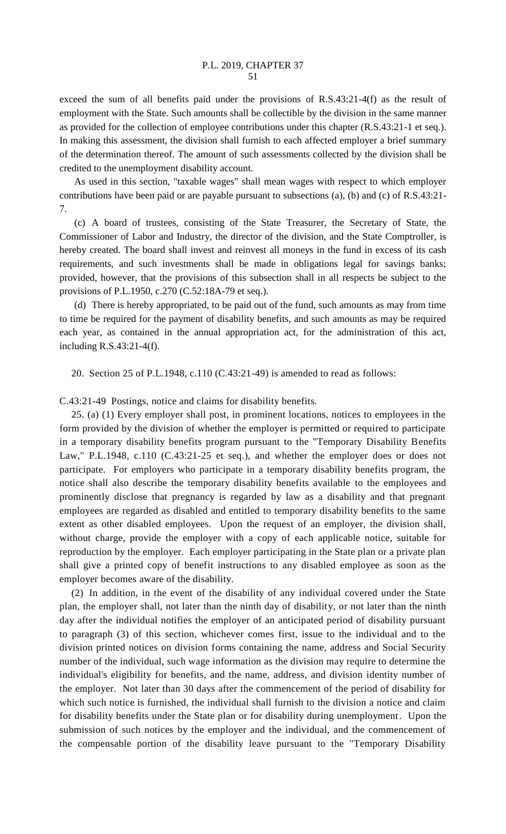exceed the sum of all benefits paid under the provisions of R.S.43:21-4(f) as the result of employment with the State. Such amounts shall be collectible by the division in the same manner as provided for the collection of employee contributions under this chapter (R.S.43:21-1 et seq.). In making this assessment, the division shall furnish to each affected employer a brief summary of the determination thereof. The amount of such assessments collected by the division shall be credited to the unemployment disability account.

As used in this section, "taxable wages" shall mean wages with respect to which employer contributions have been paid or are payable pursuant to subsections (a), (b) and (c) of R.S.43:21- 7.

(c) A board of trustees, consisting of the State Treasurer, the Secretary of State, the Commissioner of Labor and Industry, the director of the division, and the State Comptroller, is hereby created. The board shall invest and reinvest all moneys in the fund in excess of its cash requirements, and such investments shall be made in obligations legal for savings banks; provided, however, that the provisions of this subsection shall in all respects be subject to the provisions of P.L.1950, c.270 (C.52:18A-79 et seq.).

(d) There is hereby appropriated, to be paid out of the fund, such amounts as may from time to time be required for the payment of disability benefits, and such amounts as may be required each year, as contained in the annual appropriation act, for the administration of this act, including R.S.43:21-4(f).

20. Section 25 of P.L.1948, c.110 (C.43:21-49) is amended to read as follows:

C.43:21-49 Postings, notice and claims for disability benefits.

25. (a) (1) Every employer shall post, in prominent locations, notices to employees in the form provided by the division of whether the employer is permitted or required to participate in a temporary disability benefits program pursuant to the "Temporary Disability Benefits Law," P.L.1948, c.110 (C.43:21-25 et seq.), and whether the employer does or does not participate. For employers who participate in a temporary disability benefits program, the notice shall also describe the temporary disability benefits available to the employees and prominently disclose that pregnancy is regarded by law as a disability and that pregnant employees are regarded as disabled and entitled to temporary disability benefits to the same extent as other disabled employees. Upon the request of an employer, the division shall, without charge, provide the employer with a copy of each applicable notice, suitable for reproduction by the employer. Each employer participating in the State plan or a private plan shall give a printed copy of benefit instructions to any disabled employee as soon as the employer becomes aware of the disability.

(2) In addition, in the event of the disability of any individual covered under the State plan, the employer shall, not later than the ninth day of disability, or not later than the ninth day after the individual notifies the employer of an anticipated period of disability pursuant to paragraph (3) of this section, whichever comes first, issue to the individual and to the division printed notices on division forms containing the name, address and Social Security number of the individual, such wage information as the division may require to determine the individual's eligibility for benefits, and the name, address, and division identity number of the employer. Not later than 30 days after the commencement of the period of disability for which such notice is furnished, the individual shall furnish to the division a notice and claim for disability benefits under the State plan or for disability during unemployment. Upon the submission of such notices by the employer and the individual, and the commencement of the compensable portion of the disability leave pursuant to the "Temporary Disability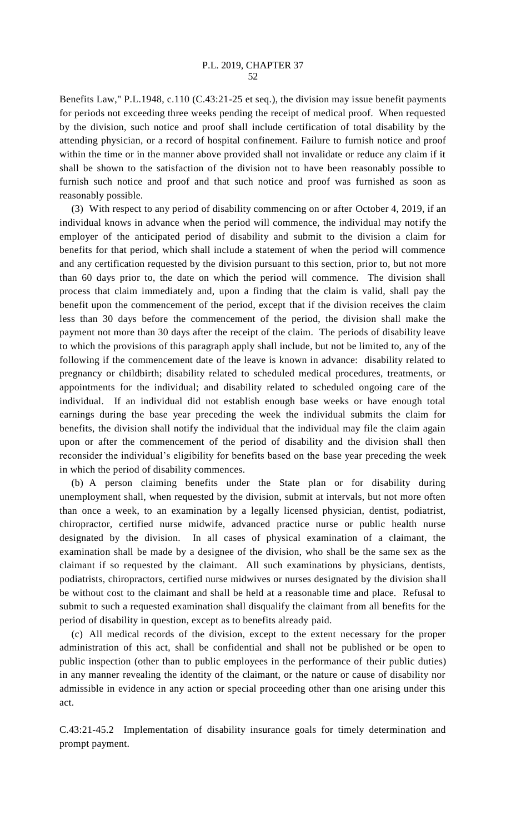Benefits Law," P.L.1948, c.110 (C.43:21-25 et seq.), the division may issue benefit payments for periods not exceeding three weeks pending the receipt of medical proof. When requested by the division, such notice and proof shall include certification of total disability by the attending physician, or a record of hospital confinement. Failure to furnish notice and proof within the time or in the manner above provided shall not invalidate or reduce any claim if it shall be shown to the satisfaction of the division not to have been reasonably possible to furnish such notice and proof and that such notice and proof was furnished as soon as reasonably possible.

(3) With respect to any period of disability commencing on or after October 4, 2019, if an individual knows in advance when the period will commence, the individual may notify the employer of the anticipated period of disability and submit to the division a claim for benefits for that period, which shall include a statement of when the period will commence and any certification requested by the division pursuant to this section, prior to, but not more than 60 days prior to, the date on which the period will commence. The division shall process that claim immediately and, upon a finding that the claim is valid, shall pay the benefit upon the commencement of the period, except that if the division receives the claim less than 30 days before the commencement of the period, the division shall make the payment not more than 30 days after the receipt of the claim. The periods of disability leave to which the provisions of this paragraph apply shall include, but not be limited to, any of the following if the commencement date of the leave is known in advance: disability related to pregnancy or childbirth; disability related to scheduled medical procedures, treatments, or appointments for the individual; and disability related to scheduled ongoing care of the individual. If an individual did not establish enough base weeks or have enough total earnings during the base year preceding the week the individual submits the claim for benefits, the division shall notify the individual that the individual may file the claim again upon or after the commencement of the period of disability and the division shall then reconsider the individual's eligibility for benefits based on the base year preceding the week in which the period of disability commences.

(b) A person claiming benefits under the State plan or for disability during unemployment shall, when requested by the division, submit at intervals, but not more often than once a week, to an examination by a legally licensed physician, dentist, podiatrist, chiropractor, certified nurse midwife, advanced practice nurse or public health nurse designated by the division. In all cases of physical examination of a claimant, the examination shall be made by a designee of the division, who shall be the same sex as the claimant if so requested by the claimant. All such examinations by physicians, dentists, podiatrists, chiropractors, certified nurse midwives or nurses designated by the division sha ll be without cost to the claimant and shall be held at a reasonable time and place. Refusal to submit to such a requested examination shall disqualify the claimant from all benefits for the period of disability in question, except as to benefits already paid.

(c) All medical records of the division, except to the extent necessary for the proper administration of this act, shall be confidential and shall not be published or be open to public inspection (other than to public employees in the performance of their public duties) in any manner revealing the identity of the claimant, or the nature or cause of disability nor admissible in evidence in any action or special proceeding other than one arising under this act.

C.43:21-45.2 Implementation of disability insurance goals for timely determination and prompt payment.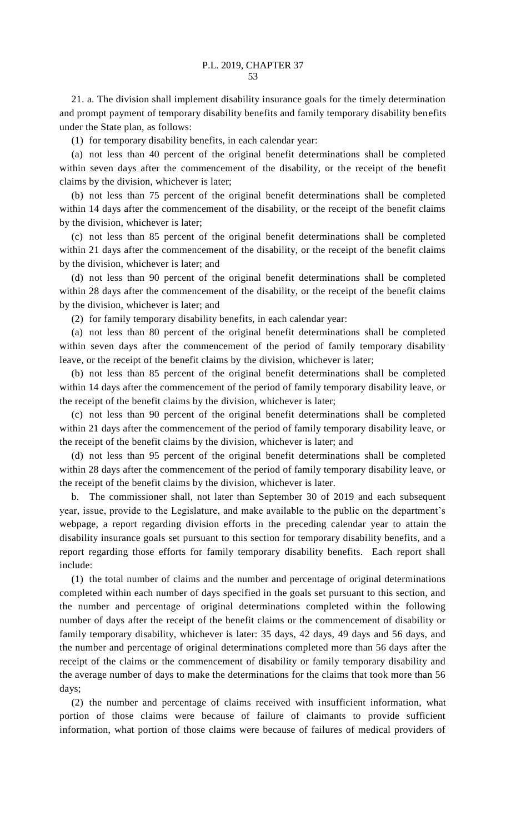21. a. The division shall implement disability insurance goals for the timely determination and prompt payment of temporary disability benefits and family temporary disability benefits under the State plan, as follows:

(1) for temporary disability benefits, in each calendar year:

(a) not less than 40 percent of the original benefit determinations shall be completed within seven days after the commencement of the disability, or the receipt of the benefit claims by the division, whichever is later;

(b) not less than 75 percent of the original benefit determinations shall be completed within 14 days after the commencement of the disability, or the receipt of the benefit claims by the division, whichever is later;

(c) not less than 85 percent of the original benefit determinations shall be completed within 21 days after the commencement of the disability, or the receipt of the benefit claims by the division, whichever is later; and

(d) not less than 90 percent of the original benefit determinations shall be completed within 28 days after the commencement of the disability, or the receipt of the benefit claims by the division, whichever is later; and

(2) for family temporary disability benefits, in each calendar year:

(a) not less than 80 percent of the original benefit determinations shall be completed within seven days after the commencement of the period of family temporary disability leave, or the receipt of the benefit claims by the division, whichever is later;

(b) not less than 85 percent of the original benefit determinations shall be completed within 14 days after the commencement of the period of family temporary disability leave, or the receipt of the benefit claims by the division, whichever is later;

(c) not less than 90 percent of the original benefit determinations shall be completed within 21 days after the commencement of the period of family temporary disability leave, or the receipt of the benefit claims by the division, whichever is later; and

(d) not less than 95 percent of the original benefit determinations shall be completed within 28 days after the commencement of the period of family temporary disability leave, or the receipt of the benefit claims by the division, whichever is later.

b. The commissioner shall, not later than September 30 of 2019 and each subsequent year, issue, provide to the Legislature, and make available to the public on the department's webpage, a report regarding division efforts in the preceding calendar year to attain the disability insurance goals set pursuant to this section for temporary disability benefits, and a report regarding those efforts for family temporary disability benefits. Each report shall include:

(1) the total number of claims and the number and percentage of original determinations completed within each number of days specified in the goals set pursuant to this section, and the number and percentage of original determinations completed within the following number of days after the receipt of the benefit claims or the commencement of disability or family temporary disability, whichever is later: 35 days, 42 days, 49 days and 56 days, and the number and percentage of original determinations completed more than 56 days after the receipt of the claims or the commencement of disability or family temporary disability and the average number of days to make the determinations for the claims that took more than 56 days;

(2) the number and percentage of claims received with insufficient information, what portion of those claims were because of failure of claimants to provide sufficient information, what portion of those claims were because of failures of medical providers of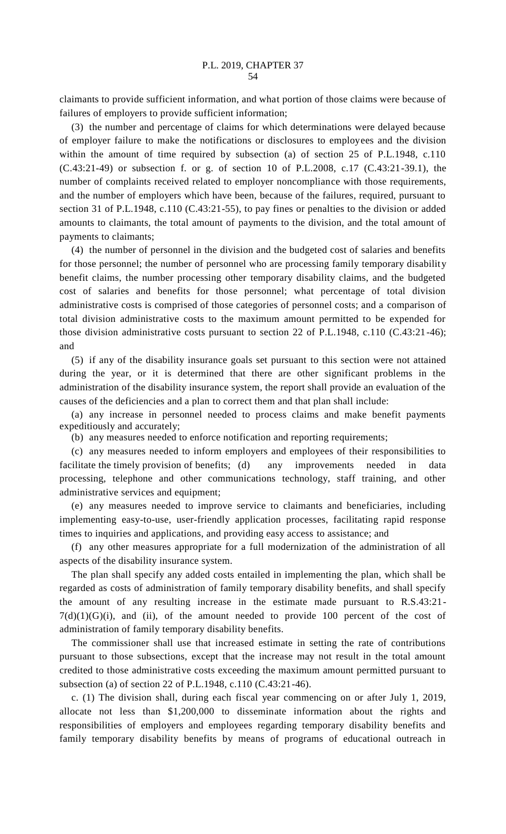claimants to provide sufficient information, and what portion of those claims were because of failures of employers to provide sufficient information;

(3) the number and percentage of claims for which determinations were delayed because of employer failure to make the notifications or disclosures to employees and the division within the amount of time required by subsection (a) of section 25 of P.L.1948, c.110 (C.43:21-49) or subsection f. or g. of section 10 of P.L.2008, c.17 (C.43:21-39.1), the number of complaints received related to employer noncompliance with those requirements, and the number of employers which have been, because of the failures, required, pursuant to section 31 of P.L.1948, c.110 (C.43:21-55), to pay fines or penalties to the division or added amounts to claimants, the total amount of payments to the division, and the total amount of payments to claimants;

(4) the number of personnel in the division and the budgeted cost of salaries and benefits for those personnel; the number of personnel who are processing family temporary disability benefit claims, the number processing other temporary disability claims, and the budgeted cost of salaries and benefits for those personnel; what percentage of total division administrative costs is comprised of those categories of personnel costs; and a comparison of total division administrative costs to the maximum amount permitted to be expended for those division administrative costs pursuant to section 22 of P.L.1948, c.110 (C.43:21-46); and

(5) if any of the disability insurance goals set pursuant to this section were not attained during the year, or it is determined that there are other significant problems in the administration of the disability insurance system, the report shall provide an evaluation of the causes of the deficiencies and a plan to correct them and that plan shall include:

(a) any increase in personnel needed to process claims and make benefit payments expeditiously and accurately;

(b) any measures needed to enforce notification and reporting requirements;

(c) any measures needed to inform employers and employees of their responsibilities to facilitate the timely provision of benefits; (d) any improvements needed in data processing, telephone and other communications technology, staff training, and other administrative services and equipment;

(e) any measures needed to improve service to claimants and beneficiaries, including implementing easy-to-use, user-friendly application processes, facilitating rapid response times to inquiries and applications, and providing easy access to assistance; and

(f) any other measures appropriate for a full modernization of the administration of all aspects of the disability insurance system.

The plan shall specify any added costs entailed in implementing the plan, which shall be regarded as costs of administration of family temporary disability benefits, and shall specify the amount of any resulting increase in the estimate made pursuant to R.S.43:21-  $7(d)(1)(G)(i)$ , and (ii), of the amount needed to provide 100 percent of the cost of administration of family temporary disability benefits.

The commissioner shall use that increased estimate in setting the rate of contributions pursuant to those subsections, except that the increase may not result in the total amount credited to those administrative costs exceeding the maximum amount permitted pursuant to subsection (a) of section 22 of P.L.1948, c.110 (C.43:21-46).

c. (1) The division shall, during each fiscal year commencing on or after July 1, 2019, allocate not less than \$1,200,000 to disseminate information about the rights and responsibilities of employers and employees regarding temporary disability benefits and family temporary disability benefits by means of programs of educational outreach in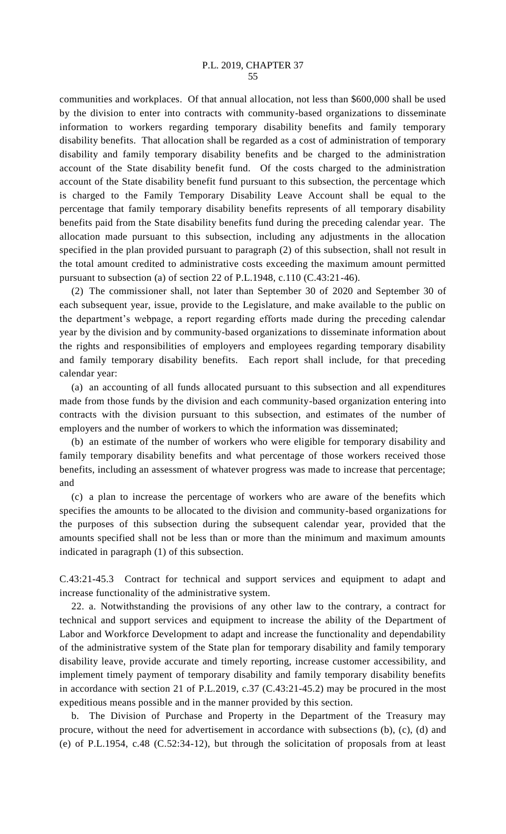communities and workplaces. Of that annual allocation, not less than \$600,000 shall be used by the division to enter into contracts with community-based organizations to disseminate information to workers regarding temporary disability benefits and family temporary disability benefits. That allocation shall be regarded as a cost of administration of temporary disability and family temporary disability benefits and be charged to the administration account of the State disability benefit fund. Of the costs charged to the administration account of the State disability benefit fund pursuant to this subsection, the percentage which is charged to the Family Temporary Disability Leave Account shall be equal to the percentage that family temporary disability benefits represents of all temporary disability benefits paid from the State disability benefits fund during the preceding calendar year. The allocation made pursuant to this subsection, including any adjustments in the allocation specified in the plan provided pursuant to paragraph (2) of this subsection, shall not result in the total amount credited to administrative costs exceeding the maximum amount permitted pursuant to subsection (a) of section 22 of P.L.1948, c.110 (C.43:21-46).

(2) The commissioner shall, not later than September 30 of 2020 and September 30 of each subsequent year, issue, provide to the Legislature, and make available to the public on the department's webpage, a report regarding efforts made during the preceding calendar year by the division and by community-based organizations to disseminate information about the rights and responsibilities of employers and employees regarding temporary disability and family temporary disability benefits. Each report shall include, for that preceding calendar year:

(a) an accounting of all funds allocated pursuant to this subsection and all expenditures made from those funds by the division and each community-based organization entering into contracts with the division pursuant to this subsection, and estimates of the number of employers and the number of workers to which the information was disseminated;

(b) an estimate of the number of workers who were eligible for temporary disability and family temporary disability benefits and what percentage of those workers received those benefits, including an assessment of whatever progress was made to increase that percentage; and

(c) a plan to increase the percentage of workers who are aware of the benefits which specifies the amounts to be allocated to the division and community-based organizations for the purposes of this subsection during the subsequent calendar year, provided that the amounts specified shall not be less than or more than the minimum and maximum amounts indicated in paragraph (1) of this subsection.

C.43:21-45.3 Contract for technical and support services and equipment to adapt and increase functionality of the administrative system.

22. a. Notwithstanding the provisions of any other law to the contrary, a contract for technical and support services and equipment to increase the ability of the Department of Labor and Workforce Development to adapt and increase the functionality and dependability of the administrative system of the State plan for temporary disability and family temporary disability leave, provide accurate and timely reporting, increase customer accessibility, and implement timely payment of temporary disability and family temporary disability benefits in accordance with section 21 of P.L.2019, c.37 (C.43:21-45.2) may be procured in the most expeditious means possible and in the manner provided by this section.

b. The Division of Purchase and Property in the Department of the Treasury may procure, without the need for advertisement in accordance with subsections (b), (c), (d) and (e) of P.L.1954, c.48 (C.52:34-12), but through the solicitation of proposals from at least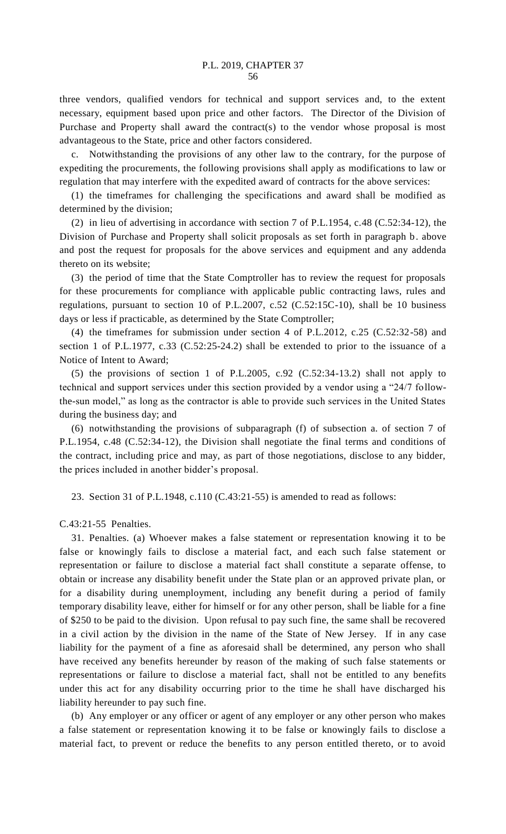three vendors, qualified vendors for technical and support services and, to the extent necessary, equipment based upon price and other factors. The Director of the Division of Purchase and Property shall award the contract(s) to the vendor whose proposal is most advantageous to the State, price and other factors considered.

Notwithstanding the provisions of any other law to the contrary, for the purpose of expediting the procurements, the following provisions shall apply as modifications to law or regulation that may interfere with the expedited award of contracts for the above services:

(1) the timeframes for challenging the specifications and award shall be modified as determined by the division;

(2) in lieu of advertising in accordance with section 7 of P.L.1954, c.48 (C.52:34-12), the Division of Purchase and Property shall solicit proposals as set forth in paragraph b. above and post the request for proposals for the above services and equipment and any addenda thereto on its website;

(3) the period of time that the State Comptroller has to review the request for proposals for these procurements for compliance with applicable public contracting laws, rules and regulations, pursuant to section 10 of P.L.2007, c.52 (C.52:15C-10), shall be 10 business days or less if practicable, as determined by the State Comptroller;

(4) the timeframes for submission under section 4 of P.L.2012, c.25 (C.52:32-58) and section 1 of P.L.1977, c.33 (C.52:25-24.2) shall be extended to prior to the issuance of a Notice of Intent to Award;

(5) the provisions of section 1 of P.L.2005, c.92 (C.52:34-13.2) shall not apply to technical and support services under this section provided by a vendor using a "24/7 followthe-sun model," as long as the contractor is able to provide such services in the United States during the business day; and

(6) notwithstanding the provisions of subparagraph (f) of subsection a. of section 7 of P.L.1954, c.48 (C.52:34-12), the Division shall negotiate the final terms and conditions of the contract, including price and may, as part of those negotiations, disclose to any bidder, the prices included in another bidder's proposal.

23. Section 31 of P.L.1948, c.110 (C.43:21-55) is amended to read as follows:

C.43:21-55 Penalties.

31. Penalties. (a) Whoever makes a false statement or representation knowing it to be false or knowingly fails to disclose a material fact, and each such false statement or representation or failure to disclose a material fact shall constitute a separate offense, to obtain or increase any disability benefit under the State plan or an approved private plan, or for a disability during unemployment, including any benefit during a period of family temporary disability leave, either for himself or for any other person, shall be liable for a fine of \$250 to be paid to the division. Upon refusal to pay such fine, the same shall be recovered in a civil action by the division in the name of the State of New Jersey. If in any case liability for the payment of a fine as aforesaid shall be determined, any person who shall have received any benefits hereunder by reason of the making of such false statements or representations or failure to disclose a material fact, shall not be entitled to any benefits under this act for any disability occurring prior to the time he shall have discharged his liability hereunder to pay such fine.

(b) Any employer or any officer or agent of any employer or any other person who makes a false statement or representation knowing it to be false or knowingly fails to disclose a material fact, to prevent or reduce the benefits to any person entitled thereto, or to avoid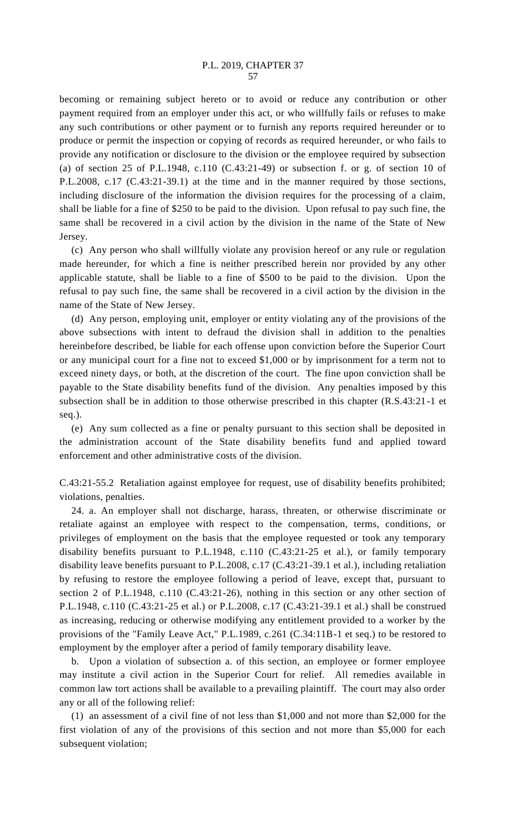becoming or remaining subject hereto or to avoid or reduce any contribution or other payment required from an employer under this act, or who willfully fails or refuses to make any such contributions or other payment or to furnish any reports required hereunder or to produce or permit the inspection or copying of records as required hereunder, or who fails to provide any notification or disclosure to the division or the employee required by subsection (a) of section 25 of P.L.1948, c.110  $(C.43:21-49)$  or subsection f. or g. of section 10 of P.L.2008, c.17 (C.43:21-39.1) at the time and in the manner required by those sections, including disclosure of the information the division requires for the processing of a claim, shall be liable for a fine of \$250 to be paid to the division. Upon refusal to pay such fine, the same shall be recovered in a civil action by the division in the name of the State of New Jersey.

(c) Any person who shall willfully violate any provision hereof or any rule or regulation made hereunder, for which a fine is neither prescribed herein nor provided by any other applicable statute, shall be liable to a fine of \$500 to be paid to the division. Upon the refusal to pay such fine, the same shall be recovered in a civil action by the division in the name of the State of New Jersey.

(d) Any person, employing unit, employer or entity violating any of the provisions of the above subsections with intent to defraud the division shall in addition to the penalties hereinbefore described, be liable for each offense upon conviction before the Superior Court or any municipal court for a fine not to exceed \$1,000 or by imprisonment for a term not to exceed ninety days, or both, at the discretion of the court. The fine upon conviction shall be payable to the State disability benefits fund of the division. Any penalties imposed by this subsection shall be in addition to those otherwise prescribed in this chapter (R.S.43:21-1 et seq.).

(e) Any sum collected as a fine or penalty pursuant to this section shall be deposited in the administration account of the State disability benefits fund and applied toward enforcement and other administrative costs of the division.

C.43:21-55.2 Retaliation against employee for request, use of disability benefits prohibited; violations, penalties.

24. a. An employer shall not discharge, harass, threaten, or otherwise discriminate or retaliate against an employee with respect to the compensation, terms, conditions, or privileges of employment on the basis that the employee requested or took any temporary disability benefits pursuant to P.L.1948, c.110 (C.43:21-25 et al.), or family temporary disability leave benefits pursuant to P.L.2008, c.17 (C.43:21-39.1 et al.), including retaliation by refusing to restore the employee following a period of leave, except that, pursuant to section 2 of P.L.1948, c.110 (C.43:21-26), nothing in this section or any other section of P.L.1948, c.110 (C.43:21-25 et al.) or P.L.2008, c.17 (C.43:21-39.1 et al.) shall be construed as increasing, reducing or otherwise modifying any entitlement provided to a worker by the provisions of the "Family Leave Act," P.L.1989, c.261 (C.34:11B-1 et seq.) to be restored to employment by the employer after a period of family temporary disability leave.

b. Upon a violation of subsection a. of this section, an employee or former employee may institute a civil action in the Superior Court for relief. All remedies available in common law tort actions shall be available to a prevailing plaintiff. The court may also order any or all of the following relief:

(1) an assessment of a civil fine of not less than \$1,000 and not more than \$2,000 for the first violation of any of the provisions of this section and not more than \$5,000 for each subsequent violation;